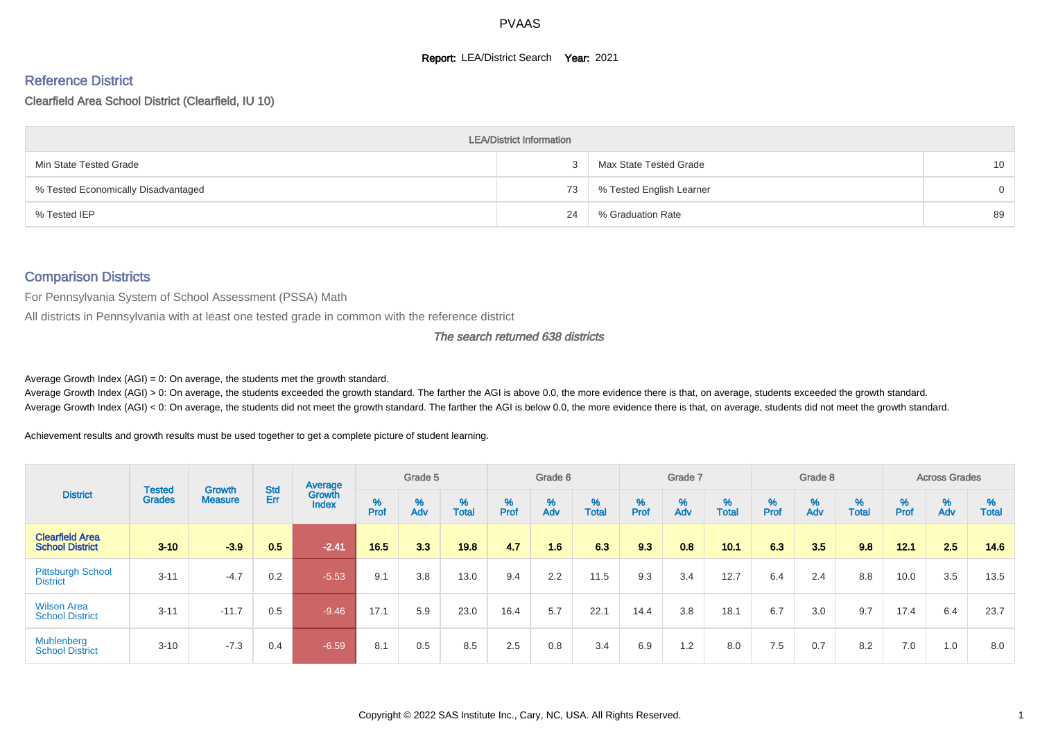#### **Report: LEA/District Search Year: 2021**

# Reference District

#### Clearfield Area School District (Clearfield, IU 10)

|                                     | <b>LEA/District Information</b> |                          |          |
|-------------------------------------|---------------------------------|--------------------------|----------|
| Min State Tested Grade              |                                 | Max State Tested Grade   | 10       |
| % Tested Economically Disadvantaged | 73                              | % Tested English Learner | $\Omega$ |
| % Tested IEP                        | 24                              | % Graduation Rate        | 89       |

#### Comparison Districts

For Pennsylvania System of School Assessment (PSSA) Math

All districts in Pennsylvania with at least one tested grade in common with the reference district

#### The search returned 638 districts

Average Growth Index  $(AGI) = 0$ : On average, the students met the growth standard.

Average Growth Index (AGI) > 0: On average, the students exceeded the growth standard. The farther the AGI is above 0.0, the more evidence there is that, on average, students exceeded the growth standard. Average Growth Index (AGI) < 0: On average, the students did not meet the growth standard. The farther the AGI is below 0.0, the more evidence there is that, on average, students did not meet the growth standard.

Achievement results and growth results must be used together to get a complete picture of student learning.

|                                                  |                                |                                 |            | Average                |        | Grade 5  |                   |        | Grade 6  |                   |           | Grade 7  |                   |           | Grade 8                       |                   |          | <b>Across Grades</b>          |                   |
|--------------------------------------------------|--------------------------------|---------------------------------|------------|------------------------|--------|----------|-------------------|--------|----------|-------------------|-----------|----------|-------------------|-----------|-------------------------------|-------------------|----------|-------------------------------|-------------------|
| <b>District</b>                                  | <b>Tested</b><br><b>Grades</b> | <b>Growth</b><br><b>Measure</b> | Std<br>Err | Growth<br><b>Index</b> | % Pref | %<br>Adv | %<br><b>Total</b> | % Pref | %<br>Adv | %<br><b>Total</b> | %<br>Prof | %<br>Adv | %<br><b>Total</b> | %<br>Prof | $\stackrel{\%}{\mathsf{Adv}}$ | %<br><b>Total</b> | $%$ Prof | $\stackrel{\%}{\mathsf{Adv}}$ | %<br><b>Total</b> |
| <b>Clearfield Area</b><br><b>School District</b> | $3 - 10$                       | $-3.9$                          | 0.5        | $-2.41$                | 16.5   | 3.3      | 19.8              | 4.7    | 1.6      | 6.3               | 9.3       | 0.8      | 10.1              | 6.3       | 3.5                           | 9.8               | 12.1     | 2.5                           | 14.6              |
| <b>Pittsburgh School</b><br><b>District</b>      | $3 - 11$                       | $-4.7$                          | 0.2        | $-5.53$                | 9.1    | 3.8      | 13.0              | 9.4    | 2.2      | 11.5              | 9.3       | 3.4      | 12.7              | 6.4       | 2.4                           | 8.8               | 10.0     | 3.5                           | 13.5              |
| <b>Wilson Area</b><br><b>School District</b>     | $3 - 11$                       | $-11.7$                         | 0.5        | $-9.46$                | 17.1   | 5.9      | 23.0              | 16.4   | 5.7      | 22.1              | 14.4      | 3.8      | 18.1              | 6.7       | 3.0                           | 9.7               | 17.4     | 6.4                           | 23.7              |
| <b>Muhlenberg</b><br><b>School District</b>      | $3 - 10$                       | $-7.3$                          | 0.4        | $-6.59/$               | 8.1    | 0.5      | 8.5               | 2.5    | 0.8      | 3.4               | 6.9       | 1.2      | 8.0               | 7.5       | 0.7                           | 8.2               | 7.0      | 1.0                           | 8.0               |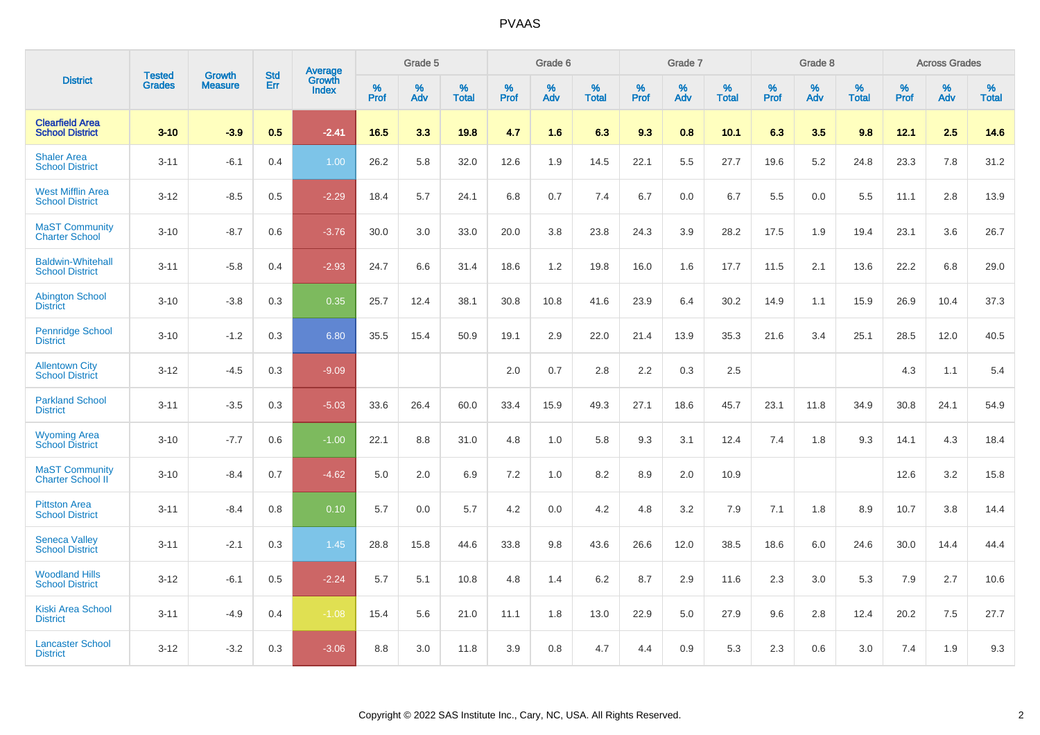|                                                    |                                |                                 | <b>Std</b> | Average                |           | Grade 5  |                   |           | Grade 6  |                   |           | Grade 7  |                   |           | Grade 8  |                   |           | <b>Across Grades</b> |                   |
|----------------------------------------------------|--------------------------------|---------------------------------|------------|------------------------|-----------|----------|-------------------|-----------|----------|-------------------|-----------|----------|-------------------|-----------|----------|-------------------|-----------|----------------------|-------------------|
| <b>District</b>                                    | <b>Tested</b><br><b>Grades</b> | <b>Growth</b><br><b>Measure</b> | Err        | Growth<br><b>Index</b> | %<br>Prof | %<br>Adv | %<br><b>Total</b> | %<br>Prof | %<br>Adv | %<br><b>Total</b> | %<br>Prof | %<br>Adv | %<br><b>Total</b> | %<br>Prof | %<br>Adv | %<br><b>Total</b> | %<br>Prof | %<br>Adv             | %<br><b>Total</b> |
| <b>Clearfield Area</b><br><b>School District</b>   | $3 - 10$                       | $-3.9$                          | 0.5        | $-2.41$                | 16.5      | 3.3      | 19.8              | 4.7       | 1.6      | 6.3               | 9.3       | 0.8      | 10.1              | 6.3       | 3.5      | 9.8               | 12.1      | 2.5                  | 14.6              |
| <b>Shaler Area</b><br><b>School District</b>       | $3 - 11$                       | $-6.1$                          | 0.4        | 1.00                   | 26.2      | 5.8      | 32.0              | 12.6      | 1.9      | 14.5              | 22.1      | 5.5      | 27.7              | 19.6      | 5.2      | 24.8              | 23.3      | 7.8                  | 31.2              |
| <b>West Mifflin Area</b><br><b>School District</b> | $3 - 12$                       | $-8.5$                          | 0.5        | $-2.29$                | 18.4      | 5.7      | 24.1              | 6.8       | 0.7      | 7.4               | 6.7       | 0.0      | 6.7               | 5.5       | 0.0      | 5.5               | 11.1      | 2.8                  | 13.9              |
| <b>MaST Community</b><br><b>Charter School</b>     | $3 - 10$                       | $-8.7$                          | 0.6        | $-3.76$                | 30.0      | 3.0      | 33.0              | 20.0      | 3.8      | 23.8              | 24.3      | 3.9      | 28.2              | 17.5      | 1.9      | 19.4              | 23.1      | 3.6                  | 26.7              |
| <b>Baldwin-Whitehall</b><br><b>School District</b> | $3 - 11$                       | $-5.8$                          | 0.4        | $-2.93$                | 24.7      | 6.6      | 31.4              | 18.6      | 1.2      | 19.8              | 16.0      | 1.6      | 17.7              | 11.5      | 2.1      | 13.6              | 22.2      | 6.8                  | 29.0              |
| <b>Abington School</b><br><b>District</b>          | $3 - 10$                       | $-3.8$                          | 0.3        | 0.35                   | 25.7      | 12.4     | 38.1              | 30.8      | 10.8     | 41.6              | 23.9      | 6.4      | 30.2              | 14.9      | 1.1      | 15.9              | 26.9      | 10.4                 | 37.3              |
| <b>Pennridge School</b><br><b>District</b>         | $3 - 10$                       | $-1.2$                          | 0.3        | 6.80                   | 35.5      | 15.4     | 50.9              | 19.1      | 2.9      | 22.0              | 21.4      | 13.9     | 35.3              | 21.6      | 3.4      | 25.1              | 28.5      | 12.0                 | 40.5              |
| <b>Allentown City</b><br><b>School District</b>    | $3 - 12$                       | $-4.5$                          | 0.3        | $-9.09$                |           |          |                   | 2.0       | 0.7      | 2.8               | 2.2       | 0.3      | 2.5               |           |          |                   | 4.3       | 1.1                  | 5.4               |
| <b>Parkland School</b><br><b>District</b>          | $3 - 11$                       | $-3.5$                          | 0.3        | $-5.03$                | 33.6      | 26.4     | 60.0              | 33.4      | 15.9     | 49.3              | 27.1      | 18.6     | 45.7              | 23.1      | 11.8     | 34.9              | 30.8      | 24.1                 | 54.9              |
| <b>Wyoming Area</b><br><b>School District</b>      | $3 - 10$                       | $-7.7$                          | 0.6        | $-1.00$                | 22.1      | 8.8      | 31.0              | 4.8       | 1.0      | 5.8               | 9.3       | 3.1      | 12.4              | 7.4       | 1.8      | 9.3               | 14.1      | 4.3                  | 18.4              |
| <b>MaST Community</b><br>Charter School II         | $3 - 10$                       | $-8.4$                          | 0.7        | $-4.62$                | 5.0       | 2.0      | 6.9               | $7.2\,$   | 1.0      | 8.2               | 8.9       | 2.0      | 10.9              |           |          |                   | 12.6      | 3.2                  | 15.8              |
| <b>Pittston Area</b><br><b>School District</b>     | $3 - 11$                       | $-8.4$                          | 0.8        | 0.10                   | 5.7       | 0.0      | 5.7               | 4.2       | 0.0      | 4.2               | 4.8       | 3.2      | 7.9               | 7.1       | 1.8      | 8.9               | 10.7      | 3.8                  | 14.4              |
| <b>Seneca Valley</b><br><b>School District</b>     | $3 - 11$                       | $-2.1$                          | 0.3        | 1.45                   | 28.8      | 15.8     | 44.6              | 33.8      | 9.8      | 43.6              | 26.6      | 12.0     | 38.5              | 18.6      | 6.0      | 24.6              | 30.0      | 14.4                 | 44.4              |
| <b>Woodland Hills</b><br><b>School District</b>    | $3 - 12$                       | $-6.1$                          | 0.5        | $-2.24$                | 5.7       | 5.1      | 10.8              | 4.8       | 1.4      | 6.2               | 8.7       | 2.9      | 11.6              | 2.3       | 3.0      | 5.3               | 7.9       | 2.7                  | 10.6              |
| <b>Kiski Area School</b><br><b>District</b>        | $3 - 11$                       | $-4.9$                          | 0.4        | $-1.08$                | 15.4      | 5.6      | 21.0              | 11.1      | 1.8      | 13.0              | 22.9      | 5.0      | 27.9              | 9.6       | 2.8      | 12.4              | 20.2      | 7.5                  | 27.7              |
| <b>Lancaster School</b><br><b>District</b>         | $3 - 12$                       | $-3.2$                          | 0.3        | $-3.06$                | 8.8       | 3.0      | 11.8              | 3.9       | 0.8      | 4.7               | 4.4       | 0.9      | 5.3               | 2.3       | 0.6      | 3.0               | 7.4       | 1.9                  | 9.3               |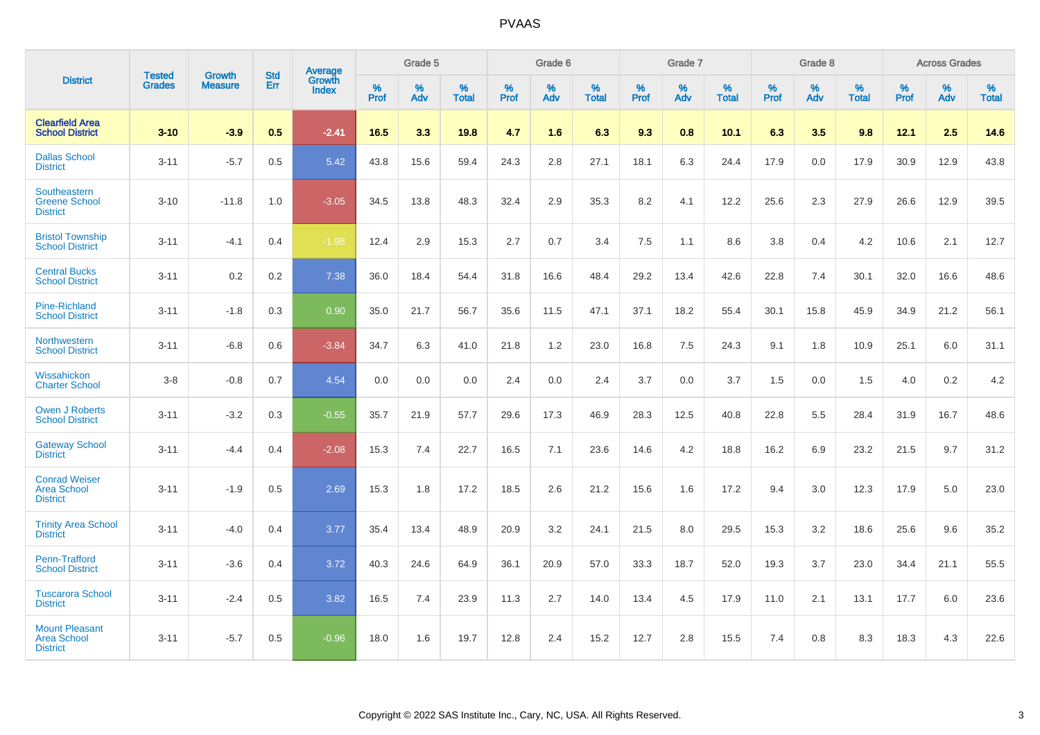|                                                                |                         |                                 | <b>Std</b> | Average         |           | Grade 5  |                   |           | Grade 6  |                   |           | Grade 7  |                   |           | Grade 8  |                   |           | <b>Across Grades</b> |                   |
|----------------------------------------------------------------|-------------------------|---------------------------------|------------|-----------------|-----------|----------|-------------------|-----------|----------|-------------------|-----------|----------|-------------------|-----------|----------|-------------------|-----------|----------------------|-------------------|
| <b>District</b>                                                | <b>Tested</b><br>Grades | <b>Growth</b><br><b>Measure</b> | Err        | Growth<br>Index | %<br>Prof | %<br>Adv | %<br><b>Total</b> | %<br>Prof | %<br>Adv | %<br><b>Total</b> | %<br>Prof | %<br>Adv | %<br><b>Total</b> | %<br>Prof | %<br>Adv | %<br><b>Total</b> | %<br>Prof | %<br>Adv             | %<br><b>Total</b> |
| <b>Clearfield Area</b><br><b>School District</b>               | $3 - 10$                | $-3.9$                          | 0.5        | $-2.41$         | 16.5      | 3.3      | 19.8              | 4.7       | 1.6      | 6.3               | 9.3       | 0.8      | 10.1              | 6.3       | 3.5      | 9.8               | 12.1      | 2.5                  | 14.6              |
| <b>Dallas School</b><br><b>District</b>                        | $3 - 11$                | $-5.7$                          | 0.5        | 5.42            | 43.8      | 15.6     | 59.4              | 24.3      | 2.8      | 27.1              | 18.1      | 6.3      | 24.4              | 17.9      | 0.0      | 17.9              | 30.9      | 12.9                 | 43.8              |
| Southeastern<br><b>Greene School</b><br><b>District</b>        | $3 - 10$                | $-11.8$                         | 1.0        | $-3.05$         | 34.5      | 13.8     | 48.3              | 32.4      | 2.9      | 35.3              | 8.2       | 4.1      | 12.2              | 25.6      | 2.3      | 27.9              | 26.6      | 12.9                 | 39.5              |
| <b>Bristol Township</b><br><b>School District</b>              | $3 - 11$                | $-4.1$                          | 0.4        | $-1.98$         | 12.4      | 2.9      | 15.3              | 2.7       | 0.7      | 3.4               | 7.5       | 1.1      | 8.6               | 3.8       | 0.4      | 4.2               | 10.6      | 2.1                  | 12.7              |
| <b>Central Bucks</b><br><b>School District</b>                 | $3 - 11$                | 0.2                             | 0.2        | 7.38            | 36.0      | 18.4     | 54.4              | 31.8      | 16.6     | 48.4              | 29.2      | 13.4     | 42.6              | 22.8      | 7.4      | 30.1              | 32.0      | 16.6                 | 48.6              |
| <b>Pine-Richland</b><br><b>School District</b>                 | $3 - 11$                | $-1.8$                          | 0.3        | 0.90            | 35.0      | 21.7     | 56.7              | 35.6      | 11.5     | 47.1              | 37.1      | 18.2     | 55.4              | 30.1      | 15.8     | 45.9              | 34.9      | 21.2                 | 56.1              |
| Northwestern<br><b>School District</b>                         | $3 - 11$                | $-6.8$                          | 0.6        | $-3.84$         | 34.7      | 6.3      | 41.0              | 21.8      | 1.2      | 23.0              | 16.8      | 7.5      | 24.3              | 9.1       | 1.8      | 10.9              | 25.1      | 6.0                  | 31.1              |
| Wissahickon<br><b>Charter School</b>                           | $3-8$                   | $-0.8$                          | 0.7        | 4.54            | 0.0       | 0.0      | 0.0               | 2.4       | 0.0      | 2.4               | 3.7       | 0.0      | 3.7               | 1.5       | 0.0      | 1.5               | 4.0       | $0.2\,$              | 4.2               |
| <b>Owen J Roberts</b><br><b>School District</b>                | $3 - 11$                | $-3.2$                          | 0.3        | $-0.55$         | 35.7      | 21.9     | 57.7              | 29.6      | 17.3     | 46.9              | 28.3      | 12.5     | 40.8              | 22.8      | 5.5      | 28.4              | 31.9      | 16.7                 | 48.6              |
| <b>Gateway School</b><br><b>District</b>                       | $3 - 11$                | $-4.4$                          | 0.4        | $-2.08$         | 15.3      | 7.4      | 22.7              | 16.5      | 7.1      | 23.6              | 14.6      | 4.2      | 18.8              | 16.2      | 6.9      | 23.2              | 21.5      | 9.7                  | 31.2              |
| <b>Conrad Weiser</b><br><b>Area School</b><br><b>District</b>  | $3 - 11$                | $-1.9$                          | 0.5        | 2.69            | 15.3      | 1.8      | 17.2              | 18.5      | 2.6      | 21.2              | 15.6      | 1.6      | 17.2              | 9.4       | 3.0      | 12.3              | 17.9      | 5.0                  | 23.0              |
| <b>Trinity Area School</b><br><b>District</b>                  | $3 - 11$                | $-4.0$                          | 0.4        | 3.77            | 35.4      | 13.4     | 48.9              | 20.9      | 3.2      | 24.1              | 21.5      | 8.0      | 29.5              | 15.3      | 3.2      | 18.6              | 25.6      | 9.6                  | 35.2              |
| Penn-Trafford<br><b>School District</b>                        | $3 - 11$                | $-3.6$                          | 0.4        | 3.72            | 40.3      | 24.6     | 64.9              | 36.1      | 20.9     | 57.0              | 33.3      | 18.7     | 52.0              | 19.3      | 3.7      | 23.0              | 34.4      | 21.1                 | 55.5              |
| <b>Tuscarora School</b><br><b>District</b>                     | $3 - 11$                | $-2.4$                          | 0.5        | 3.82            | 16.5      | 7.4      | 23.9              | 11.3      | 2.7      | 14.0              | 13.4      | 4.5      | 17.9              | 11.0      | 2.1      | 13.1              | 17.7      | 6.0                  | 23.6              |
| <b>Mount Pleasant</b><br><b>Area School</b><br><b>District</b> | $3 - 11$                | $-5.7$                          | 0.5        | $-0.96$         | 18.0      | 1.6      | 19.7              | 12.8      | 2.4      | 15.2              | 12.7      | 2.8      | 15.5              | 7.4       | 0.8      | 8.3               | 18.3      | 4.3                  | 22.6              |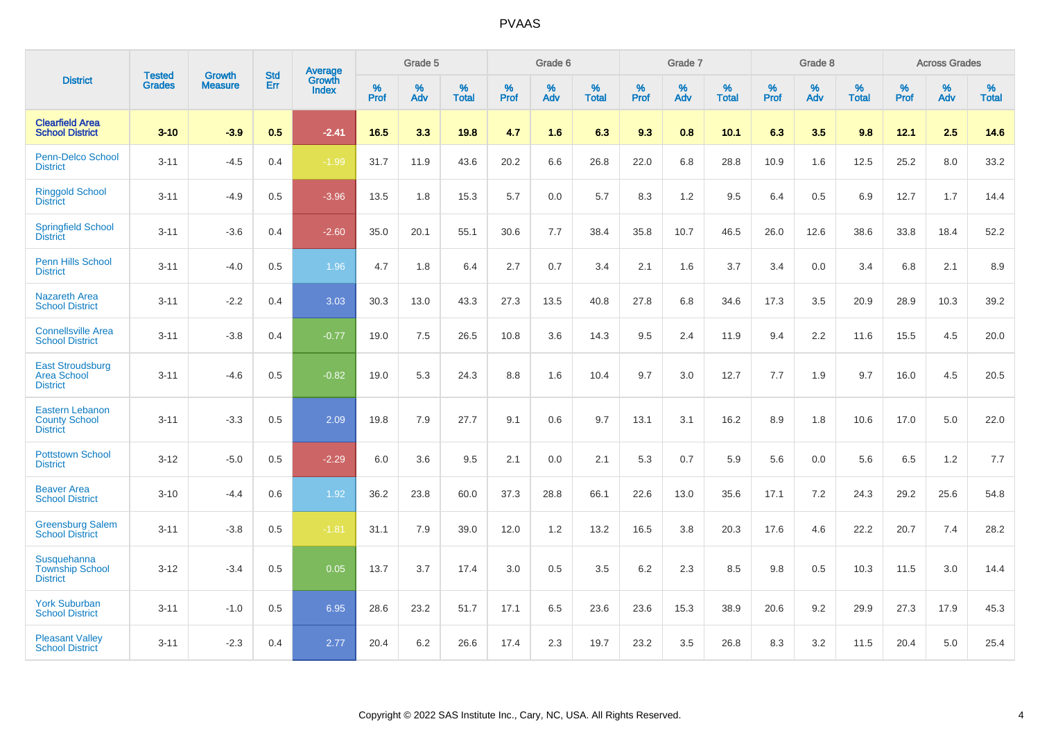|                                                                   |                                |                                 | <b>Std</b> | Average                       |           | Grade 5  |                   |           | Grade 6  |                   |           | Grade 7  |                   |           | Grade 8  |                   |           | <b>Across Grades</b> |                   |
|-------------------------------------------------------------------|--------------------------------|---------------------------------|------------|-------------------------------|-----------|----------|-------------------|-----------|----------|-------------------|-----------|----------|-------------------|-----------|----------|-------------------|-----------|----------------------|-------------------|
| <b>District</b>                                                   | <b>Tested</b><br><b>Grades</b> | <b>Growth</b><br><b>Measure</b> | Err        | <b>Growth</b><br><b>Index</b> | %<br>Prof | %<br>Adv | %<br><b>Total</b> | %<br>Prof | %<br>Adv | %<br><b>Total</b> | %<br>Prof | %<br>Adv | %<br><b>Total</b> | %<br>Prof | %<br>Adv | %<br><b>Total</b> | %<br>Prof | %<br>Adv             | %<br><b>Total</b> |
| <b>Clearfield Area</b><br><b>School District</b>                  | $3 - 10$                       | $-3.9$                          | 0.5        | $-2.41$                       | 16.5      | 3.3      | 19.8              | 4.7       | 1.6      | 6.3               | 9.3       | 0.8      | 10.1              | 6.3       | 3.5      | 9.8               | 12.1      | 2.5                  | 14.6              |
| Penn-Delco School<br><b>District</b>                              | $3 - 11$                       | $-4.5$                          | 0.4        | $-1.99$                       | 31.7      | 11.9     | 43.6              | 20.2      | 6.6      | 26.8              | 22.0      | 6.8      | 28.8              | 10.9      | 1.6      | 12.5              | 25.2      | 8.0                  | 33.2              |
| <b>Ringgold School</b><br><b>District</b>                         | $3 - 11$                       | $-4.9$                          | 0.5        | $-3.96$                       | 13.5      | 1.8      | 15.3              | 5.7       | 0.0      | 5.7               | 8.3       | 1.2      | 9.5               | 6.4       | 0.5      | 6.9               | 12.7      | 1.7                  | 14.4              |
| <b>Springfield School</b><br><b>District</b>                      | $3 - 11$                       | $-3.6$                          | 0.4        | $-2.60$                       | 35.0      | 20.1     | 55.1              | 30.6      | 7.7      | 38.4              | 35.8      | 10.7     | 46.5              | 26.0      | 12.6     | 38.6              | 33.8      | 18.4                 | 52.2              |
| Penn Hills School<br><b>District</b>                              | $3 - 11$                       | $-4.0$                          | 0.5        | 1.96                          | 4.7       | 1.8      | 6.4               | 2.7       | 0.7      | 3.4               | 2.1       | 1.6      | 3.7               | 3.4       | 0.0      | 3.4               | 6.8       | 2.1                  | 8.9               |
| <b>Nazareth Area</b><br><b>School District</b>                    | $3 - 11$                       | $-2.2$                          | 0.4        | 3.03                          | 30.3      | 13.0     | 43.3              | 27.3      | 13.5     | 40.8              | 27.8      | 6.8      | 34.6              | 17.3      | 3.5      | 20.9              | 28.9      | 10.3                 | 39.2              |
| <b>Connellsville Area</b><br><b>School District</b>               | $3 - 11$                       | $-3.8$                          | 0.4        | $-0.77$                       | 19.0      | 7.5      | 26.5              | 10.8      | 3.6      | 14.3              | 9.5       | 2.4      | 11.9              | 9.4       | 2.2      | 11.6              | 15.5      | 4.5                  | 20.0              |
| <b>East Stroudsburg</b><br><b>Area School</b><br><b>District</b>  | $3 - 11$                       | $-4.6$                          | 0.5        | $-0.82$                       | 19.0      | 5.3      | 24.3              | 8.8       | 1.6      | 10.4              | 9.7       | 3.0      | 12.7              | 7.7       | 1.9      | 9.7               | 16.0      | 4.5                  | 20.5              |
| <b>Eastern Lebanon</b><br><b>County School</b><br><b>District</b> | $3 - 11$                       | $-3.3$                          | 0.5        | 2.09                          | 19.8      | 7.9      | 27.7              | 9.1       | 0.6      | 9.7               | 13.1      | 3.1      | 16.2              | 8.9       | 1.8      | 10.6              | 17.0      | 5.0                  | 22.0              |
| <b>Pottstown School</b><br><b>District</b>                        | $3 - 12$                       | $-5.0$                          | 0.5        | $-2.29$                       | 6.0       | 3.6      | 9.5               | 2.1       | 0.0      | 2.1               | 5.3       | 0.7      | 5.9               | 5.6       | 0.0      | 5.6               | 6.5       | 1.2                  | 7.7               |
| <b>Beaver Area</b><br><b>School District</b>                      | $3 - 10$                       | $-4.4$                          | 0.6        | 1.92                          | 36.2      | 23.8     | 60.0              | 37.3      | 28.8     | 66.1              | 22.6      | 13.0     | 35.6              | 17.1      | 7.2      | 24.3              | 29.2      | 25.6                 | 54.8              |
| <b>Greensburg Salem</b><br><b>School District</b>                 | $3 - 11$                       | $-3.8$                          | 0.5        | $-1.81$                       | 31.1      | 7.9      | 39.0              | 12.0      | 1.2      | 13.2              | 16.5      | 3.8      | 20.3              | 17.6      | 4.6      | 22.2              | 20.7      | 7.4                  | 28.2              |
| Susquehanna<br><b>Township School</b><br><b>District</b>          | $3 - 12$                       | $-3.4$                          | 0.5        | 0.05                          | 13.7      | 3.7      | 17.4              | 3.0       | 0.5      | 3.5               | 6.2       | 2.3      | 8.5               | 9.8       | 0.5      | 10.3              | 11.5      | 3.0                  | 14.4              |
| <b>York Suburban</b><br><b>School District</b>                    | $3 - 11$                       | $-1.0$                          | 0.5        | 6.95                          | 28.6      | 23.2     | 51.7              | 17.1      | 6.5      | 23.6              | 23.6      | 15.3     | 38.9              | 20.6      | 9.2      | 29.9              | 27.3      | 17.9                 | 45.3              |
| <b>Pleasant Valley</b><br><b>School District</b>                  | $3 - 11$                       | $-2.3$                          | 0.4        | 2.77                          | 20.4      | 6.2      | 26.6              | 17.4      | 2.3      | 19.7              | 23.2      | 3.5      | 26.8              | 8.3       | 3.2      | 11.5              | 20.4      | 5.0                  | 25.4              |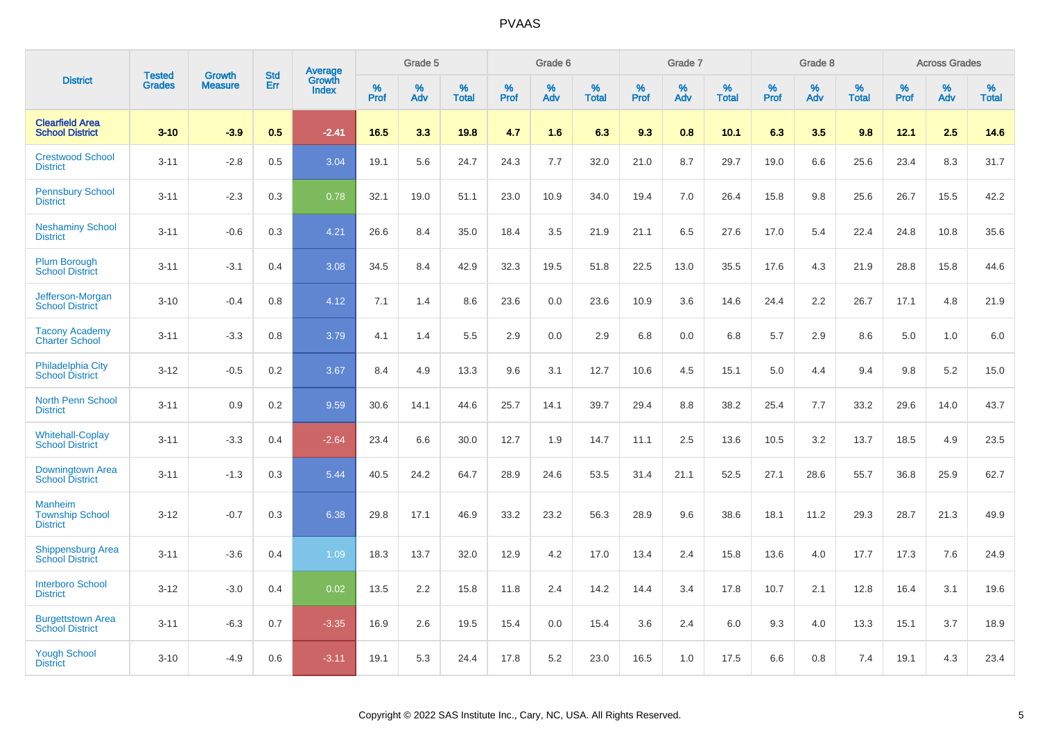|                                                      |                                | <b>Growth</b>  | <b>Std</b> | Average                |              | Grade 5  |                      |              | Grade 6     |                      |              | Grade 7  |                      |              | Grade 8     |                      |              | <b>Across Grades</b> |                      |
|------------------------------------------------------|--------------------------------|----------------|------------|------------------------|--------------|----------|----------------------|--------------|-------------|----------------------|--------------|----------|----------------------|--------------|-------------|----------------------|--------------|----------------------|----------------------|
| <b>District</b>                                      | <b>Tested</b><br><b>Grades</b> | <b>Measure</b> | Err        | Growth<br><b>Index</b> | $\%$<br>Prof | %<br>Adv | $\%$<br><b>Total</b> | $\%$<br>Prof | $\%$<br>Adv | $\%$<br><b>Total</b> | $\%$<br>Prof | %<br>Adv | $\%$<br><b>Total</b> | $\%$<br>Prof | $\%$<br>Adv | $\%$<br><b>Total</b> | $\%$<br>Prof | $\%$<br>Adv          | $\%$<br><b>Total</b> |
| <b>Clearfield Area</b><br><b>School District</b>     | $3 - 10$                       | $-3.9$         | 0.5        | $-2.41$                | 16.5         | 3.3      | 19.8                 | 4.7          | 1.6         | 6.3                  | 9.3          | 0.8      | 10.1                 | 6.3          | 3.5         | 9.8                  | 12.1         | 2.5                  | 14.6                 |
| <b>Crestwood School</b><br><b>District</b>           | $3 - 11$                       | $-2.8$         | 0.5        | 3.04                   | 19.1         | 5.6      | 24.7                 | 24.3         | 7.7         | 32.0                 | 21.0         | 8.7      | 29.7                 | 19.0         | 6.6         | 25.6                 | 23.4         | 8.3                  | 31.7                 |
| <b>Pennsbury School</b><br><b>District</b>           | $3 - 11$                       | $-2.3$         | 0.3        | 0.78                   | 32.1         | 19.0     | 51.1                 | 23.0         | 10.9        | 34.0                 | 19.4         | 7.0      | 26.4                 | 15.8         | 9.8         | 25.6                 | 26.7         | 15.5                 | 42.2                 |
| <b>Neshaminy School</b><br><b>District</b>           | $3 - 11$                       | $-0.6$         | 0.3        | 4.21                   | 26.6         | 8.4      | 35.0                 | 18.4         | 3.5         | 21.9                 | 21.1         | 6.5      | 27.6                 | 17.0         | 5.4         | 22.4                 | 24.8         | 10.8                 | 35.6                 |
| <b>Plum Borough</b><br><b>School District</b>        | $3 - 11$                       | $-3.1$         | 0.4        | 3.08                   | 34.5         | 8.4      | 42.9                 | 32.3         | 19.5        | 51.8                 | 22.5         | 13.0     | 35.5                 | 17.6         | 4.3         | 21.9                 | 28.8         | 15.8                 | 44.6                 |
| Jefferson-Morgan<br><b>School District</b>           | $3 - 10$                       | $-0.4$         | 0.8        | 4.12                   | 7.1          | 1.4      | 8.6                  | 23.6         | 0.0         | 23.6                 | 10.9         | 3.6      | 14.6                 | 24.4         | 2.2         | 26.7                 | 17.1         | 4.8                  | 21.9                 |
| <b>Tacony Academy</b><br><b>Charter School</b>       | $3 - 11$                       | $-3.3$         | 0.8        | 3.79                   | 4.1          | 1.4      | 5.5                  | 2.9          | 0.0         | 2.9                  | 6.8          | 0.0      | 6.8                  | 5.7          | 2.9         | 8.6                  | 5.0          | 1.0                  | 6.0                  |
| <b>Philadelphia City</b><br><b>School District</b>   | $3 - 12$                       | $-0.5$         | 0.2        | 3.67                   | 8.4          | 4.9      | 13.3                 | 9.6          | 3.1         | 12.7                 | 10.6         | 4.5      | 15.1                 | 5.0          | 4.4         | 9.4                  | 9.8          | 5.2                  | 15.0                 |
| <b>North Penn School</b><br><b>District</b>          | $3 - 11$                       | 0.9            | 0.2        | 9.59                   | 30.6         | 14.1     | 44.6                 | 25.7         | 14.1        | 39.7                 | 29.4         | 8.8      | 38.2                 | 25.4         | 7.7         | 33.2                 | 29.6         | 14.0                 | 43.7                 |
| <b>Whitehall-Coplay</b><br><b>School District</b>    | $3 - 11$                       | $-3.3$         | 0.4        | $-2.64$                | 23.4         | 6.6      | 30.0                 | 12.7         | 1.9         | 14.7                 | 11.1         | 2.5      | 13.6                 | 10.5         | 3.2         | 13.7                 | 18.5         | 4.9                  | 23.5                 |
| Downingtown Area<br><b>School District</b>           | $3 - 11$                       | $-1.3$         | 0.3        | 5.44                   | 40.5         | 24.2     | 64.7                 | 28.9         | 24.6        | 53.5                 | 31.4         | 21.1     | 52.5                 | 27.1         | 28.6        | 55.7                 | 36.8         | 25.9                 | 62.7                 |
| Manheim<br><b>Township School</b><br><b>District</b> | $3 - 12$                       | $-0.7$         | 0.3        | 6.38                   | 29.8         | 17.1     | 46.9                 | 33.2         | 23.2        | 56.3                 | 28.9         | 9.6      | 38.6                 | 18.1         | 11.2        | 29.3                 | 28.7         | 21.3                 | 49.9                 |
| <b>Shippensburg Area</b><br><b>School District</b>   | $3 - 11$                       | $-3.6$         | 0.4        | 1.09                   | 18.3         | 13.7     | 32.0                 | 12.9         | 4.2         | 17.0                 | 13.4         | 2.4      | 15.8                 | 13.6         | 4.0         | 17.7                 | 17.3         | 7.6                  | 24.9                 |
| <b>Interboro School</b><br><b>District</b>           | $3 - 12$                       | $-3.0$         | 0.4        | 0.02                   | 13.5         | 2.2      | 15.8                 | 11.8         | 2.4         | 14.2                 | 14.4         | 3.4      | 17.8                 | 10.7         | 2.1         | 12.8                 | 16.4         | 3.1                  | 19.6                 |
| <b>Burgettstown Area</b><br><b>School District</b>   | $3 - 11$                       | $-6.3$         | 0.7        | $-3.35$                | 16.9         | 2.6      | 19.5                 | 15.4         | 0.0         | 15.4                 | 3.6          | 2.4      | 6.0                  | 9.3          | 4.0         | 13.3                 | 15.1         | 3.7                  | 18.9                 |
| <b>Yough School</b><br><b>District</b>               | $3 - 10$                       | $-4.9$         | 0.6        | $-3.11$                | 19.1         | 5.3      | 24.4                 | 17.8         | 5.2         | 23.0                 | 16.5         | 1.0      | 17.5                 | 6.6          | 0.8         | 7.4                  | 19.1         | 4.3                  | 23.4                 |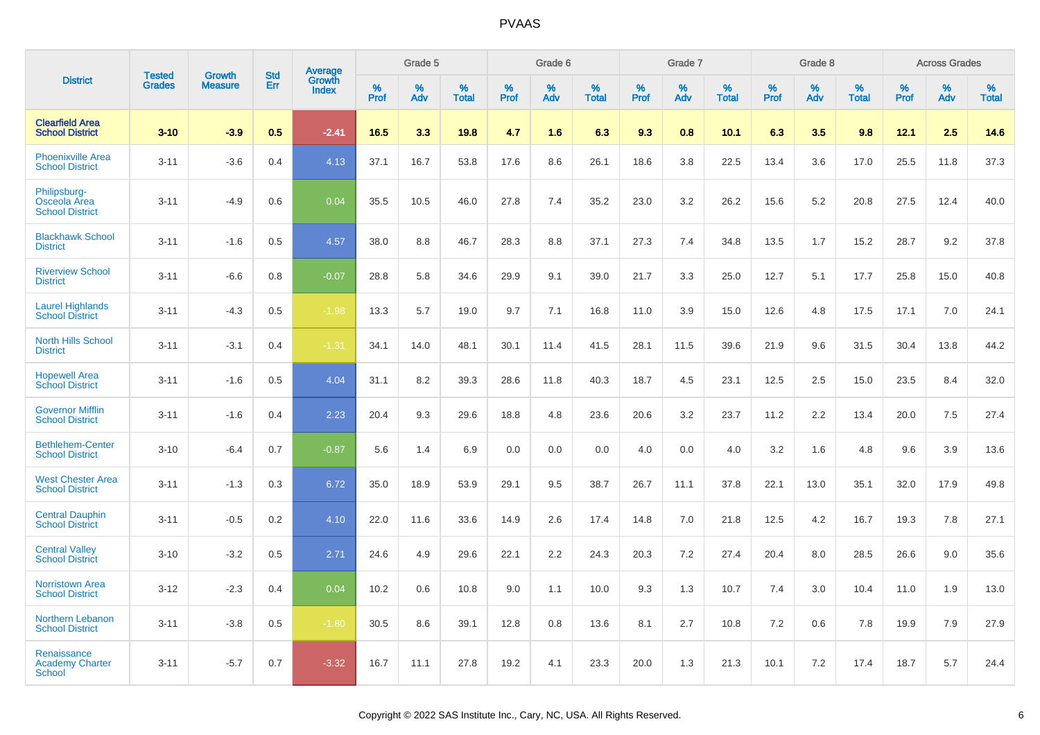|                                                        | <b>Tested</b> | <b>Growth</b>  | <b>Std</b> | Average                |              | Grade 5  |                   |              | Grade 6  |                   |              | Grade 7  |                   |              | Grade 8  |                   |              | <b>Across Grades</b> |                   |
|--------------------------------------------------------|---------------|----------------|------------|------------------------|--------------|----------|-------------------|--------------|----------|-------------------|--------------|----------|-------------------|--------------|----------|-------------------|--------------|----------------------|-------------------|
| <b>District</b>                                        | <b>Grades</b> | <b>Measure</b> | Err        | Growth<br><b>Index</b> | $\%$<br>Prof | %<br>Adv | %<br><b>Total</b> | $\%$<br>Prof | %<br>Adv | %<br><b>Total</b> | $\%$<br>Prof | %<br>Adv | %<br><b>Total</b> | $\%$<br>Prof | %<br>Adv | %<br><b>Total</b> | $\%$<br>Prof | %<br>Adv             | %<br><b>Total</b> |
| <b>Clearfield Area</b><br><b>School District</b>       | $3 - 10$      | $-3.9$         | 0.5        | $-2.41$                | 16.5         | 3.3      | 19.8              | 4.7          | 1.6      | 6.3               | 9.3          | 0.8      | 10.1              | 6.3          | 3.5      | 9.8               | 12.1         | 2.5                  | 14.6              |
| <b>Phoenixville Area</b><br><b>School District</b>     | $3 - 11$      | $-3.6$         | 0.4        | 4.13                   | 37.1         | 16.7     | 53.8              | 17.6         | 8.6      | 26.1              | 18.6         | 3.8      | 22.5              | 13.4         | 3.6      | 17.0              | 25.5         | 11.8                 | 37.3              |
| Philipsburg-<br>Osceola Area<br><b>School District</b> | $3 - 11$      | $-4.9$         | 0.6        | 0.04                   | 35.5         | 10.5     | 46.0              | 27.8         | 7.4      | 35.2              | 23.0         | 3.2      | 26.2              | 15.6         | 5.2      | 20.8              | 27.5         | 12.4                 | 40.0              |
| <b>Blackhawk School</b><br><b>District</b>             | $3 - 11$      | $-1.6$         | 0.5        | 4.57                   | 38.0         | 8.8      | 46.7              | 28.3         | 8.8      | 37.1              | 27.3         | 7.4      | 34.8              | 13.5         | 1.7      | 15.2              | 28.7         | 9.2                  | 37.8              |
| <b>Riverview School</b><br><b>District</b>             | $3 - 11$      | $-6.6$         | 0.8        | $-0.07$                | 28.8         | 5.8      | 34.6              | 29.9         | 9.1      | 39.0              | 21.7         | 3.3      | 25.0              | 12.7         | 5.1      | 17.7              | 25.8         | 15.0                 | 40.8              |
| <b>Laurel Highlands</b><br><b>School District</b>      | $3 - 11$      | $-4.3$         | 0.5        | $-1.98$                | 13.3         | 5.7      | 19.0              | 9.7          | 7.1      | 16.8              | 11.0         | 3.9      | 15.0              | 12.6         | 4.8      | 17.5              | 17.1         | 7.0                  | 24.1              |
| <b>North Hills School</b><br><b>District</b>           | $3 - 11$      | $-3.1$         | 0.4        | $-1.31$                | 34.1         | 14.0     | 48.1              | 30.1         | 11.4     | 41.5              | 28.1         | 11.5     | 39.6              | 21.9         | 9.6      | 31.5              | 30.4         | 13.8                 | 44.2              |
| <b>Hopewell Area</b><br><b>School District</b>         | $3 - 11$      | $-1.6$         | 0.5        | 4.04                   | 31.1         | 8.2      | 39.3              | 28.6         | 11.8     | 40.3              | 18.7         | 4.5      | 23.1              | 12.5         | 2.5      | 15.0              | 23.5         | 8.4                  | 32.0              |
| <b>Governor Mifflin</b><br><b>School District</b>      | $3 - 11$      | $-1.6$         | 0.4        | 2.23                   | 20.4         | 9.3      | 29.6              | 18.8         | 4.8      | 23.6              | 20.6         | 3.2      | 23.7              | 11.2         | 2.2      | 13.4              | 20.0         | 7.5                  | 27.4              |
| <b>Bethlehem-Center</b><br><b>School District</b>      | $3 - 10$      | $-6.4$         | 0.7        | $-0.87$                | 5.6          | 1.4      | 6.9               | 0.0          | 0.0      | 0.0               | 4.0          | 0.0      | 4.0               | 3.2          | 1.6      | 4.8               | 9.6          | 3.9                  | 13.6              |
| <b>West Chester Area</b><br><b>School District</b>     | $3 - 11$      | $-1.3$         | 0.3        | 6.72                   | 35.0         | 18.9     | 53.9              | 29.1         | 9.5      | 38.7              | 26.7         | 11.1     | 37.8              | 22.1         | 13.0     | 35.1              | 32.0         | 17.9                 | 49.8              |
| <b>Central Dauphin</b><br><b>School District</b>       | $3 - 11$      | $-0.5$         | 0.2        | 4.10                   | 22.0         | 11.6     | 33.6              | 14.9         | 2.6      | 17.4              | 14.8         | 7.0      | 21.8              | 12.5         | 4.2      | 16.7              | 19.3         | 7.8                  | 27.1              |
| <b>Central Valley</b><br><b>School District</b>        | $3 - 10$      | $-3.2$         | 0.5        | 2.71                   | 24.6         | 4.9      | 29.6              | 22.1         | 2.2      | 24.3              | 20.3         | 7.2      | 27.4              | 20.4         | 8.0      | 28.5              | 26.6         | 9.0                  | 35.6              |
| <b>Norristown Area</b><br><b>School District</b>       | $3 - 12$      | $-2.3$         | 0.4        | 0.04                   | 10.2         | 0.6      | 10.8              | 9.0          | 1.1      | 10.0              | 9.3          | 1.3      | 10.7              | 7.4          | 3.0      | 10.4              | 11.0         | 1.9                  | 13.0              |
| Northern Lebanon<br><b>School District</b>             | $3 - 11$      | $-3.8$         | 0.5        | $-1.80$                | 30.5         | 8.6      | 39.1              | 12.8         | 0.8      | 13.6              | 8.1          | 2.7      | 10.8              | 7.2          | 0.6      | 7.8               | 19.9         | 7.9                  | 27.9              |
| Renaissance<br><b>Academy Charter</b><br>School        | $3 - 11$      | $-5.7$         | 0.7        | $-3.32$                | 16.7         | 11.1     | 27.8              | 19.2         | 4.1      | 23.3              | 20.0         | 1.3      | 21.3              | 10.1         | 7.2      | 17.4              | 18.7         | 5.7                  | 24.4              |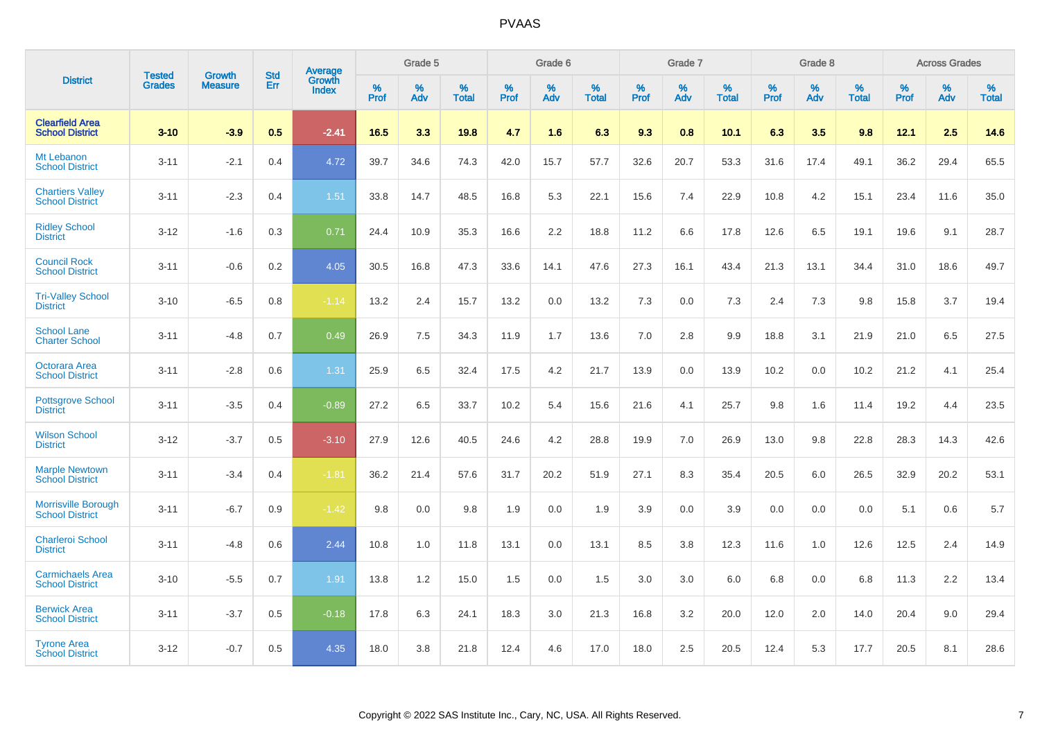|                                                      |                                | <b>Growth</b>  | <b>Std</b> |                                          |              | Grade 5     |                      |              | Grade 6  |                      |              | Grade 7  |                   |              | Grade 8  |                      |              | <b>Across Grades</b> |                   |
|------------------------------------------------------|--------------------------------|----------------|------------|------------------------------------------|--------------|-------------|----------------------|--------------|----------|----------------------|--------------|----------|-------------------|--------------|----------|----------------------|--------------|----------------------|-------------------|
| <b>District</b>                                      | <b>Tested</b><br><b>Grades</b> | <b>Measure</b> | Err        | <b>Average</b><br>Growth<br><b>Index</b> | $\%$<br>Prof | $\%$<br>Adv | $\%$<br><b>Total</b> | $\%$<br>Prof | %<br>Adv | $\%$<br><b>Total</b> | $\%$<br>Prof | %<br>Adv | %<br><b>Total</b> | $\%$<br>Prof | %<br>Adv | $\%$<br><b>Total</b> | $\%$<br>Prof | $\%$<br>Adv          | %<br><b>Total</b> |
| <b>Clearfield Area</b><br><b>School District</b>     | $3 - 10$                       | $-3.9$         | 0.5        | $-2.41$                                  | 16.5         | 3.3         | 19.8                 | 4.7          | 1.6      | 6.3                  | 9.3          | 0.8      | 10.1              | 6.3          | 3.5      | 9.8                  | 12.1         | 2.5                  | 14.6              |
| Mt Lebanon<br><b>School District</b>                 | $3 - 11$                       | $-2.1$         | 0.4        | 4.72                                     | 39.7         | 34.6        | 74.3                 | 42.0         | 15.7     | 57.7                 | 32.6         | 20.7     | 53.3              | 31.6         | 17.4     | 49.1                 | 36.2         | 29.4                 | 65.5              |
| <b>Chartiers Valley</b><br><b>School District</b>    | $3 - 11$                       | $-2.3$         | 0.4        | 1.51                                     | 33.8         | 14.7        | 48.5                 | 16.8         | 5.3      | 22.1                 | 15.6         | 7.4      | 22.9              | 10.8         | 4.2      | 15.1                 | 23.4         | 11.6                 | 35.0              |
| <b>Ridley School</b><br><b>District</b>              | $3 - 12$                       | $-1.6$         | 0.3        | 0.71                                     | 24.4         | 10.9        | 35.3                 | 16.6         | $2.2\,$  | 18.8                 | 11.2         | 6.6      | 17.8              | 12.6         | 6.5      | 19.1                 | 19.6         | 9.1                  | 28.7              |
| <b>Council Rock</b><br><b>School District</b>        | $3 - 11$                       | $-0.6$         | 0.2        | 4.05                                     | 30.5         | 16.8        | 47.3                 | 33.6         | 14.1     | 47.6                 | 27.3         | 16.1     | 43.4              | 21.3         | 13.1     | 34.4                 | 31.0         | 18.6                 | 49.7              |
| <b>Tri-Valley School</b><br><b>District</b>          | $3 - 10$                       | $-6.5$         | 0.8        | $-1.14$                                  | 13.2         | 2.4         | 15.7                 | 13.2         | 0.0      | 13.2                 | 7.3          | 0.0      | 7.3               | 2.4          | 7.3      | 9.8                  | 15.8         | 3.7                  | 19.4              |
| <b>School Lane</b><br><b>Charter School</b>          | $3 - 11$                       | $-4.8$         | 0.7        | 0.49                                     | 26.9         | 7.5         | 34.3                 | 11.9         | 1.7      | 13.6                 | 7.0          | 2.8      | 9.9               | 18.8         | 3.1      | 21.9                 | 21.0         | 6.5                  | 27.5              |
| Octorara Area<br><b>School District</b>              | $3 - 11$                       | $-2.8$         | 0.6        | 1.31                                     | 25.9         | 6.5         | 32.4                 | 17.5         | 4.2      | 21.7                 | 13.9         | 0.0      | 13.9              | 10.2         | 0.0      | 10.2                 | 21.2         | 4.1                  | 25.4              |
| <b>Pottsgrove School</b><br><b>District</b>          | $3 - 11$                       | $-3.5$         | 0.4        | $-0.89$                                  | 27.2         | 6.5         | 33.7                 | 10.2         | 5.4      | 15.6                 | 21.6         | 4.1      | 25.7              | 9.8          | 1.6      | 11.4                 | 19.2         | 4.4                  | 23.5              |
| <b>Wilson School</b><br><b>District</b>              | $3 - 12$                       | $-3.7$         | 0.5        | $-3.10$                                  | 27.9         | 12.6        | 40.5                 | 24.6         | 4.2      | 28.8                 | 19.9         | 7.0      | 26.9              | 13.0         | 9.8      | 22.8                 | 28.3         | 14.3                 | 42.6              |
| <b>Marple Newtown</b><br><b>School District</b>      | $3 - 11$                       | $-3.4$         | 0.4        | $-1.81$                                  | 36.2         | 21.4        | 57.6                 | 31.7         | 20.2     | 51.9                 | 27.1         | 8.3      | 35.4              | 20.5         | 6.0      | 26.5                 | 32.9         | 20.2                 | 53.1              |
| <b>Morrisville Borough</b><br><b>School District</b> | $3 - 11$                       | $-6.7$         | 0.9        | $-1.42$                                  | 9.8          | 0.0         | 9.8                  | 1.9          | 0.0      | 1.9                  | 3.9          | 0.0      | 3.9               | 0.0          | 0.0      | 0.0                  | 5.1          | 0.6                  | 5.7               |
| <b>Charleroi School</b><br><b>District</b>           | $3 - 11$                       | $-4.8$         | 0.6        | 2.44                                     | 10.8         | 1.0         | 11.8                 | 13.1         | 0.0      | 13.1                 | 8.5          | 3.8      | 12.3              | 11.6         | 1.0      | 12.6                 | 12.5         | 2.4                  | 14.9              |
| <b>Carmichaels Area</b><br><b>School District</b>    | $3 - 10$                       | $-5.5$         | 0.7        | 1.91                                     | 13.8         | 1.2         | 15.0                 | 1.5          | 0.0      | 1.5                  | 3.0          | 3.0      | 6.0               | 6.8          | 0.0      | 6.8                  | 11.3         | 2.2                  | 13.4              |
| <b>Berwick Area</b><br><b>School District</b>        | $3 - 11$                       | $-3.7$         | 0.5        | $-0.18$                                  | 17.8         | 6.3         | 24.1                 | 18.3         | 3.0      | 21.3                 | 16.8         | 3.2      | 20.0              | 12.0         | 2.0      | 14.0                 | 20.4         | 9.0                  | 29.4              |
| <b>Tyrone Area</b><br><b>School District</b>         | $3 - 12$                       | $-0.7$         | 0.5        | 4.35                                     | 18.0         | 3.8         | 21.8                 | 12.4         | 4.6      | 17.0                 | 18.0         | 2.5      | 20.5              | 12.4         | 5.3      | 17.7                 | 20.5         | 8.1                  | 28.6              |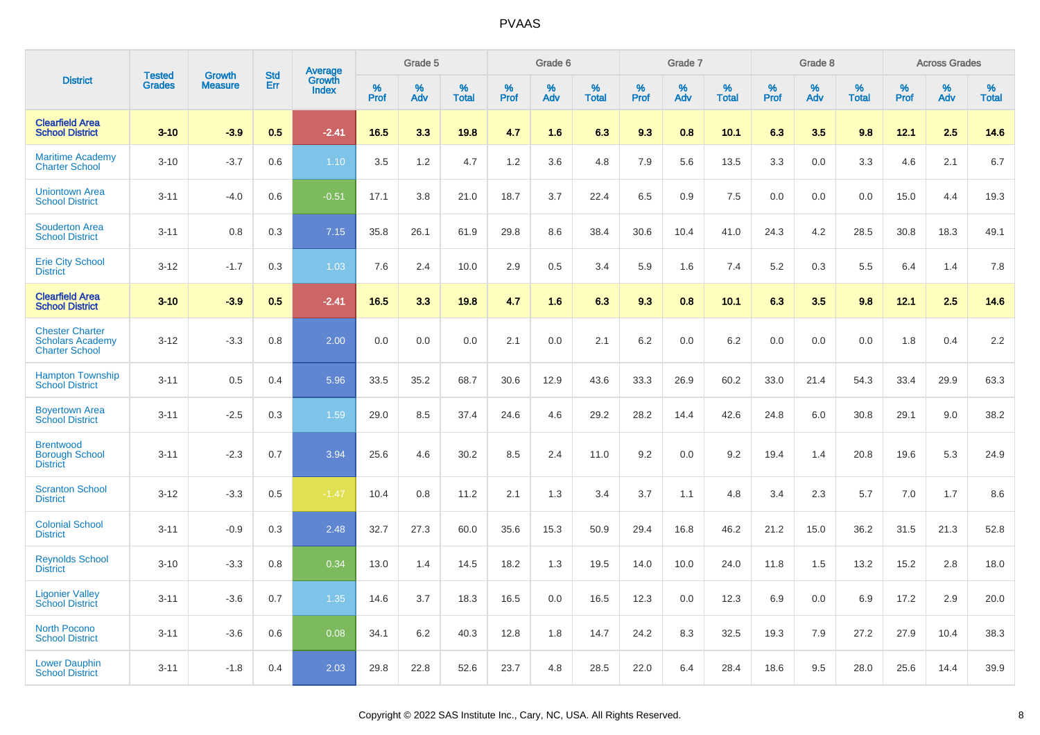|                                                                            | <b>Tested</b> | <b>Growth</b>  | <b>Std</b> | Average                |              | Grade 5  |                   |              | Grade 6  |                   |              | Grade 7  |                   |              | Grade 8  |                   |              | <b>Across Grades</b> |                   |
|----------------------------------------------------------------------------|---------------|----------------|------------|------------------------|--------------|----------|-------------------|--------------|----------|-------------------|--------------|----------|-------------------|--------------|----------|-------------------|--------------|----------------------|-------------------|
| <b>District</b>                                                            | <b>Grades</b> | <b>Measure</b> | Err        | Growth<br><b>Index</b> | $\%$<br>Prof | %<br>Adv | %<br><b>Total</b> | $\%$<br>Prof | %<br>Adv | %<br><b>Total</b> | $\%$<br>Prof | %<br>Adv | %<br><b>Total</b> | $\%$<br>Prof | %<br>Adv | %<br><b>Total</b> | $\%$<br>Prof | %<br>Adv             | %<br><b>Total</b> |
| <b>Clearfield Area</b><br><b>School District</b>                           | $3 - 10$      | $-3.9$         | 0.5        | $-2.41$                | 16.5         | 3.3      | 19.8              | 4.7          | 1.6      | 6.3               | 9.3          | 0.8      | 10.1              | 6.3          | 3.5      | 9.8               | 12.1         | 2.5                  | 14.6              |
| <b>Maritime Academy</b><br><b>Charter School</b>                           | $3 - 10$      | $-3.7$         | 0.6        | 1.10                   | 3.5          | 1.2      | 4.7               | 1.2          | 3.6      | 4.8               | 7.9          | 5.6      | 13.5              | 3.3          | 0.0      | 3.3               | 4.6          | 2.1                  | 6.7               |
| <b>Uniontown Area</b><br><b>School District</b>                            | $3 - 11$      | $-4.0$         | 0.6        | $-0.51$                | 17.1         | 3.8      | 21.0              | 18.7         | 3.7      | 22.4              | 6.5          | 0.9      | 7.5               | 0.0          | 0.0      | 0.0               | 15.0         | 4.4                  | 19.3              |
| <b>Souderton Area</b><br><b>School District</b>                            | $3 - 11$      | 0.8            | 0.3        | 7.15                   | 35.8         | 26.1     | 61.9              | 29.8         | 8.6      | 38.4              | 30.6         | 10.4     | 41.0              | 24.3         | 4.2      | 28.5              | 30.8         | 18.3                 | 49.1              |
| <b>Erie City School</b><br><b>District</b>                                 | $3 - 12$      | $-1.7$         | 0.3        | 1.03                   | 7.6          | 2.4      | 10.0              | 2.9          | 0.5      | 3.4               | 5.9          | 1.6      | 7.4               | 5.2          | 0.3      | 5.5               | 6.4          | 1.4                  | 7.8               |
| <b>Clearfield Area</b><br><b>School District</b>                           | $3 - 10$      | $-3.9$         | 0.5        | $-2.41$                | 16.5         | 3.3      | 19.8              | 4.7          | 1.6      | 6.3               | 9.3          | 0.8      | 10.1              | 6.3          | 3.5      | 9.8               | 12.1         | 2.5                  | 14.6              |
| <b>Chester Charter</b><br><b>Scholars Academy</b><br><b>Charter School</b> | $3 - 12$      | $-3.3$         | 0.8        | 2.00                   | 0.0          | 0.0      | 0.0               | 2.1          | 0.0      | 2.1               | 6.2          | 0.0      | 6.2               | 0.0          | 0.0      | 0.0               | 1.8          | 0.4                  | 2.2               |
| <b>Hampton Township</b><br><b>School District</b>                          | $3 - 11$      | 0.5            | 0.4        | 5.96                   | 33.5         | 35.2     | 68.7              | 30.6         | 12.9     | 43.6              | 33.3         | 26.9     | 60.2              | 33.0         | 21.4     | 54.3              | 33.4         | 29.9                 | 63.3              |
| <b>Boyertown Area</b><br><b>School District</b>                            | $3 - 11$      | $-2.5$         | 0.3        | 1.59                   | 29.0         | 8.5      | 37.4              | 24.6         | 4.6      | 29.2              | 28.2         | 14.4     | 42.6              | 24.8         | 6.0      | 30.8              | 29.1         | 9.0                  | 38.2              |
| <b>Brentwood</b><br><b>Borough School</b><br><b>District</b>               | $3 - 11$      | $-2.3$         | 0.7        | 3.94                   | 25.6         | 4.6      | 30.2              | 8.5          | 2.4      | 11.0              | 9.2          | 0.0      | 9.2               | 19.4         | 1.4      | 20.8              | 19.6         | 5.3                  | 24.9              |
| <b>Scranton School</b><br><b>District</b>                                  | $3 - 12$      | $-3.3$         | 0.5        | $-1.47$                | 10.4         | 0.8      | 11.2              | 2.1          | 1.3      | 3.4               | 3.7          | 1.1      | 4.8               | 3.4          | 2.3      | 5.7               | 7.0          | 1.7                  | 8.6               |
| <b>Colonial School</b><br><b>District</b>                                  | $3 - 11$      | $-0.9$         | 0.3        | 2.48                   | 32.7         | 27.3     | 60.0              | 35.6         | 15.3     | 50.9              | 29.4         | 16.8     | 46.2              | 21.2         | 15.0     | 36.2              | 31.5         | 21.3                 | 52.8              |
| <b>Reynolds School</b><br><b>District</b>                                  | $3 - 10$      | $-3.3$         | 0.8        | 0.34                   | 13.0         | 1.4      | 14.5              | 18.2         | 1.3      | 19.5              | 14.0         | 10.0     | 24.0              | 11.8         | 1.5      | 13.2              | 15.2         | 2.8                  | 18.0              |
| <b>Ligonier Valley</b><br><b>School District</b>                           | $3 - 11$      | $-3.6$         | 0.7        | 1.35                   | 14.6         | 3.7      | 18.3              | 16.5         | 0.0      | 16.5              | 12.3         | 0.0      | 12.3              | 6.9          | 0.0      | 6.9               | 17.2         | 2.9                  | 20.0              |
| <b>North Pocono</b><br><b>School District</b>                              | $3 - 11$      | $-3.6$         | 0.6        | 0.08                   | 34.1         | 6.2      | 40.3              | 12.8         | 1.8      | 14.7              | 24.2         | 8.3      | 32.5              | 19.3         | 7.9      | 27.2              | 27.9         | 10.4                 | 38.3              |
| <b>Lower Dauphin</b><br><b>School District</b>                             | $3 - 11$      | $-1.8$         | 0.4        | 2.03                   | 29.8         | 22.8     | 52.6              | 23.7         | 4.8      | 28.5              | 22.0         | 6.4      | 28.4              | 18.6         | 9.5      | 28.0              | 25.6         | 14.4                 | 39.9              |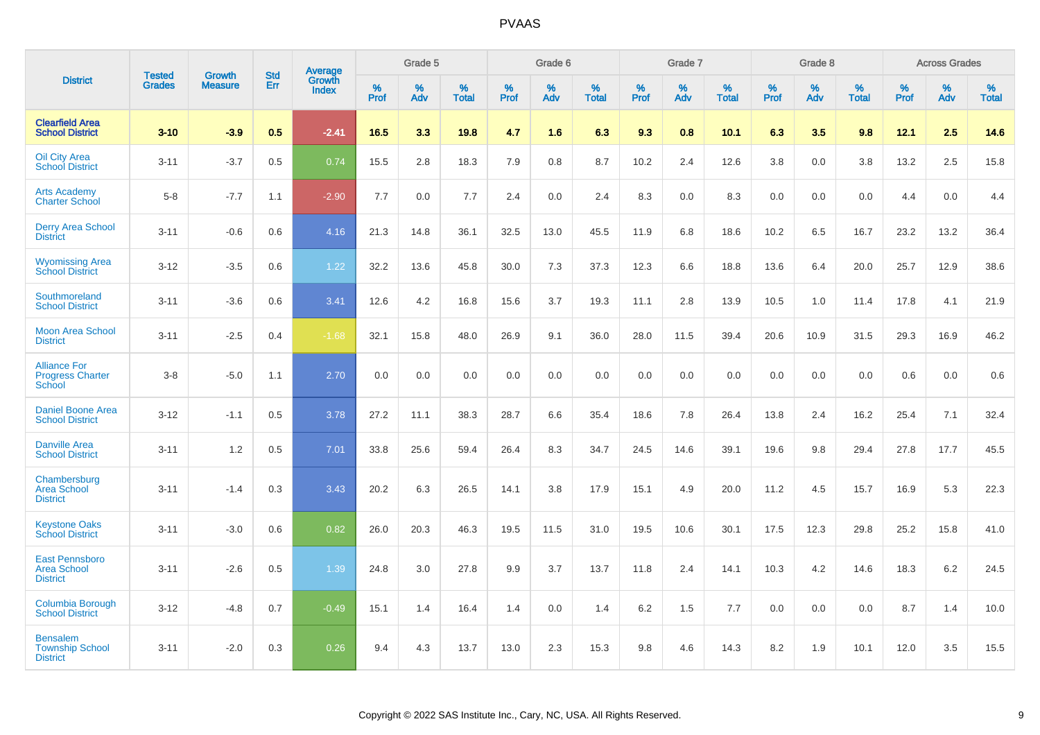|                                                                |                                |                                 | <b>Std</b> | Average                |           | Grade 5  |                   |           | Grade 6  |                   |           | Grade 7  |                      |           | Grade 8  |                   |           | <b>Across Grades</b> |                   |
|----------------------------------------------------------------|--------------------------------|---------------------------------|------------|------------------------|-----------|----------|-------------------|-----------|----------|-------------------|-----------|----------|----------------------|-----------|----------|-------------------|-----------|----------------------|-------------------|
| <b>District</b>                                                | <b>Tested</b><br><b>Grades</b> | <b>Growth</b><br><b>Measure</b> | Err        | Growth<br><b>Index</b> | %<br>Prof | %<br>Adv | %<br><b>Total</b> | %<br>Prof | %<br>Adv | %<br><b>Total</b> | %<br>Prof | %<br>Adv | $\%$<br><b>Total</b> | %<br>Prof | %<br>Adv | %<br><b>Total</b> | %<br>Prof | %<br>Adv             | %<br><b>Total</b> |
| <b>Clearfield Area</b><br><b>School District</b>               | $3 - 10$                       | $-3.9$                          | 0.5        | $-2.41$                | 16.5      | 3.3      | 19.8              | 4.7       | 1.6      | 6.3               | 9.3       | 0.8      | 10.1                 | 6.3       | 3.5      | 9.8               | 12.1      | 2.5                  | 14.6              |
| <b>Oil City Area</b><br><b>School District</b>                 | $3 - 11$                       | $-3.7$                          | 0.5        | 0.74                   | 15.5      | 2.8      | 18.3              | 7.9       | 0.8      | 8.7               | 10.2      | 2.4      | 12.6                 | 3.8       | 0.0      | 3.8               | 13.2      | 2.5                  | 15.8              |
| <b>Arts Academy</b><br><b>Charter School</b>                   | $5-8$                          | $-7.7$                          | 1.1        | $-2.90$                | 7.7       | 0.0      | 7.7               | 2.4       | 0.0      | 2.4               | 8.3       | 0.0      | 8.3                  | 0.0       | 0.0      | 0.0               | 4.4       | 0.0                  | 4.4               |
| <b>Derry Area School</b><br><b>District</b>                    | $3 - 11$                       | $-0.6$                          | 0.6        | 4.16                   | 21.3      | 14.8     | 36.1              | 32.5      | 13.0     | 45.5              | 11.9      | 6.8      | 18.6                 | 10.2      | 6.5      | 16.7              | 23.2      | 13.2                 | 36.4              |
| <b>Wyomissing Area</b><br><b>School District</b>               | $3 - 12$                       | $-3.5$                          | 0.6        | 1.22                   | 32.2      | 13.6     | 45.8              | 30.0      | 7.3      | 37.3              | 12.3      | 6.6      | 18.8                 | 13.6      | 6.4      | 20.0              | 25.7      | 12.9                 | 38.6              |
| Southmoreland<br><b>School District</b>                        | $3 - 11$                       | $-3.6$                          | 0.6        | 3.41                   | 12.6      | 4.2      | 16.8              | 15.6      | 3.7      | 19.3              | 11.1      | 2.8      | 13.9                 | 10.5      | 1.0      | 11.4              | 17.8      | 4.1                  | 21.9              |
| <b>Moon Area School</b><br><b>District</b>                     | $3 - 11$                       | $-2.5$                          | 0.4        | $-1.68$                | 32.1      | 15.8     | 48.0              | 26.9      | 9.1      | 36.0              | 28.0      | 11.5     | 39.4                 | 20.6      | 10.9     | 31.5              | 29.3      | 16.9                 | 46.2              |
| <b>Alliance For</b><br><b>Progress Charter</b><br>School       | $3 - 8$                        | $-5.0$                          | 1.1        | 2.70                   | 0.0       | 0.0      | 0.0               | 0.0       | 0.0      | 0.0               | 0.0       | 0.0      | 0.0                  | 0.0       | 0.0      | 0.0               | 0.6       | 0.0                  | 0.6               |
| <b>Daniel Boone Area</b><br><b>School District</b>             | $3 - 12$                       | $-1.1$                          | 0.5        | 3.78                   | 27.2      | 11.1     | 38.3              | 28.7      | 6.6      | 35.4              | 18.6      | 7.8      | 26.4                 | 13.8      | 2.4      | 16.2              | 25.4      | 7.1                  | 32.4              |
| <b>Danville Area</b><br><b>School District</b>                 | $3 - 11$                       | 1.2                             | 0.5        | 7.01                   | 33.8      | 25.6     | 59.4              | 26.4      | 8.3      | 34.7              | 24.5      | 14.6     | 39.1                 | 19.6      | 9.8      | 29.4              | 27.8      | 17.7                 | 45.5              |
| Chambersburg<br><b>Area School</b><br><b>District</b>          | $3 - 11$                       | $-1.4$                          | 0.3        | 3.43                   | 20.2      | 6.3      | 26.5              | 14.1      | 3.8      | 17.9              | 15.1      | 4.9      | 20.0                 | 11.2      | 4.5      | 15.7              | 16.9      | 5.3                  | 22.3              |
| <b>Keystone Oaks</b><br><b>School District</b>                 | $3 - 11$                       | $-3.0$                          | 0.6        | 0.82                   | 26.0      | 20.3     | 46.3              | 19.5      | 11.5     | 31.0              | 19.5      | 10.6     | 30.1                 | 17.5      | 12.3     | 29.8              | 25.2      | 15.8                 | 41.0              |
| <b>East Pennsboro</b><br><b>Area School</b><br><b>District</b> | $3 - 11$                       | $-2.6$                          | 0.5        | 1.39                   | 24.8      | 3.0      | 27.8              | 9.9       | 3.7      | 13.7              | 11.8      | 2.4      | 14.1                 | 10.3      | 4.2      | 14.6              | 18.3      | $6.2\,$              | 24.5              |
| Columbia Borough<br><b>School District</b>                     | $3 - 12$                       | $-4.8$                          | 0.7        | $-0.49$                | 15.1      | 1.4      | 16.4              | 1.4       | 0.0      | 1.4               | 6.2       | 1.5      | 7.7                  | 0.0       | 0.0      | 0.0               | 8.7       | 1.4                  | 10.0              |
| <b>Bensalem</b><br><b>Township School</b><br><b>District</b>   | $3 - 11$                       | $-2.0$                          | 0.3        | 0.26                   | 9.4       | 4.3      | 13.7              | 13.0      | 2.3      | 15.3              | 9.8       | 4.6      | 14.3                 | 8.2       | 1.9      | 10.1              | 12.0      | 3.5                  | 15.5              |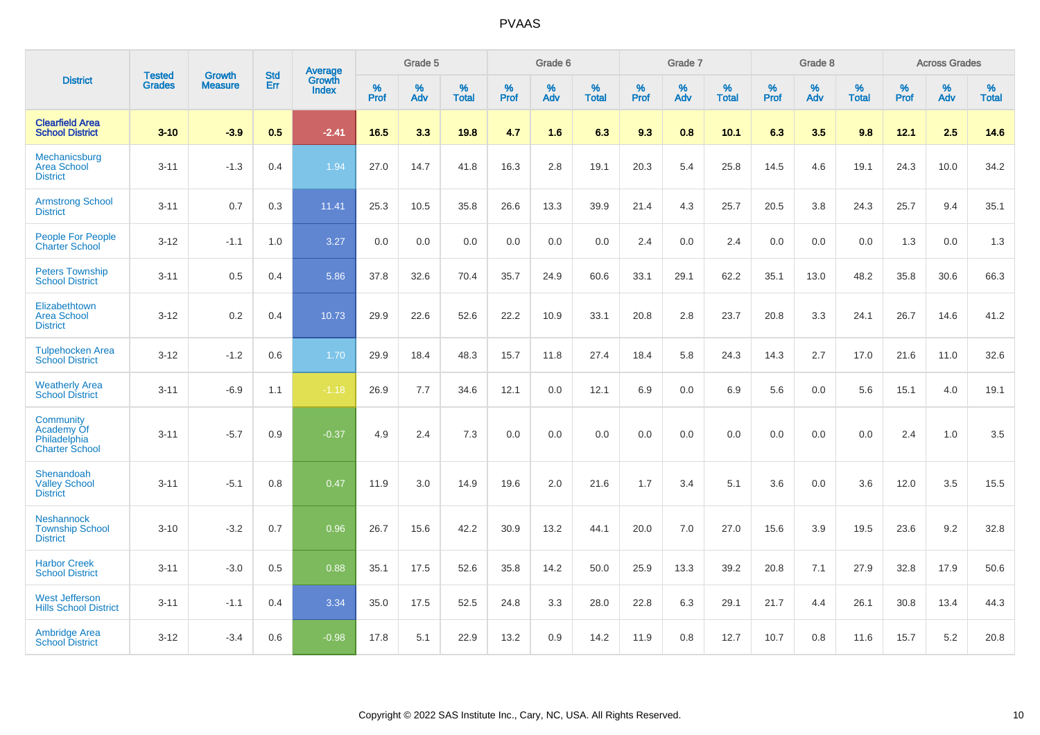|                                                                  | <b>Tested</b> |                                 | <b>Std</b> | Average                       |              | Grade 5  |                   |           | Grade 6  |                   |           | Grade 7  |                   |           | Grade 8  |                   |           | <b>Across Grades</b> |                   |
|------------------------------------------------------------------|---------------|---------------------------------|------------|-------------------------------|--------------|----------|-------------------|-----------|----------|-------------------|-----------|----------|-------------------|-----------|----------|-------------------|-----------|----------------------|-------------------|
| <b>District</b>                                                  | <b>Grades</b> | <b>Growth</b><br><b>Measure</b> | <b>Err</b> | <b>Growth</b><br><b>Index</b> | $\%$<br>Prof | %<br>Adv | %<br><b>Total</b> | %<br>Prof | %<br>Adv | %<br><b>Total</b> | %<br>Prof | %<br>Adv | %<br><b>Total</b> | %<br>Prof | %<br>Adv | %<br><b>Total</b> | %<br>Prof | %<br>Adv             | %<br><b>Total</b> |
| <b>Clearfield Area</b><br><b>School District</b>                 | $3 - 10$      | $-3.9$                          | 0.5        | $-2.41$                       | 16.5         | 3.3      | 19.8              | 4.7       | 1.6      | 6.3               | 9.3       | 0.8      | 10.1              | 6.3       | 3.5      | 9.8               | 12.1      | 2.5                  | 14.6              |
| Mechanicsburg<br><b>Area School</b><br><b>District</b>           | $3 - 11$      | $-1.3$                          | 0.4        | 1.94                          | 27.0         | 14.7     | 41.8              | 16.3      | 2.8      | 19.1              | 20.3      | 5.4      | 25.8              | 14.5      | 4.6      | 19.1              | 24.3      | 10.0                 | 34.2              |
| <b>Armstrong School</b><br><b>District</b>                       | $3 - 11$      | 0.7                             | 0.3        | 11.41                         | 25.3         | 10.5     | 35.8              | 26.6      | 13.3     | 39.9              | 21.4      | 4.3      | 25.7              | 20.5      | 3.8      | 24.3              | 25.7      | 9.4                  | 35.1              |
| <b>People For People</b><br><b>Charter School</b>                | $3 - 12$      | $-1.1$                          | 1.0        | 3.27                          | 0.0          | 0.0      | 0.0               | 0.0       | 0.0      | 0.0               | 2.4       | 0.0      | 2.4               | 0.0       | 0.0      | 0.0               | 1.3       | 0.0                  | 1.3               |
| <b>Peters Township</b><br><b>School District</b>                 | $3 - 11$      | 0.5                             | 0.4        | 5.86                          | 37.8         | 32.6     | 70.4              | 35.7      | 24.9     | 60.6              | 33.1      | 29.1     | 62.2              | 35.1      | 13.0     | 48.2              | 35.8      | 30.6                 | 66.3              |
| Elizabethtown<br><b>Area School</b><br><b>District</b>           | $3 - 12$      | 0.2                             | 0.4        | 10.73                         | 29.9         | 22.6     | 52.6              | 22.2      | 10.9     | 33.1              | 20.8      | 2.8      | 23.7              | 20.8      | 3.3      | 24.1              | 26.7      | 14.6                 | 41.2              |
| <b>Tulpehocken Area</b><br><b>School District</b>                | $3 - 12$      | $-1.2$                          | 0.6        | 1.70                          | 29.9         | 18.4     | 48.3              | 15.7      | 11.8     | 27.4              | 18.4      | 5.8      | 24.3              | 14.3      | 2.7      | 17.0              | 21.6      | 11.0                 | 32.6              |
| <b>Weatherly Area</b><br><b>School District</b>                  | $3 - 11$      | $-6.9$                          | 1.1        | $-1.18$                       | 26.9         | 7.7      | 34.6              | 12.1      | 0.0      | 12.1              | 6.9       | $0.0\,$  | 6.9               | 5.6       | 0.0      | 5.6               | 15.1      | 4.0                  | 19.1              |
| Community<br>Academy Of<br>Philadelphia<br><b>Charter School</b> | $3 - 11$      | $-5.7$                          | 0.9        | $-0.37$                       | 4.9          | 2.4      | 7.3               | 0.0       | 0.0      | 0.0               | 0.0       | 0.0      | 0.0               | 0.0       | 0.0      | 0.0               | 2.4       | 1.0                  | 3.5               |
| Shenandoah<br><b>Valley School</b><br><b>District</b>            | $3 - 11$      | $-5.1$                          | 0.8        | 0.47                          | 11.9         | 3.0      | 14.9              | 19.6      | 2.0      | 21.6              | 1.7       | 3.4      | 5.1               | 3.6       | 0.0      | 3.6               | 12.0      | 3.5                  | 15.5              |
| <b>Neshannock</b><br><b>Township School</b><br><b>District</b>   | $3 - 10$      | $-3.2$                          | 0.7        | 0.96                          | 26.7         | 15.6     | 42.2              | 30.9      | 13.2     | 44.1              | 20.0      | 7.0      | 27.0              | 15.6      | 3.9      | 19.5              | 23.6      | 9.2                  | 32.8              |
| <b>Harbor Creek</b><br><b>School District</b>                    | $3 - 11$      | $-3.0$                          | 0.5        | 0.88                          | 35.1         | 17.5     | 52.6              | 35.8      | 14.2     | 50.0              | 25.9      | 13.3     | 39.2              | 20.8      | 7.1      | 27.9              | 32.8      | 17.9                 | 50.6              |
| <b>West Jefferson</b><br><b>Hills School District</b>            | $3 - 11$      | $-1.1$                          | 0.4        | 3.34                          | 35.0         | 17.5     | 52.5              | 24.8      | 3.3      | 28.0              | 22.8      | 6.3      | 29.1              | 21.7      | 4.4      | 26.1              | 30.8      | 13.4                 | 44.3              |
| <b>Ambridge Area</b><br><b>School District</b>                   | $3 - 12$      | $-3.4$                          | 0.6        | $-0.98$                       | 17.8         | 5.1      | 22.9              | 13.2      | 0.9      | 14.2              | 11.9      | 0.8      | 12.7              | 10.7      | 0.8      | 11.6              | 15.7      | 5.2                  | 20.8              |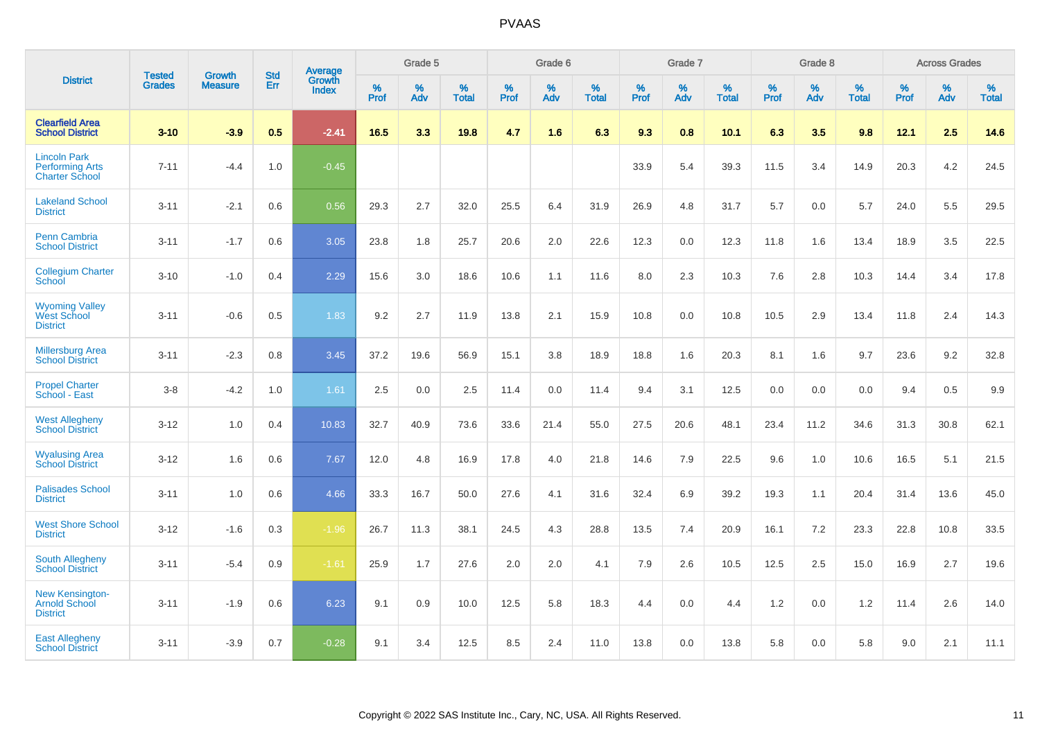|                                                                        | <b>Tested</b> | <b>Growth</b>  | <b>Std</b> | Average                       |           | Grade 5  |                   |           | Grade 6  |                   |           | Grade 7  |                   |           | Grade 8  |                   |           | <b>Across Grades</b> |                   |
|------------------------------------------------------------------------|---------------|----------------|------------|-------------------------------|-----------|----------|-------------------|-----------|----------|-------------------|-----------|----------|-------------------|-----------|----------|-------------------|-----------|----------------------|-------------------|
| <b>District</b>                                                        | <b>Grades</b> | <b>Measure</b> | Err        | <b>Growth</b><br><b>Index</b> | %<br>Prof | %<br>Adv | %<br><b>Total</b> | %<br>Prof | %<br>Adv | %<br><b>Total</b> | %<br>Prof | %<br>Adv | %<br><b>Total</b> | %<br>Prof | %<br>Adv | %<br><b>Total</b> | %<br>Prof | %<br>Adv             | %<br><b>Total</b> |
| <b>Clearfield Area</b><br><b>School District</b>                       | $3 - 10$      | $-3.9$         | 0.5        | $-2.41$                       | 16.5      | 3.3      | 19.8              | 4.7       | 1.6      | 6.3               | 9.3       | 0.8      | 10.1              | 6.3       | 3.5      | 9.8               | 12.1      | 2.5                  | 14.6              |
| <b>Lincoln Park</b><br><b>Performing Arts</b><br><b>Charter School</b> | $7 - 11$      | $-4.4$         | 1.0        | $-0.45$                       |           |          |                   |           |          |                   | 33.9      | 5.4      | 39.3              | 11.5      | 3.4      | 14.9              | 20.3      | 4.2                  | 24.5              |
| <b>Lakeland School</b><br><b>District</b>                              | $3 - 11$      | $-2.1$         | 0.6        | 0.56                          | 29.3      | 2.7      | 32.0              | 25.5      | 6.4      | 31.9              | 26.9      | 4.8      | 31.7              | 5.7       | 0.0      | 5.7               | 24.0      | 5.5                  | 29.5              |
| <b>Penn Cambria</b><br><b>School District</b>                          | $3 - 11$      | $-1.7$         | 0.6        | 3.05                          | 23.8      | 1.8      | 25.7              | 20.6      | 2.0      | 22.6              | 12.3      | 0.0      | 12.3              | 11.8      | 1.6      | 13.4              | 18.9      | 3.5                  | 22.5              |
| <b>Collegium Charter</b><br>School                                     | $3 - 10$      | $-1.0$         | 0.4        | 2.29                          | 15.6      | 3.0      | 18.6              | 10.6      | 1.1      | 11.6              | 8.0       | 2.3      | 10.3              | 7.6       | 2.8      | 10.3              | 14.4      | 3.4                  | 17.8              |
| <b>Wyoming Valley</b><br>West School<br><b>District</b>                | $3 - 11$      | $-0.6$         | 0.5        | 1.83                          | 9.2       | 2.7      | 11.9              | 13.8      | 2.1      | 15.9              | 10.8      | 0.0      | 10.8              | 10.5      | 2.9      | 13.4              | 11.8      | 2.4                  | 14.3              |
| <b>Millersburg Area</b><br><b>School District</b>                      | $3 - 11$      | $-2.3$         | 0.8        | 3.45                          | 37.2      | 19.6     | 56.9              | 15.1      | 3.8      | 18.9              | 18.8      | 1.6      | 20.3              | 8.1       | 1.6      | 9.7               | 23.6      | 9.2                  | 32.8              |
| <b>Propel Charter</b><br>School - East                                 | $3 - 8$       | $-4.2$         | 1.0        | 1.61                          | 2.5       | 0.0      | 2.5               | 11.4      | 0.0      | 11.4              | 9.4       | 3.1      | 12.5              | 0.0       | 0.0      | 0.0               | 9.4       | 0.5                  | 9.9               |
| <b>West Allegheny</b><br><b>School District</b>                        | $3 - 12$      | 1.0            | 0.4        | 10.83                         | 32.7      | 40.9     | 73.6              | 33.6      | 21.4     | 55.0              | 27.5      | 20.6     | 48.1              | 23.4      | 11.2     | 34.6              | 31.3      | 30.8                 | 62.1              |
| <b>Wyalusing Area</b><br><b>School District</b>                        | $3 - 12$      | 1.6            | 0.6        | 7.67                          | 12.0      | 4.8      | 16.9              | 17.8      | 4.0      | 21.8              | 14.6      | 7.9      | 22.5              | 9.6       | 1.0      | 10.6              | 16.5      | 5.1                  | 21.5              |
| <b>Palisades School</b><br><b>District</b>                             | $3 - 11$      | 1.0            | 0.6        | 4.66                          | 33.3      | 16.7     | 50.0              | 27.6      | 4.1      | 31.6              | 32.4      | 6.9      | 39.2              | 19.3      | 1.1      | 20.4              | 31.4      | 13.6                 | 45.0              |
| <b>West Shore School</b><br><b>District</b>                            | $3 - 12$      | $-1.6$         | 0.3        | $-1.96$                       | 26.7      | 11.3     | 38.1              | 24.5      | 4.3      | 28.8              | 13.5      | 7.4      | 20.9              | 16.1      | 7.2      | 23.3              | 22.8      | 10.8                 | 33.5              |
| <b>South Allegheny</b><br><b>School District</b>                       | $3 - 11$      | $-5.4$         | 0.9        | $-1.61$                       | 25.9      | 1.7      | 27.6              | 2.0       | 2.0      | 4.1               | 7.9       | 2.6      | 10.5              | 12.5      | 2.5      | 15.0              | 16.9      | 2.7                  | 19.6              |
| <b>New Kensington-</b><br><b>Arnold School</b><br><b>District</b>      | $3 - 11$      | $-1.9$         | 0.6        | 6.23                          | 9.1       | 0.9      | 10.0              | 12.5      | 5.8      | 18.3              | 4.4       | $0.0\,$  | 4.4               | 1.2       | 0.0      | 1.2               | 11.4      | 2.6                  | 14.0              |
| <b>East Allegheny</b><br><b>School District</b>                        | $3 - 11$      | $-3.9$         | 0.7        | $-0.28$                       | 9.1       | 3.4      | 12.5              | 8.5       | 2.4      | 11.0              | 13.8      | 0.0      | 13.8              | 5.8       | 0.0      | 5.8               | 9.0       | 2.1                  | 11.1              |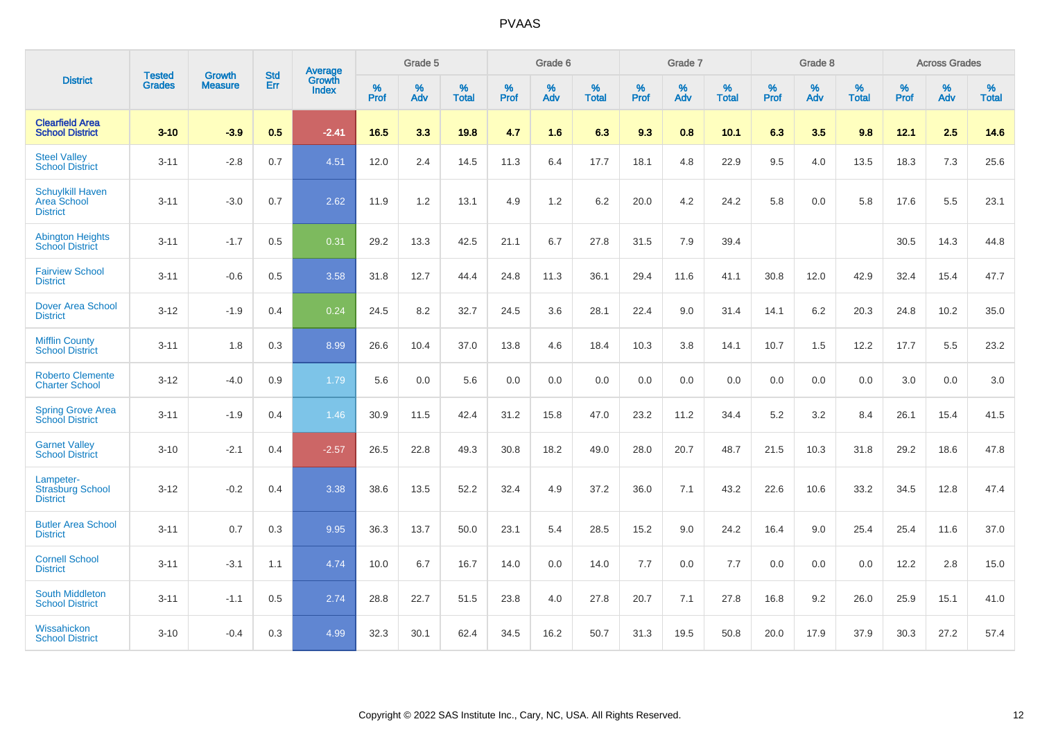|                                                           | <b>Tested</b> | <b>Growth</b>  | <b>Std</b> | Average         |                     | Grade 5  |                   |                     | Grade 6  |                   |                     | Grade 7  |                   |                     | Grade 8  |                   |                     | <b>Across Grades</b> |                   |
|-----------------------------------------------------------|---------------|----------------|------------|-----------------|---------------------|----------|-------------------|---------------------|----------|-------------------|---------------------|----------|-------------------|---------------------|----------|-------------------|---------------------|----------------------|-------------------|
| <b>District</b>                                           | <b>Grades</b> | <b>Measure</b> | Err        | Growth<br>Index | $\%$<br><b>Prof</b> | %<br>Adv | %<br><b>Total</b> | $\%$<br><b>Prof</b> | %<br>Adv | %<br><b>Total</b> | $\%$<br><b>Prof</b> | %<br>Adv | %<br><b>Total</b> | $\%$<br><b>Prof</b> | %<br>Adv | %<br><b>Total</b> | $\%$<br><b>Prof</b> | %<br>Adv             | %<br><b>Total</b> |
| <b>Clearfield Area</b><br><b>School District</b>          | $3 - 10$      | $-3.9$         | 0.5        | $-2.41$         | 16.5                | 3.3      | 19.8              | 4.7                 | 1.6      | 6.3               | 9.3                 | 0.8      | 10.1              | 6.3                 | 3.5      | 9.8               | 12.1                | 2.5                  | 14.6              |
| <b>Steel Valley</b><br><b>School District</b>             | $3 - 11$      | $-2.8$         | 0.7        | 4.51            | 12.0                | 2.4      | 14.5              | 11.3                | 6.4      | 17.7              | 18.1                | 4.8      | 22.9              | 9.5                 | 4.0      | 13.5              | 18.3                | $7.3$                | 25.6              |
| <b>Schuylkill Haven</b><br>Area School<br><b>District</b> | $3 - 11$      | $-3.0$         | 0.7        | 2.62            | 11.9                | 1.2      | 13.1              | 4.9                 | 1.2      | 6.2               | 20.0                | 4.2      | 24.2              | 5.8                 | 0.0      | 5.8               | 17.6                | 5.5                  | 23.1              |
| <b>Abington Heights</b><br><b>School District</b>         | $3 - 11$      | $-1.7$         | 0.5        | 0.31            | 29.2                | 13.3     | 42.5              | 21.1                | 6.7      | 27.8              | 31.5                | 7.9      | 39.4              |                     |          |                   | 30.5                | 14.3                 | 44.8              |
| <b>Fairview School</b><br><b>District</b>                 | $3 - 11$      | $-0.6$         | 0.5        | 3.58            | 31.8                | 12.7     | 44.4              | 24.8                | 11.3     | 36.1              | 29.4                | 11.6     | 41.1              | 30.8                | 12.0     | 42.9              | 32.4                | 15.4                 | 47.7              |
| <b>Dover Area School</b><br><b>District</b>               | $3 - 12$      | $-1.9$         | 0.4        | 0.24            | 24.5                | 8.2      | 32.7              | 24.5                | 3.6      | 28.1              | 22.4                | 9.0      | 31.4              | 14.1                | 6.2      | 20.3              | 24.8                | 10.2                 | 35.0              |
| <b>Mifflin County</b><br><b>School District</b>           | $3 - 11$      | 1.8            | 0.3        | 8.99            | 26.6                | 10.4     | 37.0              | 13.8                | 4.6      | 18.4              | 10.3                | 3.8      | 14.1              | 10.7                | 1.5      | 12.2              | 17.7                | 5.5                  | 23.2              |
| <b>Roberto Clemente</b><br><b>Charter School</b>          | $3 - 12$      | $-4.0$         | 0.9        | 1.79            | 5.6                 | 0.0      | 5.6               | 0.0                 | 0.0      | 0.0               | 0.0                 | 0.0      | 0.0               | 0.0                 | 0.0      | 0.0               | 3.0                 | 0.0                  | 3.0               |
| <b>Spring Grove Area</b><br><b>School District</b>        | $3 - 11$      | $-1.9$         | 0.4        | 1.46            | 30.9                | 11.5     | 42.4              | 31.2                | 15.8     | 47.0              | 23.2                | 11.2     | 34.4              | 5.2                 | 3.2      | 8.4               | 26.1                | 15.4                 | 41.5              |
| <b>Garnet Valley</b><br><b>School District</b>            | $3 - 10$      | $-2.1$         | 0.4        | $-2.57$         | 26.5                | 22.8     | 49.3              | 30.8                | 18.2     | 49.0              | 28.0                | 20.7     | 48.7              | 21.5                | 10.3     | 31.8              | 29.2                | 18.6                 | 47.8              |
| Lampeter-<br><b>Strasburg School</b><br><b>District</b>   | $3 - 12$      | $-0.2$         | 0.4        | 3.38            | 38.6                | 13.5     | 52.2              | 32.4                | 4.9      | 37.2              | 36.0                | 7.1      | 43.2              | 22.6                | 10.6     | 33.2              | 34.5                | 12.8                 | 47.4              |
| <b>Butler Area School</b><br><b>District</b>              | $3 - 11$      | 0.7            | 0.3        | 9.95            | 36.3                | 13.7     | 50.0              | 23.1                | 5.4      | 28.5              | 15.2                | 9.0      | 24.2              | 16.4                | 9.0      | 25.4              | 25.4                | 11.6                 | 37.0              |
| <b>Cornell School</b><br><b>District</b>                  | $3 - 11$      | $-3.1$         | 1.1        | 4.74            | 10.0                | 6.7      | 16.7              | 14.0                | 0.0      | 14.0              | $7.7$               | 0.0      | 7.7               | $0.0\,$             | 0.0      | 0.0               | 12.2                | 2.8                  | 15.0              |
| South Middleton<br><b>School District</b>                 | $3 - 11$      | $-1.1$         | 0.5        | 2.74            | 28.8                | 22.7     | 51.5              | 23.8                | 4.0      | 27.8              | 20.7                | 7.1      | 27.8              | 16.8                | 9.2      | 26.0              | 25.9                | 15.1                 | 41.0              |
| Wissahickon<br><b>School District</b>                     | $3 - 10$      | $-0.4$         | 0.3        | 4.99            | 32.3                | 30.1     | 62.4              | 34.5                | 16.2     | 50.7              | 31.3                | 19.5     | 50.8              | 20.0                | 17.9     | 37.9              | 30.3                | 27.2                 | 57.4              |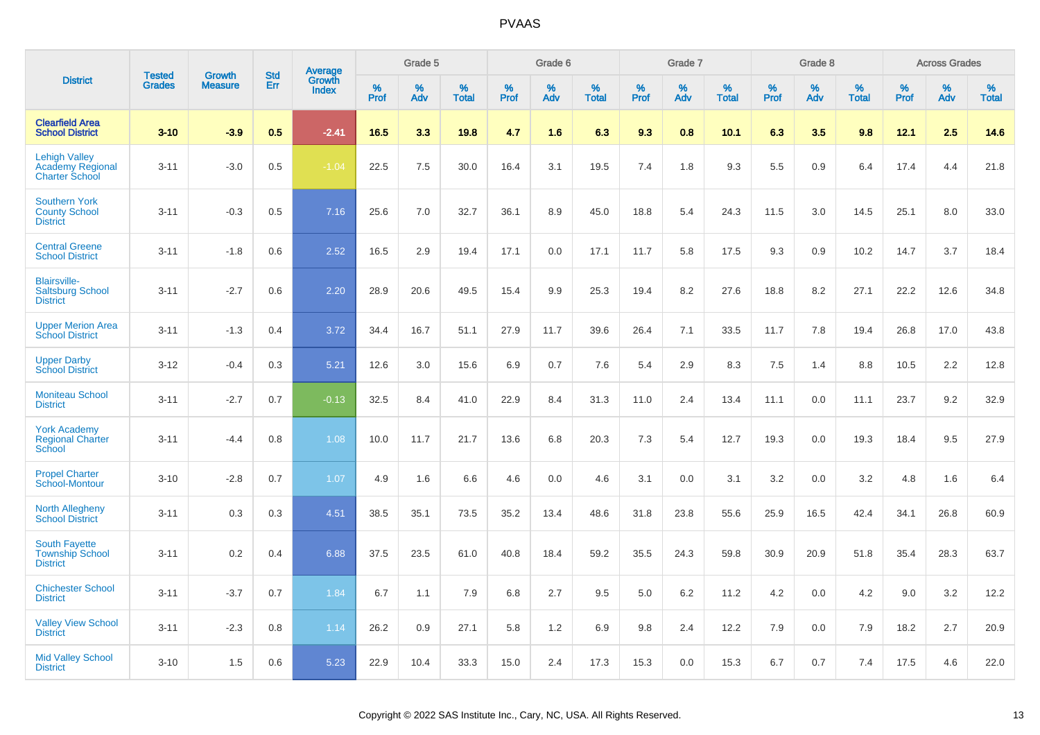|                                                                   | <b>Tested</b> | <b>Growth</b>  | <b>Std</b> | <b>Average</b><br>Growth |           | Grade 5  |                   |           | Grade 6  |                   |           | Grade 7  |                   |           | Grade 8  |                   |              | <b>Across Grades</b> |                   |
|-------------------------------------------------------------------|---------------|----------------|------------|--------------------------|-----------|----------|-------------------|-----------|----------|-------------------|-----------|----------|-------------------|-----------|----------|-------------------|--------------|----------------------|-------------------|
| <b>District</b>                                                   | <b>Grades</b> | <b>Measure</b> | <b>Err</b> | <b>Index</b>             | %<br>Prof | %<br>Adv | %<br><b>Total</b> | %<br>Prof | %<br>Adv | %<br><b>Total</b> | %<br>Prof | %<br>Adv | %<br><b>Total</b> | %<br>Prof | %<br>Adv | %<br><b>Total</b> | $\%$<br>Prof | %<br>Adv             | %<br><b>Total</b> |
| <b>Clearfield Area</b><br><b>School District</b>                  | $3 - 10$      | $-3.9$         | 0.5        | $-2.41$                  | 16.5      | 3.3      | 19.8              | 4.7       | 1.6      | 6.3               | 9.3       | 0.8      | 10.1              | 6.3       | 3.5      | 9.8               | 12.1         | 2.5                  | 14.6              |
| <b>Lehigh Valley</b><br>Academy Regional<br><b>Charter School</b> | $3 - 11$      | $-3.0$         | 0.5        | $-1.04$                  | 22.5      | 7.5      | 30.0              | 16.4      | 3.1      | 19.5              | 7.4       | 1.8      | 9.3               | 5.5       | 0.9      | 6.4               | 17.4         | 4.4                  | 21.8              |
| <b>Southern York</b><br><b>County School</b><br><b>District</b>   | $3 - 11$      | $-0.3$         | 0.5        | 7.16                     | 25.6      | 7.0      | 32.7              | 36.1      | 8.9      | 45.0              | 18.8      | 5.4      | 24.3              | 11.5      | 3.0      | 14.5              | 25.1         | 8.0                  | 33.0              |
| <b>Central Greene</b><br><b>School District</b>                   | $3 - 11$      | $-1.8$         | 0.6        | 2.52                     | 16.5      | 2.9      | 19.4              | 17.1      | 0.0      | 17.1              | 11.7      | 5.8      | 17.5              | 9.3       | 0.9      | 10.2              | 14.7         | 3.7                  | 18.4              |
| <b>Blairsville-</b><br><b>Saltsburg School</b><br><b>District</b> | $3 - 11$      | $-2.7$         | 0.6        | 2.20                     | 28.9      | 20.6     | 49.5              | 15.4      | 9.9      | 25.3              | 19.4      | 8.2      | 27.6              | 18.8      | 8.2      | 27.1              | 22.2         | 12.6                 | 34.8              |
| <b>Upper Merion Area</b><br><b>School District</b>                | $3 - 11$      | $-1.3$         | 0.4        | 3.72                     | 34.4      | 16.7     | 51.1              | 27.9      | 11.7     | 39.6              | 26.4      | 7.1      | 33.5              | 11.7      | 7.8      | 19.4              | 26.8         | 17.0                 | 43.8              |
| <b>Upper Darby</b><br><b>School District</b>                      | $3 - 12$      | $-0.4$         | 0.3        | 5.21                     | 12.6      | 3.0      | 15.6              | 6.9       | 0.7      | 7.6               | 5.4       | 2.9      | 8.3               | 7.5       | 1.4      | 8.8               | 10.5         | $2.2\,$              | 12.8              |
| <b>Moniteau School</b><br><b>District</b>                         | $3 - 11$      | $-2.7$         | 0.7        | $-0.13$                  | 32.5      | 8.4      | 41.0              | 22.9      | 8.4      | 31.3              | 11.0      | 2.4      | 13.4              | 11.1      | 0.0      | 11.1              | 23.7         | 9.2                  | 32.9              |
| <b>York Academy</b><br><b>Regional Charter</b><br>School          | $3 - 11$      | $-4.4$         | 0.8        | 1.08                     | 10.0      | 11.7     | 21.7              | 13.6      | 6.8      | 20.3              | 7.3       | 5.4      | 12.7              | 19.3      | 0.0      | 19.3              | 18.4         | 9.5                  | 27.9              |
| <b>Propel Charter</b><br>School-Montour                           | $3 - 10$      | $-2.8$         | 0.7        | 1.07                     | 4.9       | 1.6      | 6.6               | 4.6       | 0.0      | 4.6               | 3.1       | 0.0      | 3.1               | 3.2       | 0.0      | 3.2               | 4.8          | 1.6                  | 6.4               |
| <b>North Allegheny</b><br><b>School District</b>                  | $3 - 11$      | 0.3            | 0.3        | 4.51                     | 38.5      | 35.1     | 73.5              | 35.2      | 13.4     | 48.6              | 31.8      | 23.8     | 55.6              | 25.9      | 16.5     | 42.4              | 34.1         | 26.8                 | 60.9              |
| <b>South Fayette</b><br><b>Township School</b><br><b>District</b> | $3 - 11$      | 0.2            | 0.4        | 6.88                     | 37.5      | 23.5     | 61.0              | 40.8      | 18.4     | 59.2              | 35.5      | 24.3     | 59.8              | 30.9      | 20.9     | 51.8              | 35.4         | 28.3                 | 63.7              |
| <b>Chichester School</b><br><b>District</b>                       | $3 - 11$      | $-3.7$         | 0.7        | 1.84                     | 6.7       | 1.1      | 7.9               | 6.8       | 2.7      | 9.5               | 5.0       | 6.2      | 11.2              | 4.2       | 0.0      | 4.2               | 9.0          | 3.2                  | 12.2              |
| <b>Valley View School</b><br><b>District</b>                      | $3 - 11$      | $-2.3$         | 0.8        | 1.14                     | 26.2      | 0.9      | 27.1              | 5.8       | 1.2      | 6.9               | 9.8       | 2.4      | 12.2              | 7.9       | 0.0      | 7.9               | 18.2         | 2.7                  | 20.9              |
| <b>Mid Valley School</b><br><b>District</b>                       | $3 - 10$      | 1.5            | 0.6        | 5.23                     | 22.9      | 10.4     | 33.3              | 15.0      | 2.4      | 17.3              | 15.3      | 0.0      | 15.3              | 6.7       | 0.7      | 7.4               | 17.5         | 4.6                  | 22.0              |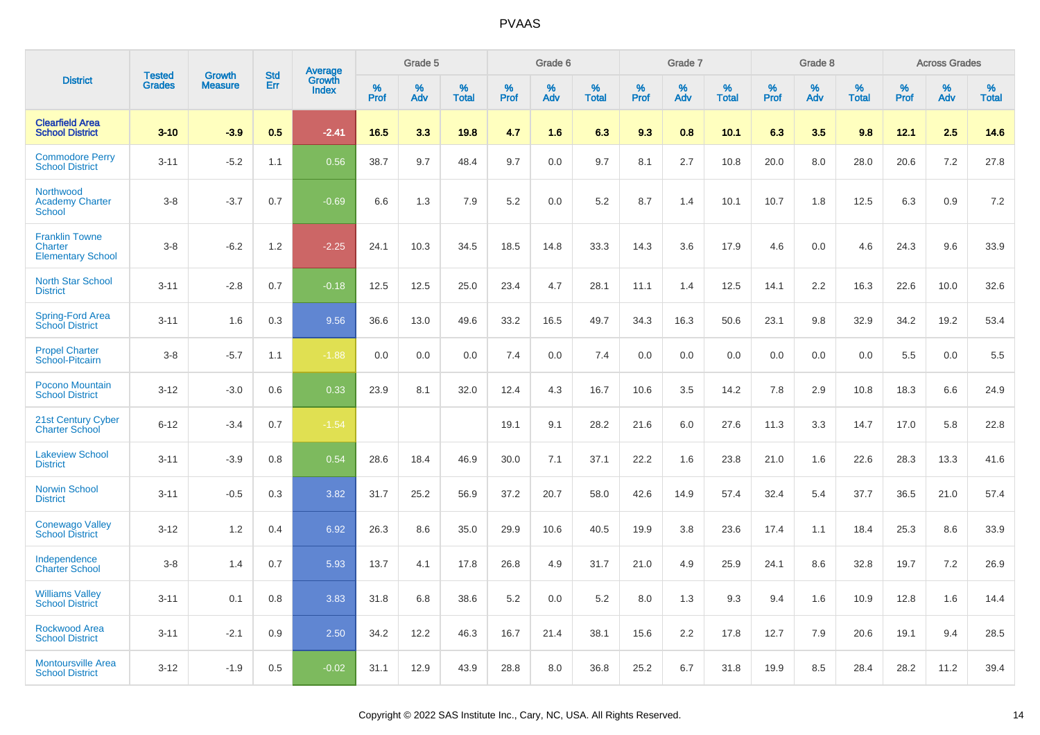|                                                                     | <b>Tested</b> | <b>Growth</b>  | <b>Std</b> | Average                |              | Grade 5  |                   |              | Grade 6  |                   |              | Grade 7  |                   |              | Grade 8  |                   |              | <b>Across Grades</b> |                   |
|---------------------------------------------------------------------|---------------|----------------|------------|------------------------|--------------|----------|-------------------|--------------|----------|-------------------|--------------|----------|-------------------|--------------|----------|-------------------|--------------|----------------------|-------------------|
| <b>District</b>                                                     | <b>Grades</b> | <b>Measure</b> | Err        | Growth<br><b>Index</b> | $\%$<br>Prof | %<br>Adv | %<br><b>Total</b> | $\%$<br>Prof | %<br>Adv | %<br><b>Total</b> | $\%$<br>Prof | %<br>Adv | %<br><b>Total</b> | $\%$<br>Prof | %<br>Adv | %<br><b>Total</b> | $\%$<br>Prof | %<br>Adv             | %<br><b>Total</b> |
| <b>Clearfield Area</b><br><b>School District</b>                    | $3 - 10$      | $-3.9$         | 0.5        | $-2.41$                | 16.5         | 3.3      | 19.8              | 4.7          | 1.6      | 6.3               | 9.3          | 0.8      | 10.1              | 6.3          | 3.5      | 9.8               | 12.1         | 2.5                  | 14.6              |
| <b>Commodore Perry</b><br><b>School District</b>                    | $3 - 11$      | $-5.2$         | 1.1        | 0.56                   | 38.7         | 9.7      | 48.4              | 9.7          | 0.0      | 9.7               | 8.1          | 2.7      | 10.8              | 20.0         | 8.0      | 28.0              | 20.6         | 7.2                  | 27.8              |
| <b>Northwood</b><br><b>Academy Charter</b><br><b>School</b>         | $3 - 8$       | $-3.7$         | 0.7        | $-0.69$                | 6.6          | 1.3      | 7.9               | 5.2          | 0.0      | 5.2               | 8.7          | 1.4      | 10.1              | 10.7         | 1.8      | 12.5              | 6.3          | 0.9                  | 7.2               |
| <b>Franklin Towne</b><br><b>Charter</b><br><b>Elementary School</b> | $3-8$         | $-6.2$         | 1.2        | $-2.25$                | 24.1         | 10.3     | 34.5              | 18.5         | 14.8     | 33.3              | 14.3         | 3.6      | 17.9              | 4.6          | 0.0      | 4.6               | 24.3         | 9.6                  | 33.9              |
| <b>North Star School</b><br><b>District</b>                         | $3 - 11$      | $-2.8$         | 0.7        | $-0.18$                | 12.5         | 12.5     | 25.0              | 23.4         | 4.7      | 28.1              | 11.1         | 1.4      | 12.5              | 14.1         | 2.2      | 16.3              | 22.6         | 10.0                 | 32.6              |
| Spring-Ford Area<br>School District                                 | $3 - 11$      | 1.6            | 0.3        | 9.56                   | 36.6         | 13.0     | 49.6              | 33.2         | 16.5     | 49.7              | 34.3         | 16.3     | 50.6              | 23.1         | 9.8      | 32.9              | 34.2         | 19.2                 | 53.4              |
| <b>Propel Charter</b><br>School-Pitcairn                            | $3 - 8$       | $-5.7$         | 1.1        | $-1.88$                | 0.0          | 0.0      | 0.0               | 7.4          | 0.0      | 7.4               | 0.0          | 0.0      | 0.0               | 0.0          | 0.0      | 0.0               | 5.5          | 0.0                  | 5.5               |
| Pocono Mountain<br><b>School District</b>                           | $3 - 12$      | $-3.0$         | 0.6        | 0.33                   | 23.9         | 8.1      | 32.0              | 12.4         | 4.3      | 16.7              | 10.6         | 3.5      | 14.2              | 7.8          | 2.9      | 10.8              | 18.3         | 6.6                  | 24.9              |
| 21st Century Cyber<br><b>Charter School</b>                         | $6 - 12$      | $-3.4$         | 0.7        | $-1.54$                |              |          |                   | 19.1         | 9.1      | 28.2              | 21.6         | 6.0      | 27.6              | 11.3         | 3.3      | 14.7              | 17.0         | 5.8                  | 22.8              |
| <b>Lakeview School</b><br><b>District</b>                           | $3 - 11$      | $-3.9$         | 0.8        | 0.54                   | 28.6         | 18.4     | 46.9              | 30.0         | 7.1      | 37.1              | 22.2         | 1.6      | 23.8              | 21.0         | 1.6      | 22.6              | 28.3         | 13.3                 | 41.6              |
| <b>Norwin School</b><br><b>District</b>                             | $3 - 11$      | $-0.5$         | 0.3        | 3.82                   | 31.7         | 25.2     | 56.9              | 37.2         | 20.7     | 58.0              | 42.6         | 14.9     | 57.4              | 32.4         | 5.4      | 37.7              | 36.5         | 21.0                 | 57.4              |
| <b>Conewago Valley</b><br><b>School District</b>                    | $3 - 12$      | 1.2            | 0.4        | 6.92                   | 26.3         | 8.6      | 35.0              | 29.9         | 10.6     | 40.5              | 19.9         | 3.8      | 23.6              | 17.4         | 1.1      | 18.4              | 25.3         | 8.6                  | 33.9              |
| Independence<br><b>Charter School</b>                               | $3 - 8$       | 1.4            | 0.7        | 5.93                   | 13.7         | 4.1      | 17.8              | 26.8         | 4.9      | 31.7              | 21.0         | 4.9      | 25.9              | 24.1         | 8.6      | 32.8              | 19.7         | 7.2                  | 26.9              |
| <b>Williams Valley</b><br><b>School District</b>                    | $3 - 11$      | 0.1            | 0.8        | 3.83                   | 31.8         | 6.8      | 38.6              | 5.2          | 0.0      | 5.2               | 8.0          | 1.3      | 9.3               | 9.4          | 1.6      | 10.9              | 12.8         | 1.6                  | 14.4              |
| <b>Rockwood Area</b><br><b>School District</b>                      | $3 - 11$      | $-2.1$         | 0.9        | 2.50                   | 34.2         | 12.2     | 46.3              | 16.7         | 21.4     | 38.1              | 15.6         | 2.2      | 17.8              | 12.7         | 7.9      | 20.6              | 19.1         | 9.4                  | 28.5              |
| <b>Montoursville Area</b><br><b>School District</b>                 | $3 - 12$      | $-1.9$         | 0.5        | $-0.02$                | 31.1         | 12.9     | 43.9              | 28.8         | 8.0      | 36.8              | 25.2         | 6.7      | 31.8              | 19.9         | 8.5      | 28.4              | 28.2         | 11.2                 | 39.4              |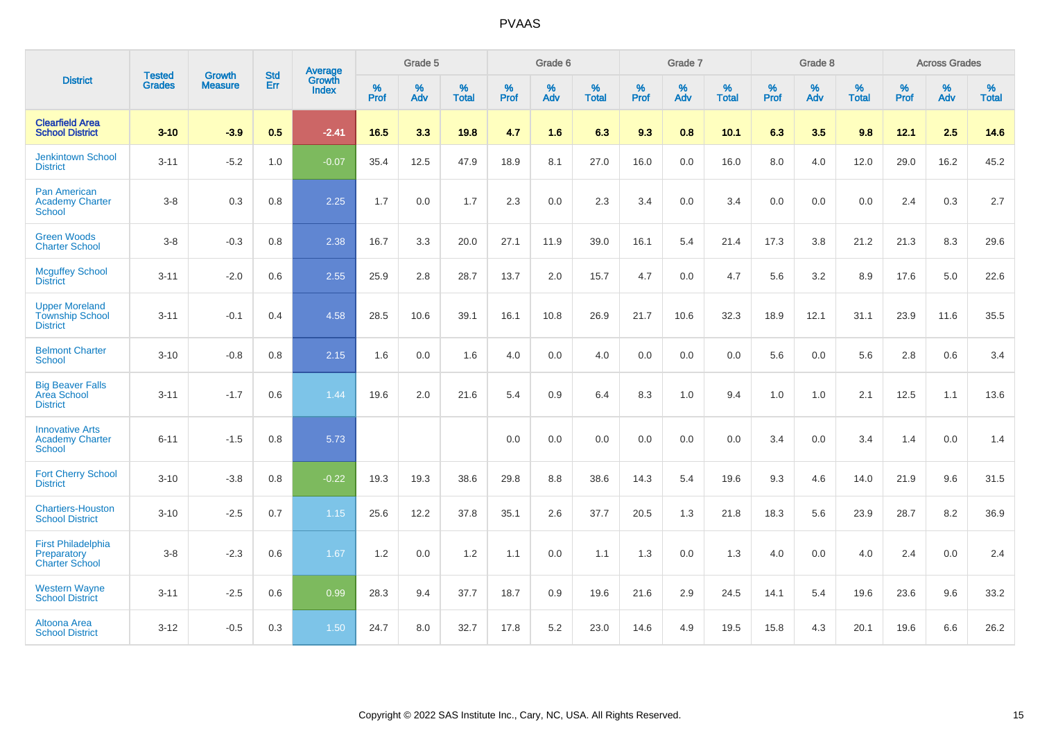|                                                                    | <b>Tested</b> | <b>Growth</b>  | <b>Std</b> | Average                |                     | Grade 5  |                   |                     | Grade 6  |                   |                     | Grade 7  |                   |                     | Grade 8  |                   |              | <b>Across Grades</b> |                   |
|--------------------------------------------------------------------|---------------|----------------|------------|------------------------|---------------------|----------|-------------------|---------------------|----------|-------------------|---------------------|----------|-------------------|---------------------|----------|-------------------|--------------|----------------------|-------------------|
| <b>District</b>                                                    | <b>Grades</b> | <b>Measure</b> | <b>Err</b> | Growth<br><b>Index</b> | $\%$<br><b>Prof</b> | %<br>Adv | %<br><b>Total</b> | $\%$<br><b>Prof</b> | %<br>Adv | %<br><b>Total</b> | $\%$<br><b>Prof</b> | %<br>Adv | %<br><b>Total</b> | $\%$<br><b>Prof</b> | %<br>Adv | %<br><b>Total</b> | $\%$<br>Prof | %<br>Adv             | %<br><b>Total</b> |
| <b>Clearfield Area</b><br><b>School District</b>                   | $3 - 10$      | $-3.9$         | 0.5        | $-2.41$                | 16.5                | 3.3      | 19.8              | 4.7                 | 1.6      | 6.3               | 9.3                 | 0.8      | 10.1              | 6.3                 | 3.5      | 9.8               | 12.1         | 2.5                  | 14.6              |
| <b>Jenkintown School</b><br><b>District</b>                        | $3 - 11$      | $-5.2$         | 1.0        | $-0.07$                | 35.4                | 12.5     | 47.9              | 18.9                | 8.1      | 27.0              | 16.0                | 0.0      | 16.0              | 8.0                 | 4.0      | 12.0              | 29.0         | 16.2                 | 45.2              |
| Pan American<br><b>Academy Charter</b><br><b>School</b>            | $3-8$         | 0.3            | 0.8        | 2.25                   | 1.7                 | 0.0      | 1.7               | 2.3                 | 0.0      | 2.3               | 3.4                 | 0.0      | 3.4               | 0.0                 | 0.0      | 0.0               | 2.4          | 0.3                  | 2.7               |
| <b>Green Woods</b><br><b>Charter School</b>                        | $3 - 8$       | $-0.3$         | $0.8\,$    | 2.38                   | 16.7                | 3.3      | 20.0              | 27.1                | 11.9     | 39.0              | 16.1                | 5.4      | 21.4              | 17.3                | 3.8      | 21.2              | 21.3         | 8.3                  | 29.6              |
| <b>Mcguffey School</b><br><b>District</b>                          | $3 - 11$      | $-2.0$         | 0.6        | 2.55                   | 25.9                | 2.8      | 28.7              | 13.7                | 2.0      | 15.7              | 4.7                 | 0.0      | 4.7               | 5.6                 | 3.2      | 8.9               | 17.6         | 5.0                  | 22.6              |
| <b>Upper Moreland</b><br><b>Township School</b><br><b>District</b> | $3 - 11$      | $-0.1$         | 0.4        | 4.58                   | 28.5                | 10.6     | 39.1              | 16.1                | 10.8     | 26.9              | 21.7                | 10.6     | 32.3              | 18.9                | 12.1     | 31.1              | 23.9         | 11.6                 | 35.5              |
| <b>Belmont Charter</b><br><b>School</b>                            | $3 - 10$      | $-0.8$         | 0.8        | 2.15                   | 1.6                 | 0.0      | 1.6               | 4.0                 | 0.0      | 4.0               | 0.0                 | 0.0      | 0.0               | 5.6                 | 0.0      | 5.6               | 2.8          | $0.6\,$              | 3.4               |
| <b>Big Beaver Falls</b><br>Area School<br><b>District</b>          | $3 - 11$      | $-1.7$         | 0.6        | 1.44                   | 19.6                | 2.0      | 21.6              | 5.4                 | 0.9      | 6.4               | 8.3                 | 1.0      | 9.4               | 1.0                 | 1.0      | 2.1               | 12.5         | 1.1                  | 13.6              |
| <b>Innovative Arts</b><br><b>Academy Charter</b><br>School         | $6 - 11$      | $-1.5$         | 0.8        | 5.73                   |                     |          |                   | 0.0                 | 0.0      | 0.0               | 0.0                 | 0.0      | 0.0               | 3.4                 | 0.0      | 3.4               | 1.4          | 0.0                  | 1.4               |
| <b>Fort Cherry School</b><br><b>District</b>                       | $3 - 10$      | $-3.8$         | 0.8        | $-0.22$                | 19.3                | 19.3     | 38.6              | 29.8                | 8.8      | 38.6              | 14.3                | 5.4      | 19.6              | 9.3                 | 4.6      | 14.0              | 21.9         | 9.6                  | 31.5              |
| <b>Chartiers-Houston</b><br><b>School District</b>                 | $3 - 10$      | $-2.5$         | 0.7        | 1.15                   | 25.6                | 12.2     | 37.8              | 35.1                | 2.6      | 37.7              | 20.5                | 1.3      | 21.8              | 18.3                | 5.6      | 23.9              | 28.7         | 8.2                  | 36.9              |
| <b>First Philadelphia</b><br>Preparatory<br><b>Charter School</b>  | $3 - 8$       | $-2.3$         | 0.6        | 1.67                   | 1.2                 | 0.0      | 1.2               | 1.1                 | 0.0      | 1.1               | 1.3                 | 0.0      | 1.3               | 4.0                 | 0.0      | 4.0               | 2.4          | 0.0                  | 2.4               |
| <b>Western Wayne</b><br><b>School District</b>                     | $3 - 11$      | $-2.5$         | 0.6        | 0.99                   | 28.3                | 9.4      | 37.7              | 18.7                | 0.9      | 19.6              | 21.6                | 2.9      | 24.5              | 14.1                | 5.4      | 19.6              | 23.6         | 9.6                  | 33.2              |
| <b>Altoona Area</b><br><b>School District</b>                      | $3 - 12$      | $-0.5$         | 0.3        | 1.50                   | 24.7                | 8.0      | 32.7              | 17.8                | 5.2      | 23.0              | 14.6                | 4.9      | 19.5              | 15.8                | 4.3      | 20.1              | 19.6         | 6.6                  | 26.2              |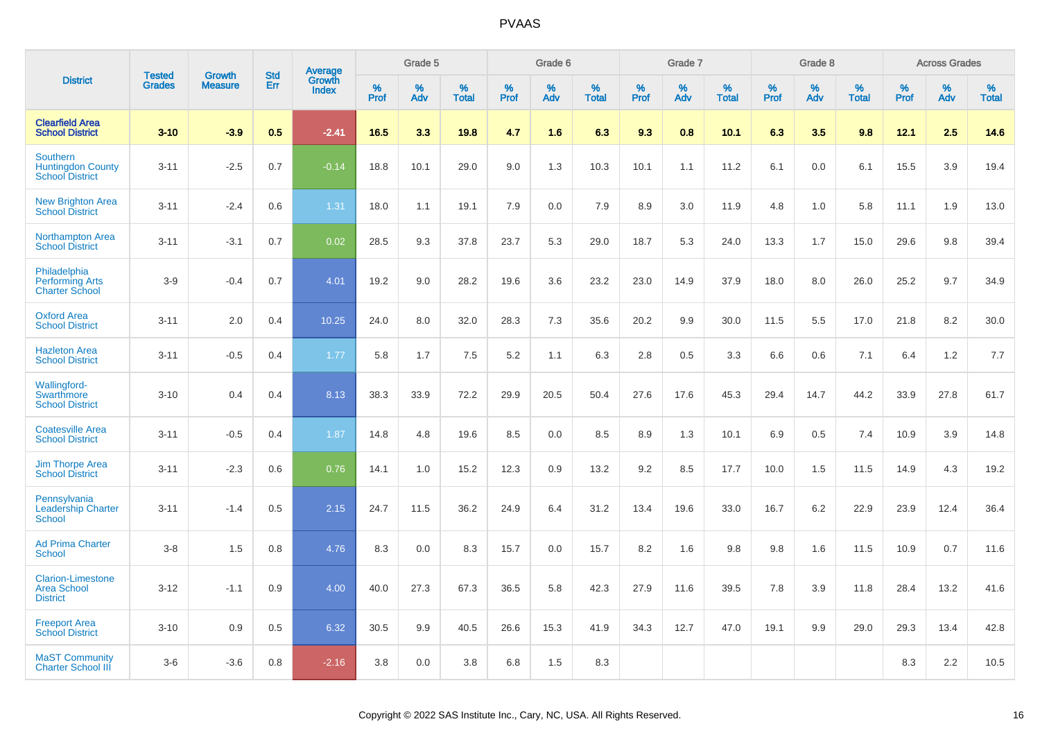|                                                                       | <b>Tested</b> | <b>Growth</b>  | <b>Std</b> | Average                |              | Grade 5  |                   |              | Grade 6  |                   |              | Grade 7  |                   |           | Grade 8  |                   |              | <b>Across Grades</b> |                   |
|-----------------------------------------------------------------------|---------------|----------------|------------|------------------------|--------------|----------|-------------------|--------------|----------|-------------------|--------------|----------|-------------------|-----------|----------|-------------------|--------------|----------------------|-------------------|
| <b>District</b>                                                       | <b>Grades</b> | <b>Measure</b> | Err        | Growth<br><b>Index</b> | $\%$<br>Prof | %<br>Adv | %<br><b>Total</b> | $\%$<br>Prof | %<br>Adv | %<br><b>Total</b> | $\%$<br>Prof | %<br>Adv | %<br><b>Total</b> | %<br>Prof | %<br>Adv | %<br><b>Total</b> | $\%$<br>Prof | $\%$<br>Adv          | %<br><b>Total</b> |
| <b>Clearfield Area</b><br><b>School District</b>                      | $3 - 10$      | $-3.9$         | 0.5        | $-2.41$                | 16.5         | 3.3      | 19.8              | 4.7          | 1.6      | 6.3               | 9.3          | 0.8      | 10.1              | 6.3       | 3.5      | 9.8               | 12.1         | 2.5                  | 14.6              |
| <b>Southern</b><br><b>Huntingdon County</b><br><b>School District</b> | $3 - 11$      | $-2.5$         | 0.7        | $-0.14$                | 18.8         | 10.1     | 29.0              | 9.0          | 1.3      | 10.3              | 10.1         | 1.1      | 11.2              | 6.1       | 0.0      | 6.1               | 15.5         | 3.9                  | 19.4              |
| <b>New Brighton Area</b><br><b>School District</b>                    | $3 - 11$      | $-2.4$         | 0.6        | 1.31                   | 18.0         | 1.1      | 19.1              | 7.9          | 0.0      | 7.9               | 8.9          | 3.0      | 11.9              | 4.8       | 1.0      | 5.8               | 11.1         | 1.9                  | 13.0              |
| <b>Northampton Area</b><br><b>School District</b>                     | $3 - 11$      | $-3.1$         | 0.7        | 0.02                   | 28.5         | 9.3      | 37.8              | 23.7         | 5.3      | 29.0              | 18.7         | 5.3      | 24.0              | 13.3      | 1.7      | 15.0              | 29.6         | 9.8                  | 39.4              |
| Philadelphia<br><b>Performing Arts</b><br><b>Charter School</b>       | $3-9$         | $-0.4$         | 0.7        | 4.01                   | 19.2         | 9.0      | 28.2              | 19.6         | 3.6      | 23.2              | 23.0         | 14.9     | 37.9              | 18.0      | 8.0      | 26.0              | 25.2         | 9.7                  | 34.9              |
| <b>Oxford Area</b><br><b>School District</b>                          | $3 - 11$      | 2.0            | 0.4        | 10.25                  | 24.0         | 8.0      | 32.0              | 28.3         | 7.3      | 35.6              | 20.2         | 9.9      | 30.0              | 11.5      | 5.5      | 17.0              | 21.8         | 8.2                  | 30.0              |
| <b>Hazleton Area</b><br><b>School District</b>                        | $3 - 11$      | $-0.5$         | 0.4        | 1.77                   | 5.8          | 1.7      | 7.5               | 5.2          | 1.1      | 6.3               | 2.8          | 0.5      | 3.3               | 6.6       | 0.6      | 7.1               | 6.4          | 1.2                  | 7.7               |
| Wallingford-<br>Swarthmore<br><b>School District</b>                  | $3 - 10$      | 0.4            | 0.4        | 8.13                   | 38.3         | 33.9     | 72.2              | 29.9         | 20.5     | 50.4              | 27.6         | 17.6     | 45.3              | 29.4      | 14.7     | 44.2              | 33.9         | 27.8                 | 61.7              |
| <b>Coatesville Area</b><br><b>School District</b>                     | $3 - 11$      | $-0.5$         | 0.4        | 1.87                   | 14.8         | 4.8      | 19.6              | 8.5          | 0.0      | 8.5               | 8.9          | 1.3      | 10.1              | 6.9       | 0.5      | 7.4               | 10.9         | 3.9                  | 14.8              |
| <b>Jim Thorpe Area</b><br><b>School District</b>                      | $3 - 11$      | $-2.3$         | 0.6        | 0.76                   | 14.1         | 1.0      | 15.2              | 12.3         | 0.9      | 13.2              | 9.2          | 8.5      | 17.7              | 10.0      | 1.5      | 11.5              | 14.9         | 4.3                  | 19.2              |
| Pennsylvania<br><b>Leadership Charter</b><br><b>School</b>            | $3 - 11$      | $-1.4$         | 0.5        | 2.15                   | 24.7         | 11.5     | 36.2              | 24.9         | 6.4      | 31.2              | 13.4         | 19.6     | 33.0              | 16.7      | 6.2      | 22.9              | 23.9         | 12.4                 | 36.4              |
| <b>Ad Prima Charter</b><br><b>School</b>                              | $3-8$         | 1.5            | 0.8        | 4.76                   | 8.3          | 0.0      | 8.3               | 15.7         | 0.0      | 15.7              | 8.2          | 1.6      | 9.8               | 9.8       | 1.6      | 11.5              | 10.9         | 0.7                  | 11.6              |
| <b>Clarion-Limestone</b><br><b>Area School</b><br><b>District</b>     | $3 - 12$      | $-1.1$         | 0.9        | 4.00                   | 40.0         | 27.3     | 67.3              | 36.5         | 5.8      | 42.3              | 27.9         | 11.6     | 39.5              | 7.8       | 3.9      | 11.8              | 28.4         | 13.2                 | 41.6              |
| <b>Freeport Area</b><br><b>School District</b>                        | $3 - 10$      | 0.9            | 0.5        | 6.32                   | 30.5         | 9.9      | 40.5              | 26.6         | 15.3     | 41.9              | 34.3         | 12.7     | 47.0              | 19.1      | 9.9      | 29.0              | 29.3         | 13.4                 | 42.8              |
| <b>MaST Community</b><br><b>Charter School III</b>                    | $3-6$         | $-3.6$         | 0.8        | $-2.16$                | 3.8          | 0.0      | 3.8               | 6.8          | 1.5      | 8.3               |              |          |                   |           |          |                   | 8.3          | 2.2                  | 10.5              |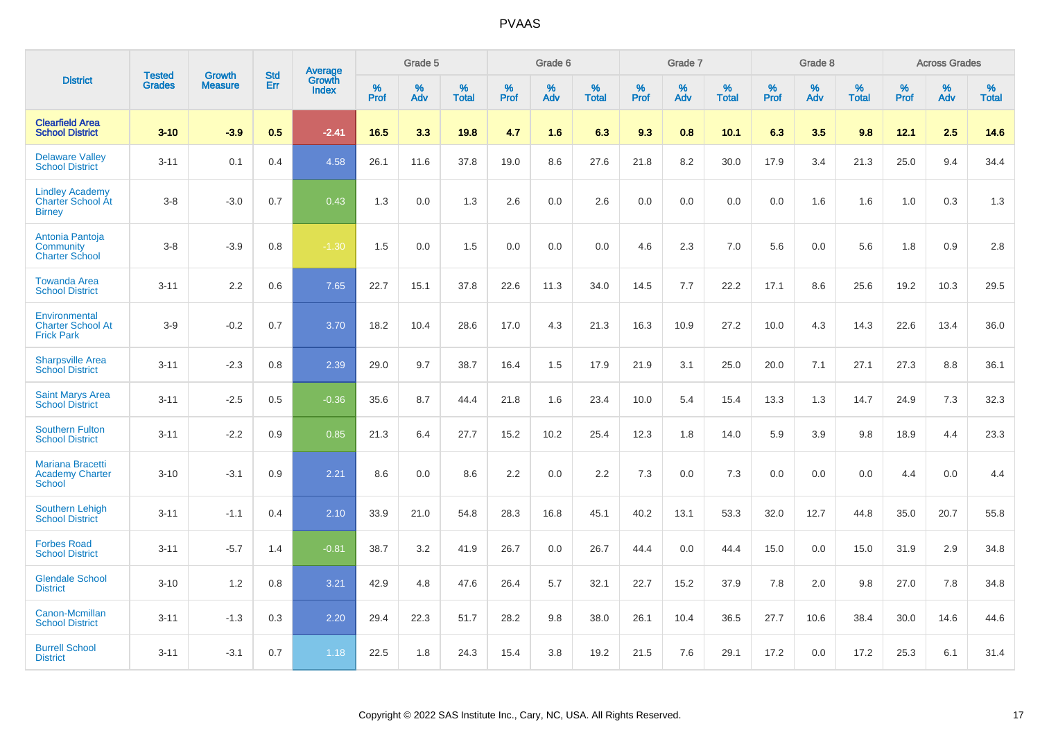|                                                                     | <b>Tested</b> | <b>Growth</b>  | <b>Std</b> | Average                |              | Grade 5  |                   |           | Grade 6  |                   |           | Grade 7  |                   |           | Grade 8  |                   |           | <b>Across Grades</b> |                   |
|---------------------------------------------------------------------|---------------|----------------|------------|------------------------|--------------|----------|-------------------|-----------|----------|-------------------|-----------|----------|-------------------|-----------|----------|-------------------|-----------|----------------------|-------------------|
| <b>District</b>                                                     | <b>Grades</b> | <b>Measure</b> | <b>Err</b> | Growth<br><b>Index</b> | $\%$<br>Prof | %<br>Adv | %<br><b>Total</b> | %<br>Prof | %<br>Adv | %<br><b>Total</b> | %<br>Prof | %<br>Adv | %<br><b>Total</b> | %<br>Prof | %<br>Adv | %<br><b>Total</b> | %<br>Prof | %<br>Adv             | %<br><b>Total</b> |
| <b>Clearfield Area</b><br><b>School District</b>                    | $3 - 10$      | $-3.9$         | 0.5        | $-2.41$                | 16.5         | 3.3      | 19.8              | 4.7       | 1.6      | 6.3               | 9.3       | 0.8      | 10.1              | 6.3       | 3.5      | 9.8               | 12.1      | 2.5                  | 14.6              |
| <b>Delaware Valley</b><br><b>School District</b>                    | $3 - 11$      | 0.1            | 0.4        | 4.58                   | 26.1         | 11.6     | 37.8              | 19.0      | 8.6      | 27.6              | 21.8      | 8.2      | 30.0              | 17.9      | 3.4      | 21.3              | 25.0      | 9.4                  | 34.4              |
| <b>Lindley Academy</b><br><b>Charter School At</b><br><b>Birney</b> | $3 - 8$       | $-3.0$         | 0.7        | 0.43                   | 1.3          | 0.0      | 1.3               | 2.6       | 0.0      | 2.6               | 0.0       | 0.0      | 0.0               | 0.0       | 1.6      | 1.6               | 1.0       | 0.3                  | 1.3               |
| Antonia Pantoja<br>Community<br><b>Charter School</b>               | $3 - 8$       | $-3.9$         | 0.8        | $-1.30$                | 1.5          | 0.0      | 1.5               | 0.0       | 0.0      | 0.0               | 4.6       | 2.3      | 7.0               | 5.6       | 0.0      | 5.6               | 1.8       | 0.9                  | 2.8               |
| <b>Towanda Area</b><br><b>School District</b>                       | $3 - 11$      | 2.2            | 0.6        | 7.65                   | 22.7         | 15.1     | 37.8              | 22.6      | 11.3     | 34.0              | 14.5      | 7.7      | 22.2              | 17.1      | 8.6      | 25.6              | 19.2      | 10.3                 | 29.5              |
| Environmental<br><b>Charter School At</b><br><b>Frick Park</b>      | $3-9$         | $-0.2$         | 0.7        | 3.70                   | 18.2         | 10.4     | 28.6              | 17.0      | 4.3      | 21.3              | 16.3      | 10.9     | 27.2              | 10.0      | 4.3      | 14.3              | 22.6      | 13.4                 | 36.0              |
| <b>Sharpsville Area</b><br><b>School District</b>                   | $3 - 11$      | $-2.3$         | 0.8        | 2.39                   | 29.0         | 9.7      | 38.7              | 16.4      | 1.5      | 17.9              | 21.9      | 3.1      | 25.0              | 20.0      | 7.1      | 27.1              | 27.3      | 8.8                  | 36.1              |
| <b>Saint Marys Area</b><br><b>School District</b>                   | $3 - 11$      | $-2.5$         | 0.5        | $-0.36$                | 35.6         | 8.7      | 44.4              | 21.8      | 1.6      | 23.4              | 10.0      | 5.4      | 15.4              | 13.3      | 1.3      | 14.7              | 24.9      | 7.3                  | 32.3              |
| <b>Southern Fulton</b><br><b>School District</b>                    | $3 - 11$      | $-2.2$         | 0.9        | 0.85                   | 21.3         | 6.4      | 27.7              | 15.2      | 10.2     | 25.4              | 12.3      | 1.8      | 14.0              | 5.9       | 3.9      | 9.8               | 18.9      | 4.4                  | 23.3              |
| <b>Mariana Bracetti</b><br><b>Academy Charter</b><br><b>School</b>  | $3 - 10$      | $-3.1$         | 0.9        | 2.21                   | 8.6          | 0.0      | 8.6               | 2.2       | 0.0      | 2.2               | 7.3       | 0.0      | 7.3               | 0.0       | 0.0      | 0.0               | 4.4       | 0.0                  | 4.4               |
| <b>Southern Lehigh</b><br><b>School District</b>                    | $3 - 11$      | $-1.1$         | 0.4        | 2.10                   | 33.9         | 21.0     | 54.8              | 28.3      | 16.8     | 45.1              | 40.2      | 13.1     | 53.3              | 32.0      | 12.7     | 44.8              | 35.0      | 20.7                 | 55.8              |
| <b>Forbes Road</b><br><b>School District</b>                        | $3 - 11$      | $-5.7$         | 1.4        | $-0.81$                | 38.7         | 3.2      | 41.9              | 26.7      | 0.0      | 26.7              | 44.4      | 0.0      | 44.4              | 15.0      | 0.0      | 15.0              | 31.9      | 2.9                  | 34.8              |
| <b>Glendale School</b><br><b>District</b>                           | $3 - 10$      | 1.2            | 0.8        | 3.21                   | 42.9         | 4.8      | 47.6              | 26.4      | 5.7      | 32.1              | 22.7      | 15.2     | 37.9              | 7.8       | 2.0      | 9.8               | 27.0      | 7.8                  | 34.8              |
| Canon-Mcmillan<br><b>School District</b>                            | $3 - 11$      | $-1.3$         | 0.3        | 2.20                   | 29.4         | 22.3     | 51.7              | 28.2      | 9.8      | 38.0              | 26.1      | 10.4     | 36.5              | 27.7      | 10.6     | 38.4              | 30.0      | 14.6                 | 44.6              |
| <b>Burrell School</b><br><b>District</b>                            | $3 - 11$      | $-3.1$         | 0.7        | 1.18                   | 22.5         | 1.8      | 24.3              | 15.4      | 3.8      | 19.2              | 21.5      | 7.6      | 29.1              | 17.2      | 0.0      | 17.2              | 25.3      | 6.1                  | 31.4              |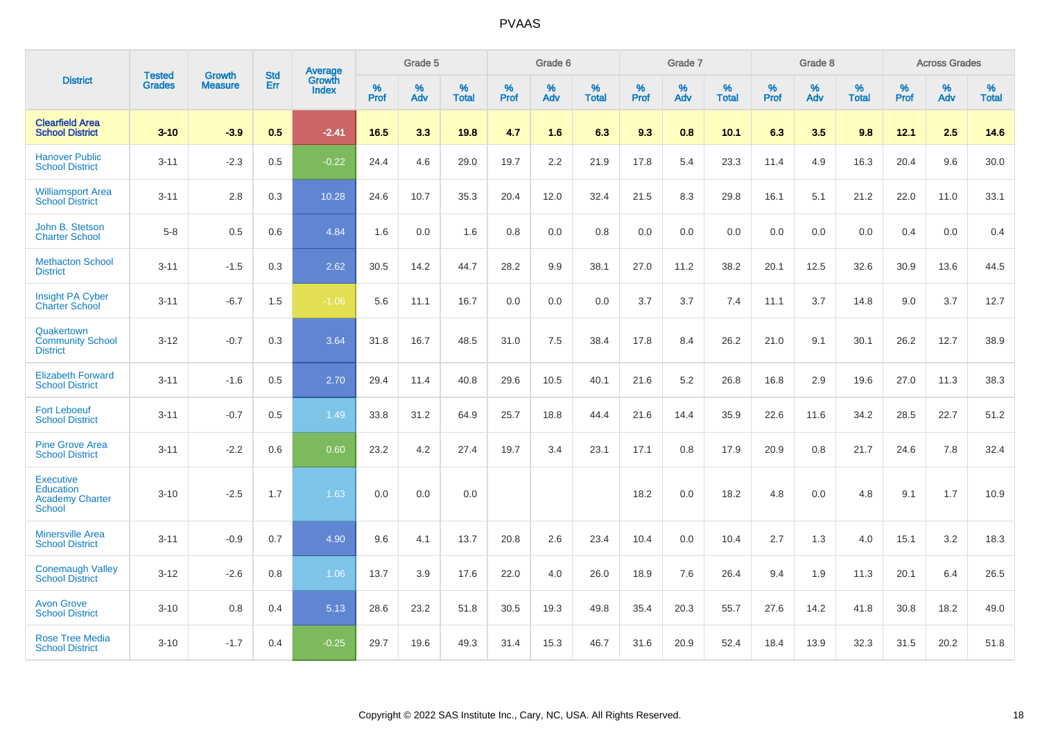|                                                                          | <b>Tested</b> | <b>Growth</b>  | <b>Std</b> | Average                |              | Grade 5  |                   |           | Grade 6  |                   |           | Grade 7  |                   |           | Grade 8  |                   |              | <b>Across Grades</b> |                   |
|--------------------------------------------------------------------------|---------------|----------------|------------|------------------------|--------------|----------|-------------------|-----------|----------|-------------------|-----------|----------|-------------------|-----------|----------|-------------------|--------------|----------------------|-------------------|
| <b>District</b>                                                          | <b>Grades</b> | <b>Measure</b> | Err        | Growth<br><b>Index</b> | $\%$<br>Prof | %<br>Adv | %<br><b>Total</b> | %<br>Prof | %<br>Adv | %<br><b>Total</b> | %<br>Prof | %<br>Adv | %<br><b>Total</b> | %<br>Prof | %<br>Adv | %<br><b>Total</b> | $\%$<br>Prof | %<br>Adv             | %<br><b>Total</b> |
| <b>Clearfield Area</b><br><b>School District</b>                         | $3 - 10$      | $-3.9$         | 0.5        | $-2.41$                | 16.5         | 3.3      | 19.8              | 4.7       | 1.6      | 6.3               | 9.3       | 0.8      | 10.1              | 6.3       | 3.5      | 9.8               | 12.1         | 2.5                  | 14.6              |
| <b>Hanover Public</b><br><b>School District</b>                          | $3 - 11$      | $-2.3$         | 0.5        | $-0.22$                | 24.4         | 4.6      | 29.0              | 19.7      | 2.2      | 21.9              | 17.8      | 5.4      | 23.3              | 11.4      | 4.9      | 16.3              | 20.4         | 9.6                  | 30.0              |
| <b>Williamsport Area</b><br><b>School District</b>                       | $3 - 11$      | 2.8            | 0.3        | 10.28                  | 24.6         | 10.7     | 35.3              | 20.4      | 12.0     | 32.4              | 21.5      | 8.3      | 29.8              | 16.1      | 5.1      | 21.2              | 22.0         | 11.0                 | 33.1              |
| John B. Stetson<br><b>Charter School</b>                                 | $5 - 8$       | 0.5            | 0.6        | 4.84                   | 1.6          | 0.0      | 1.6               | 0.8       | 0.0      | 0.8               | 0.0       | 0.0      | 0.0               | 0.0       | 0.0      | 0.0               | 0.4          | 0.0                  | 0.4               |
| <b>Methacton School</b><br><b>District</b>                               | $3 - 11$      | $-1.5$         | 0.3        | 2.62                   | 30.5         | 14.2     | 44.7              | 28.2      | 9.9      | 38.1              | 27.0      | 11.2     | 38.2              | 20.1      | 12.5     | 32.6              | 30.9         | 13.6                 | 44.5              |
| Insight PA Cyber<br><b>Charter School</b>                                | $3 - 11$      | $-6.7$         | 1.5        | $-1.06$                | 5.6          | 11.1     | 16.7              | 0.0       | 0.0      | 0.0               | 3.7       | 3.7      | 7.4               | 11.1      | 3.7      | 14.8              | 9.0          | 3.7                  | 12.7              |
| Quakertown<br><b>Community School</b><br><b>District</b>                 | $3 - 12$      | $-0.7$         | 0.3        | 3.64                   | 31.8         | 16.7     | 48.5              | 31.0      | 7.5      | 38.4              | 17.8      | 8.4      | 26.2              | 21.0      | 9.1      | 30.1              | 26.2         | 12.7                 | 38.9              |
| <b>Elizabeth Forward</b><br><b>School District</b>                       | $3 - 11$      | $-1.6$         | 0.5        | 2.70                   | 29.4         | 11.4     | 40.8              | 29.6      | 10.5     | 40.1              | 21.6      | 5.2      | 26.8              | 16.8      | 2.9      | 19.6              | 27.0         | 11.3                 | 38.3              |
| <b>Fort Leboeuf</b><br><b>School District</b>                            | $3 - 11$      | $-0.7$         | 0.5        | 1.49                   | 33.8         | 31.2     | 64.9              | 25.7      | 18.8     | 44.4              | 21.6      | 14.4     | 35.9              | 22.6      | 11.6     | 34.2              | 28.5         | 22.7                 | 51.2              |
| <b>Pine Grove Area</b><br><b>School District</b>                         | $3 - 11$      | $-2.2$         | 0.6        | 0.60                   | 23.2         | 4.2      | 27.4              | 19.7      | 3.4      | 23.1              | 17.1      | 0.8      | 17.9              | 20.9      | 0.8      | 21.7              | 24.6         | 7.8                  | 32.4              |
| <b>Executive</b><br><b>Education</b><br><b>Academy Charter</b><br>School | $3 - 10$      | $-2.5$         | 1.7        | 1.63                   | 0.0          | 0.0      | 0.0               |           |          |                   | 18.2      | 0.0      | 18.2              | 4.8       | 0.0      | 4.8               | 9.1          | 1.7                  | 10.9              |
| <b>Minersville Area</b><br><b>School District</b>                        | $3 - 11$      | $-0.9$         | 0.7        | 4.90                   | 9.6          | 4.1      | 13.7              | 20.8      | 2.6      | 23.4              | 10.4      | 0.0      | 10.4              | 2.7       | 1.3      | 4.0               | 15.1         | 3.2                  | 18.3              |
| <b>Conemaugh Valley</b><br><b>School District</b>                        | $3 - 12$      | $-2.6$         | 0.8        | 1.06                   | 13.7         | 3.9      | 17.6              | 22.0      | 4.0      | 26.0              | 18.9      | 7.6      | 26.4              | 9.4       | 1.9      | 11.3              | 20.1         | 6.4                  | 26.5              |
| <b>Avon Grove</b><br><b>School District</b>                              | $3 - 10$      | 0.8            | 0.4        | 5.13                   | 28.6         | 23.2     | 51.8              | 30.5      | 19.3     | 49.8              | 35.4      | 20.3     | 55.7              | 27.6      | 14.2     | 41.8              | 30.8         | 18.2                 | 49.0              |
| <b>Rose Tree Media</b><br><b>School District</b>                         | $3 - 10$      | $-1.7$         | 0.4        | $-0.25$                | 29.7         | 19.6     | 49.3              | 31.4      | 15.3     | 46.7              | 31.6      | 20.9     | 52.4              | 18.4      | 13.9     | 32.3              | 31.5         | 20.2                 | 51.8              |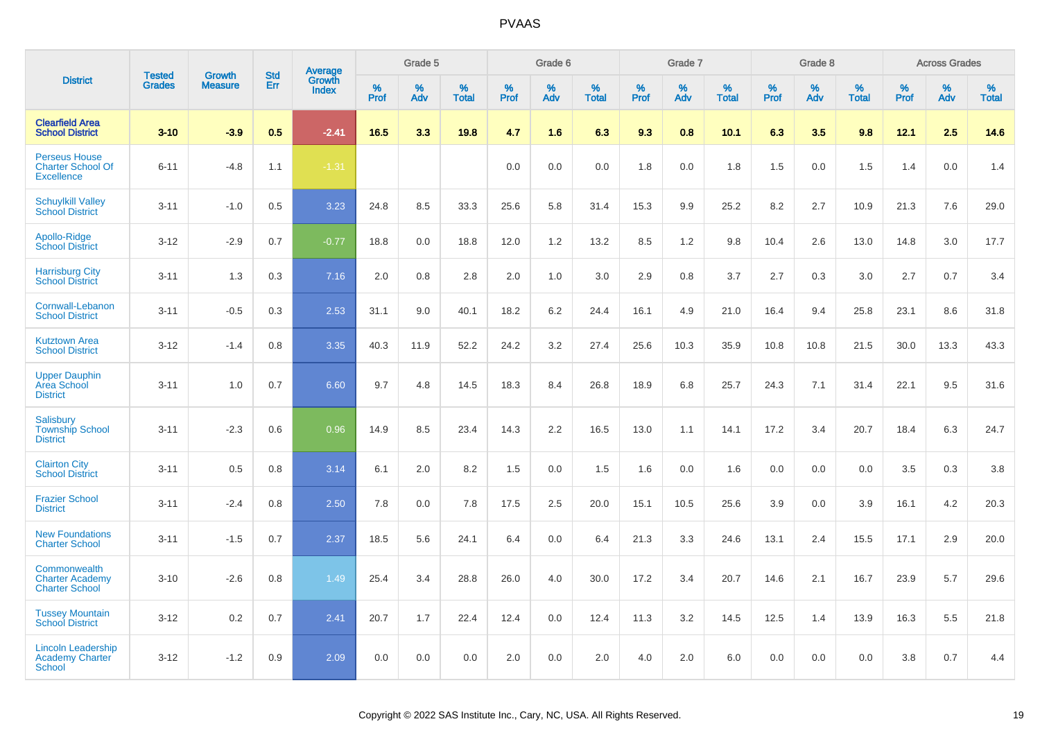|                                                                       |                                |                                 |                   | <b>Average</b>         |                     | Grade 5     |                   |                  | Grade 6  |                   |                  | Grade 7  |                   |           | Grade 8  |                   |              | <b>Across Grades</b> |                   |
|-----------------------------------------------------------------------|--------------------------------|---------------------------------|-------------------|------------------------|---------------------|-------------|-------------------|------------------|----------|-------------------|------------------|----------|-------------------|-----------|----------|-------------------|--------------|----------------------|-------------------|
| <b>District</b>                                                       | <b>Tested</b><br><b>Grades</b> | <b>Growth</b><br><b>Measure</b> | <b>Std</b><br>Err | Growth<br><b>Index</b> | $\%$<br><b>Prof</b> | $\%$<br>Adv | %<br><b>Total</b> | %<br><b>Prof</b> | %<br>Adv | %<br><b>Total</b> | %<br><b>Prof</b> | %<br>Adv | %<br><b>Total</b> | %<br>Prof | %<br>Adv | %<br><b>Total</b> | $\%$<br>Prof | %<br>Adv             | %<br><b>Total</b> |
| <b>Clearfield Area</b><br><b>School District</b>                      | $3 - 10$                       | $-3.9$                          | 0.5               | $-2.41$                | 16.5                | 3.3         | 19.8              | 4.7              | 1.6      | 6.3               | 9.3              | 0.8      | 10.1              | 6.3       | 3.5      | 9.8               | 12.1         | 2.5                  | 14.6              |
| <b>Perseus House</b><br><b>Charter School Of</b><br><b>Excellence</b> | $6 - 11$                       | $-4.8$                          | 1.1               | $-1.31$                |                     |             |                   | 0.0              | 0.0      | 0.0               | 1.8              | 0.0      | 1.8               | 1.5       | 0.0      | 1.5               | 1.4          | 0.0                  | 1.4               |
| <b>Schuylkill Valley</b><br><b>School District</b>                    | $3 - 11$                       | $-1.0$                          | 0.5               | 3.23                   | 24.8                | 8.5         | 33.3              | 25.6             | 5.8      | 31.4              | 15.3             | 9.9      | 25.2              | 8.2       | 2.7      | 10.9              | 21.3         | 7.6                  | 29.0              |
| Apollo-Ridge<br><b>School District</b>                                | $3 - 12$                       | $-2.9$                          | 0.7               | $-0.77$                | 18.8                | 0.0         | 18.8              | 12.0             | 1.2      | 13.2              | 8.5              | 1.2      | 9.8               | 10.4      | 2.6      | 13.0              | 14.8         | 3.0                  | 17.7              |
| <b>Harrisburg City</b><br><b>School District</b>                      | $3 - 11$                       | 1.3                             | 0.3               | 7.16                   | 2.0                 | 0.8         | 2.8               | 2.0              | 1.0      | 3.0               | 2.9              | 0.8      | 3.7               | 2.7       | 0.3      | 3.0               | 2.7          | 0.7                  | 3.4               |
| Cornwall-Lebanon<br><b>School District</b>                            | $3 - 11$                       | $-0.5$                          | 0.3               | 2.53                   | 31.1                | 9.0         | 40.1              | 18.2             | 6.2      | 24.4              | 16.1             | 4.9      | 21.0              | 16.4      | 9.4      | 25.8              | 23.1         | 8.6                  | 31.8              |
| <b>Kutztown Area</b><br><b>School District</b>                        | $3 - 12$                       | $-1.4$                          | 0.8               | 3.35                   | 40.3                | 11.9        | 52.2              | 24.2             | 3.2      | 27.4              | 25.6             | 10.3     | 35.9              | 10.8      | 10.8     | 21.5              | 30.0         | 13.3                 | 43.3              |
| <b>Upper Dauphin</b><br>Area School<br><b>District</b>                | $3 - 11$                       | 1.0                             | 0.7               | 6.60                   | 9.7                 | 4.8         | 14.5              | 18.3             | 8.4      | 26.8              | 18.9             | 6.8      | 25.7              | 24.3      | 7.1      | 31.4              | 22.1         | 9.5                  | 31.6              |
| Salisbury<br><b>Township School</b><br><b>District</b>                | $3 - 11$                       | $-2.3$                          | 0.6               | 0.96                   | 14.9                | 8.5         | 23.4              | 14.3             | 2.2      | 16.5              | 13.0             | 1.1      | 14.1              | 17.2      | 3.4      | 20.7              | 18.4         | 6.3                  | 24.7              |
| <b>Clairton City</b><br><b>School District</b>                        | $3 - 11$                       | 0.5                             | 0.8               | 3.14                   | 6.1                 | 2.0         | 8.2               | 1.5              | 0.0      | 1.5               | 1.6              | 0.0      | 1.6               | 0.0       | 0.0      | 0.0               | 3.5          | 0.3                  | 3.8               |
| <b>Frazier School</b><br><b>District</b>                              | $3 - 11$                       | $-2.4$                          | 0.8               | 2.50                   | 7.8                 | 0.0         | 7.8               | 17.5             | 2.5      | 20.0              | 15.1             | 10.5     | 25.6              | 3.9       | 0.0      | 3.9               | 16.1         | 4.2                  | 20.3              |
| <b>New Foundations</b><br><b>Charter School</b>                       | $3 - 11$                       | $-1.5$                          | 0.7               | 2.37                   | 18.5                | 5.6         | 24.1              | 6.4              | 0.0      | 6.4               | 21.3             | 3.3      | 24.6              | 13.1      | 2.4      | 15.5              | 17.1         | 2.9                  | 20.0              |
| Commonwealth<br><b>Charter Academy</b><br><b>Charter School</b>       | $3 - 10$                       | $-2.6$                          | 0.8               | 1.49                   | 25.4                | 3.4         | 28.8              | 26.0             | 4.0      | 30.0              | 17.2             | 3.4      | 20.7              | 14.6      | 2.1      | 16.7              | 23.9         | 5.7                  | 29.6              |
| <b>Tussey Mountain</b><br><b>School District</b>                      | $3 - 12$                       | 0.2                             | 0.7               | 2.41                   | 20.7                | 1.7         | 22.4              | 12.4             | 0.0      | 12.4              | 11.3             | 3.2      | 14.5              | 12.5      | 1.4      | 13.9              | 16.3         | 5.5                  | 21.8              |
| <b>Lincoln Leadership</b><br>Academy Charter<br><b>School</b>         | $3 - 12$                       | $-1.2$                          | 0.9               | 2.09                   | 0.0                 | 0.0         | 0.0               | 2.0              | 0.0      | 2.0               | 4.0              | 2.0      | 6.0               | 0.0       | 0.0      | 0.0               | 3.8          | 0.7                  | 4.4               |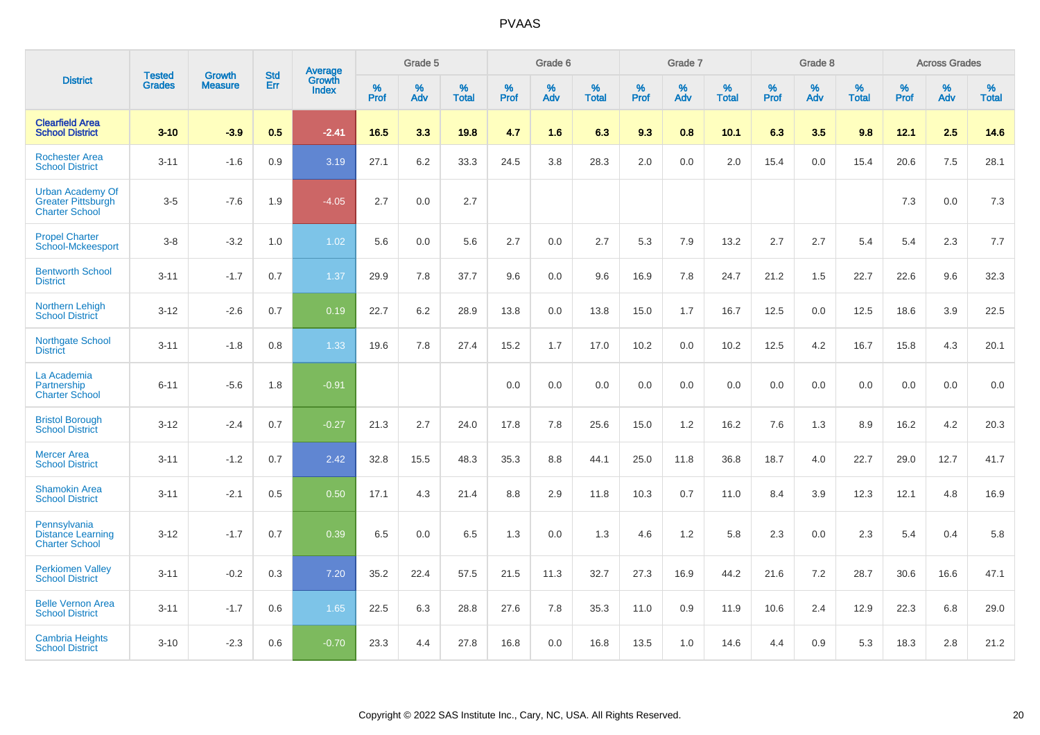|                                                                               | <b>Tested</b> | <b>Growth</b>  | <b>Std</b> | <b>Average</b>         |              | Grade 5  |                   |           | Grade 6  |                   |           | Grade 7  |                   |           | Grade 8  |                   |              | <b>Across Grades</b> |                   |
|-------------------------------------------------------------------------------|---------------|----------------|------------|------------------------|--------------|----------|-------------------|-----------|----------|-------------------|-----------|----------|-------------------|-----------|----------|-------------------|--------------|----------------------|-------------------|
| <b>District</b>                                                               | <b>Grades</b> | <b>Measure</b> | Err        | Growth<br><b>Index</b> | $\%$<br>Prof | %<br>Adv | %<br><b>Total</b> | %<br>Prof | %<br>Adv | %<br><b>Total</b> | %<br>Prof | %<br>Adv | %<br><b>Total</b> | %<br>Prof | %<br>Adv | %<br><b>Total</b> | $\%$<br>Prof | %<br>Adv             | %<br><b>Total</b> |
| <b>Clearfield Area</b><br><b>School District</b>                              | $3 - 10$      | $-3.9$         | 0.5        | $-2.41$                | 16.5         | 3.3      | 19.8              | 4.7       | 1.6      | 6.3               | 9.3       | 0.8      | 10.1              | 6.3       | 3.5      | 9.8               | 12.1         | 2.5                  | 14.6              |
| <b>Rochester Area</b><br><b>School District</b>                               | $3 - 11$      | $-1.6$         | 0.9        | 3.19                   | 27.1         | 6.2      | 33.3              | 24.5      | 3.8      | 28.3              | 2.0       | 0.0      | 2.0               | 15.4      | 0.0      | 15.4              | 20.6         | 7.5                  | 28.1              |
| <b>Urban Academy Of</b><br><b>Greater Pittsburgh</b><br><b>Charter School</b> | $3-5$         | $-7.6$         | 1.9        | $-4.05$                | 2.7          | 0.0      | 2.7               |           |          |                   |           |          |                   |           |          |                   | 7.3          | 0.0                  | $7.3$             |
| <b>Propel Charter</b><br><b>School-Mckeesport</b>                             | $3 - 8$       | $-3.2$         | 1.0        | 1.02                   | 5.6          | 0.0      | 5.6               | 2.7       | 0.0      | 2.7               | 5.3       | 7.9      | 13.2              | 2.7       | 2.7      | 5.4               | 5.4          | 2.3                  | 7.7               |
| <b>Bentworth School</b><br><b>District</b>                                    | $3 - 11$      | $-1.7$         | 0.7        | 1.37                   | 29.9         | 7.8      | 37.7              | 9.6       | 0.0      | 9.6               | 16.9      | 7.8      | 24.7              | 21.2      | 1.5      | 22.7              | 22.6         | 9.6                  | 32.3              |
| Northern Lehigh<br><b>School District</b>                                     | $3 - 12$      | $-2.6$         | 0.7        | 0.19                   | 22.7         | 6.2      | 28.9              | 13.8      | 0.0      | 13.8              | 15.0      | 1.7      | 16.7              | 12.5      | 0.0      | 12.5              | 18.6         | 3.9                  | 22.5              |
| Northgate School<br><b>District</b>                                           | $3 - 11$      | $-1.8$         | 0.8        | 1.33                   | 19.6         | 7.8      | 27.4              | 15.2      | 1.7      | 17.0              | 10.2      | 0.0      | 10.2              | 12.5      | 4.2      | 16.7              | 15.8         | 4.3                  | 20.1              |
| La Academia<br>Partnership<br><b>Charter School</b>                           | $6 - 11$      | $-5.6$         | 1.8        | $-0.91$                |              |          |                   | 0.0       | 0.0      | 0.0               | 0.0       | 0.0      | 0.0               | 0.0       | 0.0      | 0.0               | 0.0          | 0.0                  | 0.0               |
| <b>Bristol Borough</b><br><b>School District</b>                              | $3 - 12$      | $-2.4$         | 0.7        | $-0.27$                | 21.3         | 2.7      | 24.0              | 17.8      | 7.8      | 25.6              | 15.0      | 1.2      | 16.2              | 7.6       | 1.3      | 8.9               | 16.2         | 4.2                  | 20.3              |
| <b>Mercer Area</b><br><b>School District</b>                                  | $3 - 11$      | $-1.2$         | 0.7        | 2.42                   | 32.8         | 15.5     | 48.3              | 35.3      | 8.8      | 44.1              | 25.0      | 11.8     | 36.8              | 18.7      | 4.0      | 22.7              | 29.0         | 12.7                 | 41.7              |
| <b>Shamokin Area</b><br><b>School District</b>                                | $3 - 11$      | $-2.1$         | 0.5        | 0.50                   | 17.1         | 4.3      | 21.4              | 8.8       | 2.9      | 11.8              | 10.3      | 0.7      | 11.0              | 8.4       | 3.9      | 12.3              | 12.1         | 4.8                  | 16.9              |
| Pennsylvania<br><b>Distance Learning</b><br><b>Charter School</b>             | $3 - 12$      | $-1.7$         | 0.7        | 0.39                   | 6.5          | 0.0      | 6.5               | 1.3       | 0.0      | 1.3               | 4.6       | 1.2      | 5.8               | 2.3       | 0.0      | 2.3               | 5.4          | 0.4                  | 5.8               |
| <b>Perkiomen Valley</b><br><b>School District</b>                             | $3 - 11$      | $-0.2$         | 0.3        | 7.20                   | 35.2         | 22.4     | 57.5              | 21.5      | 11.3     | 32.7              | 27.3      | 16.9     | 44.2              | 21.6      | 7.2      | 28.7              | 30.6         | 16.6                 | 47.1              |
| <b>Belle Vernon Area</b><br><b>School District</b>                            | $3 - 11$      | $-1.7$         | 0.6        | 1.65                   | 22.5         | 6.3      | 28.8              | 27.6      | 7.8      | 35.3              | 11.0      | 0.9      | 11.9              | 10.6      | 2.4      | 12.9              | 22.3         | 6.8                  | 29.0              |
| <b>Cambria Heights</b><br><b>School District</b>                              | $3 - 10$      | $-2.3$         | 0.6        | $-0.70$                | 23.3         | 4.4      | 27.8              | 16.8      | 0.0      | 16.8              | 13.5      | 1.0      | 14.6              | 4.4       | 0.9      | 5.3               | 18.3         | 2.8                  | 21.2              |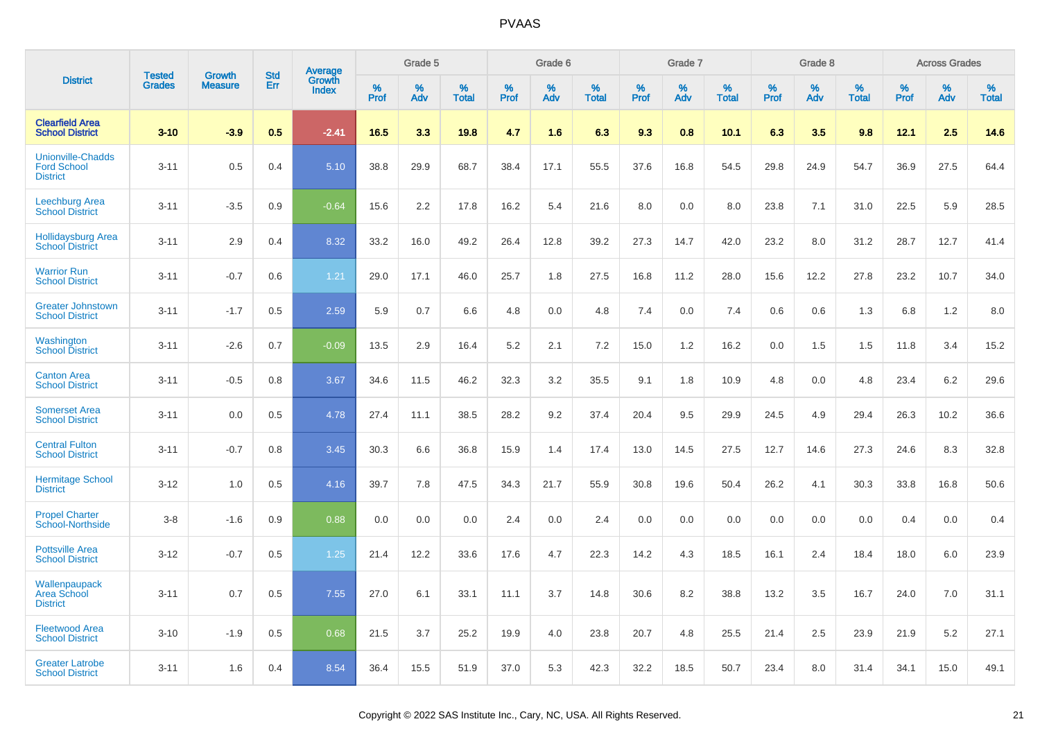|                                                                   | <b>Tested</b> | <b>Growth</b>  | <b>Std</b> | Average                |              | Grade 5  |                   |              | Grade 6  |                   |              | Grade 7  |                   |              | Grade 8  |                   |              | <b>Across Grades</b> |                   |
|-------------------------------------------------------------------|---------------|----------------|------------|------------------------|--------------|----------|-------------------|--------------|----------|-------------------|--------------|----------|-------------------|--------------|----------|-------------------|--------------|----------------------|-------------------|
| <b>District</b>                                                   | <b>Grades</b> | <b>Measure</b> | Err        | Growth<br><b>Index</b> | $\%$<br>Prof | %<br>Adv | %<br><b>Total</b> | $\%$<br>Prof | %<br>Adv | %<br><b>Total</b> | $\%$<br>Prof | %<br>Adv | %<br><b>Total</b> | $\%$<br>Prof | %<br>Adv | %<br><b>Total</b> | $\%$<br>Prof | %<br>Adv             | %<br><b>Total</b> |
| <b>Clearfield Area</b><br><b>School District</b>                  | $3 - 10$      | $-3.9$         | 0.5        | $-2.41$                | 16.5         | 3.3      | 19.8              | 4.7          | 1.6      | 6.3               | 9.3          | 0.8      | 10.1              | 6.3          | 3.5      | 9.8               | 12.1         | 2.5                  | 14.6              |
| <b>Unionville-Chadds</b><br><b>Ford School</b><br><b>District</b> | $3 - 11$      | 0.5            | 0.4        | 5.10                   | 38.8         | 29.9     | 68.7              | 38.4         | 17.1     | 55.5              | 37.6         | 16.8     | 54.5              | 29.8         | 24.9     | 54.7              | 36.9         | 27.5                 | 64.4              |
| <b>Leechburg Area</b><br><b>School District</b>                   | $3 - 11$      | $-3.5$         | 0.9        | $-0.64$                | 15.6         | 2.2      | 17.8              | 16.2         | 5.4      | 21.6              | 8.0          | 0.0      | 8.0               | 23.8         | 7.1      | 31.0              | 22.5         | 5.9                  | 28.5              |
| <b>Hollidaysburg Area</b><br><b>School District</b>               | $3 - 11$      | 2.9            | 0.4        | 8.32                   | 33.2         | 16.0     | 49.2              | 26.4         | 12.8     | 39.2              | 27.3         | 14.7     | 42.0              | 23.2         | 8.0      | 31.2              | 28.7         | 12.7                 | 41.4              |
| <b>Warrior Run</b><br><b>School District</b>                      | $3 - 11$      | $-0.7$         | 0.6        | 1.21                   | 29.0         | 17.1     | 46.0              | 25.7         | 1.8      | 27.5              | 16.8         | 11.2     | 28.0              | 15.6         | 12.2     | 27.8              | 23.2         | 10.7                 | 34.0              |
| <b>Greater Johnstown</b><br><b>School District</b>                | $3 - 11$      | $-1.7$         | 0.5        | 2.59                   | 5.9          | 0.7      | 6.6               | 4.8          | 0.0      | 4.8               | 7.4          | 0.0      | 7.4               | 0.6          | 0.6      | 1.3               | 6.8          | 1.2                  | 8.0               |
| Washington<br><b>School District</b>                              | $3 - 11$      | $-2.6$         | 0.7        | $-0.09$                | 13.5         | 2.9      | 16.4              | 5.2          | 2.1      | 7.2               | 15.0         | 1.2      | 16.2              | 0.0          | 1.5      | 1.5               | 11.8         | 3.4                  | 15.2              |
| <b>Canton Area</b><br><b>School District</b>                      | $3 - 11$      | $-0.5$         | 0.8        | 3.67                   | 34.6         | 11.5     | 46.2              | 32.3         | 3.2      | 35.5              | 9.1          | 1.8      | 10.9              | 4.8          | 0.0      | 4.8               | 23.4         | 6.2                  | 29.6              |
| <b>Somerset Area</b><br><b>School District</b>                    | $3 - 11$      | 0.0            | 0.5        | 4.78                   | 27.4         | 11.1     | 38.5              | 28.2         | 9.2      | 37.4              | 20.4         | 9.5      | 29.9              | 24.5         | 4.9      | 29.4              | 26.3         | 10.2                 | 36.6              |
| <b>Central Fulton</b><br><b>School District</b>                   | $3 - 11$      | $-0.7$         | 0.8        | 3.45                   | 30.3         | 6.6      | 36.8              | 15.9         | 1.4      | 17.4              | 13.0         | 14.5     | 27.5              | 12.7         | 14.6     | 27.3              | 24.6         | 8.3                  | 32.8              |
| <b>Hermitage School</b><br><b>District</b>                        | $3 - 12$      | 1.0            | 0.5        | 4.16                   | 39.7         | 7.8      | 47.5              | 34.3         | 21.7     | 55.9              | 30.8         | 19.6     | 50.4              | 26.2         | 4.1      | 30.3              | 33.8         | 16.8                 | 50.6              |
| <b>Propel Charter</b><br><b>School-Northside</b>                  | $3 - 8$       | $-1.6$         | 0.9        | 0.88                   | 0.0          | 0.0      | 0.0               | 2.4          | 0.0      | 2.4               | 0.0          | 0.0      | 0.0               | 0.0          | 0.0      | 0.0               | 0.4          | 0.0                  | 0.4               |
| <b>Pottsville Area</b><br><b>School District</b>                  | $3 - 12$      | $-0.7$         | 0.5        | 1.25                   | 21.4         | 12.2     | 33.6              | 17.6         | 4.7      | 22.3              | 14.2         | 4.3      | 18.5              | 16.1         | 2.4      | 18.4              | 18.0         | 6.0                  | 23.9              |
| Wallenpaupack<br><b>Area School</b><br><b>District</b>            | $3 - 11$      | 0.7            | 0.5        | 7.55                   | 27.0         | 6.1      | 33.1              | 11.1         | 3.7      | 14.8              | 30.6         | 8.2      | 38.8              | 13.2         | 3.5      | 16.7              | 24.0         | 7.0                  | 31.1              |
| <b>Fleetwood Area</b><br><b>School District</b>                   | $3 - 10$      | $-1.9$         | 0.5        | 0.68                   | 21.5         | 3.7      | 25.2              | 19.9         | 4.0      | 23.8              | 20.7         | 4.8      | 25.5              | 21.4         | 2.5      | 23.9              | 21.9         | 5.2                  | 27.1              |
| <b>Greater Latrobe</b><br><b>School District</b>                  | $3 - 11$      | 1.6            | 0.4        | 8.54                   | 36.4         | 15.5     | 51.9              | 37.0         | 5.3      | 42.3              | 32.2         | 18.5     | 50.7              | 23.4         | 8.0      | 31.4              | 34.1         | 15.0                 | 49.1              |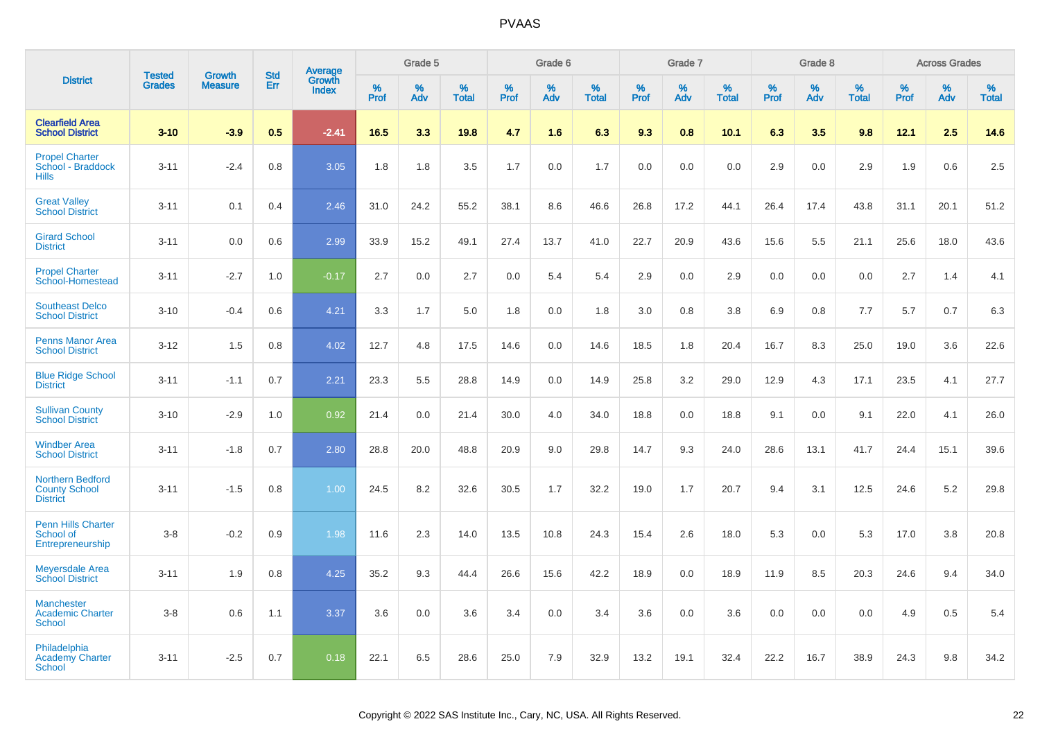|                                                                    |                                |                                 | <b>Std</b> | Average                |                  | Grade 5  |                   |                  | Grade 6  |                   |                  | Grade 7  |                   |           | Grade 8  |                   |                  | <b>Across Grades</b> |                   |
|--------------------------------------------------------------------|--------------------------------|---------------------------------|------------|------------------------|------------------|----------|-------------------|------------------|----------|-------------------|------------------|----------|-------------------|-----------|----------|-------------------|------------------|----------------------|-------------------|
| <b>District</b>                                                    | <b>Tested</b><br><b>Grades</b> | <b>Growth</b><br><b>Measure</b> | Err        | Growth<br><b>Index</b> | %<br><b>Prof</b> | %<br>Adv | %<br><b>Total</b> | %<br><b>Prof</b> | %<br>Adv | %<br><b>Total</b> | %<br><b>Prof</b> | %<br>Adv | %<br><b>Total</b> | %<br>Prof | %<br>Adv | %<br><b>Total</b> | %<br><b>Prof</b> | %<br>Adv             | %<br><b>Total</b> |
| <b>Clearfield Area</b><br><b>School District</b>                   | $3 - 10$                       | $-3.9$                          | 0.5        | $-2.41$                | 16.5             | 3.3      | 19.8              | 4.7              | 1.6      | 6.3               | 9.3              | 0.8      | 10.1              | 6.3       | 3.5      | 9.8               | 12.1             | 2.5                  | 14.6              |
| <b>Propel Charter</b><br>School - Braddock<br><b>Hills</b>         | $3 - 11$                       | $-2.4$                          | 0.8        | 3.05                   | 1.8              | 1.8      | 3.5               | 1.7              | 0.0      | 1.7               | 0.0              | 0.0      | 0.0               | 2.9       | 0.0      | 2.9               | 1.9              | 0.6                  | 2.5               |
| <b>Great Valley</b><br><b>School District</b>                      | $3 - 11$                       | 0.1                             | 0.4        | 2.46                   | 31.0             | 24.2     | 55.2              | 38.1             | 8.6      | 46.6              | 26.8             | 17.2     | 44.1              | 26.4      | 17.4     | 43.8              | 31.1             | 20.1                 | 51.2              |
| <b>Girard School</b><br><b>District</b>                            | $3 - 11$                       | 0.0                             | 0.6        | 2.99                   | 33.9             | 15.2     | 49.1              | 27.4             | 13.7     | 41.0              | 22.7             | 20.9     | 43.6              | 15.6      | 5.5      | 21.1              | 25.6             | 18.0                 | 43.6              |
| <b>Propel Charter</b><br>School-Homestead                          | $3 - 11$                       | $-2.7$                          | 1.0        | $-0.17$                | 2.7              | 0.0      | 2.7               | 0.0              | 5.4      | 5.4               | 2.9              | 0.0      | 2.9               | 0.0       | 0.0      | 0.0               | 2.7              | 1.4                  | 4.1               |
| <b>Southeast Delco</b><br><b>School District</b>                   | $3 - 10$                       | $-0.4$                          | 0.6        | 4.21                   | 3.3              | 1.7      | 5.0               | 1.8              | 0.0      | 1.8               | 3.0              | 0.8      | 3.8               | 6.9       | 0.8      | 7.7               | 5.7              | 0.7                  | 6.3               |
| <b>Penns Manor Area</b><br><b>School District</b>                  | $3 - 12$                       | 1.5                             | 0.8        | 4.02                   | 12.7             | 4.8      | 17.5              | 14.6             | 0.0      | 14.6              | 18.5             | 1.8      | 20.4              | 16.7      | 8.3      | 25.0              | 19.0             | 3.6                  | 22.6              |
| <b>Blue Ridge School</b><br><b>District</b>                        | $3 - 11$                       | $-1.1$                          | 0.7        | 2.21                   | 23.3             | 5.5      | 28.8              | 14.9             | 0.0      | 14.9              | 25.8             | 3.2      | 29.0              | 12.9      | 4.3      | 17.1              | 23.5             | 4.1                  | 27.7              |
| <b>Sullivan County</b><br><b>School District</b>                   | $3 - 10$                       | $-2.9$                          | 1.0        | 0.92                   | 21.4             | 0.0      | 21.4              | 30.0             | 4.0      | 34.0              | 18.8             | 0.0      | 18.8              | 9.1       | 0.0      | 9.1               | 22.0             | 4.1                  | 26.0              |
| <b>Windber Area</b><br><b>School District</b>                      | $3 - 11$                       | $-1.8$                          | 0.7        | 2.80                   | 28.8             | 20.0     | 48.8              | 20.9             | 9.0      | 29.8              | 14.7             | 9.3      | 24.0              | 28.6      | 13.1     | 41.7              | 24.4             | 15.1                 | 39.6              |
| <b>Northern Bedford</b><br><b>County School</b><br><b>District</b> | $3 - 11$                       | $-1.5$                          | 0.8        | 1.00                   | 24.5             | 8.2      | 32.6              | 30.5             | 1.7      | 32.2              | 19.0             | 1.7      | 20.7              | 9.4       | 3.1      | 12.5              | 24.6             | 5.2                  | 29.8              |
| <b>Penn Hills Charter</b><br>School of<br>Entrepreneurship         | $3-8$                          | $-0.2$                          | 0.9        | 1.98                   | 11.6             | 2.3      | 14.0              | 13.5             | 10.8     | 24.3              | 15.4             | 2.6      | 18.0              | 5.3       | 0.0      | 5.3               | 17.0             | 3.8                  | 20.8              |
| <b>Meyersdale Area</b><br><b>School District</b>                   | $3 - 11$                       | 1.9                             | 0.8        | 4.25                   | 35.2             | 9.3      | 44.4              | 26.6             | 15.6     | 42.2              | 18.9             | 0.0      | 18.9              | 11.9      | 8.5      | 20.3              | 24.6             | 9.4                  | 34.0              |
| <b>Manchester</b><br><b>Academic Charter</b><br><b>School</b>      | $3-8$                          | 0.6                             | 1.1        | 3.37                   | 3.6              | 0.0      | 3.6               | 3.4              | 0.0      | 3.4               | 3.6              | 0.0      | 3.6               | 0.0       | 0.0      | 0.0               | 4.9              | 0.5                  | 5.4               |
| Philadelphia<br><b>Academy Charter</b><br><b>School</b>            | $3 - 11$                       | $-2.5$                          | 0.7        | 0.18                   | 22.1             | 6.5      | 28.6              | 25.0             | 7.9      | 32.9              | 13.2             | 19.1     | 32.4              | 22.2      | 16.7     | 38.9              | 24.3             | 9.8                  | 34.2              |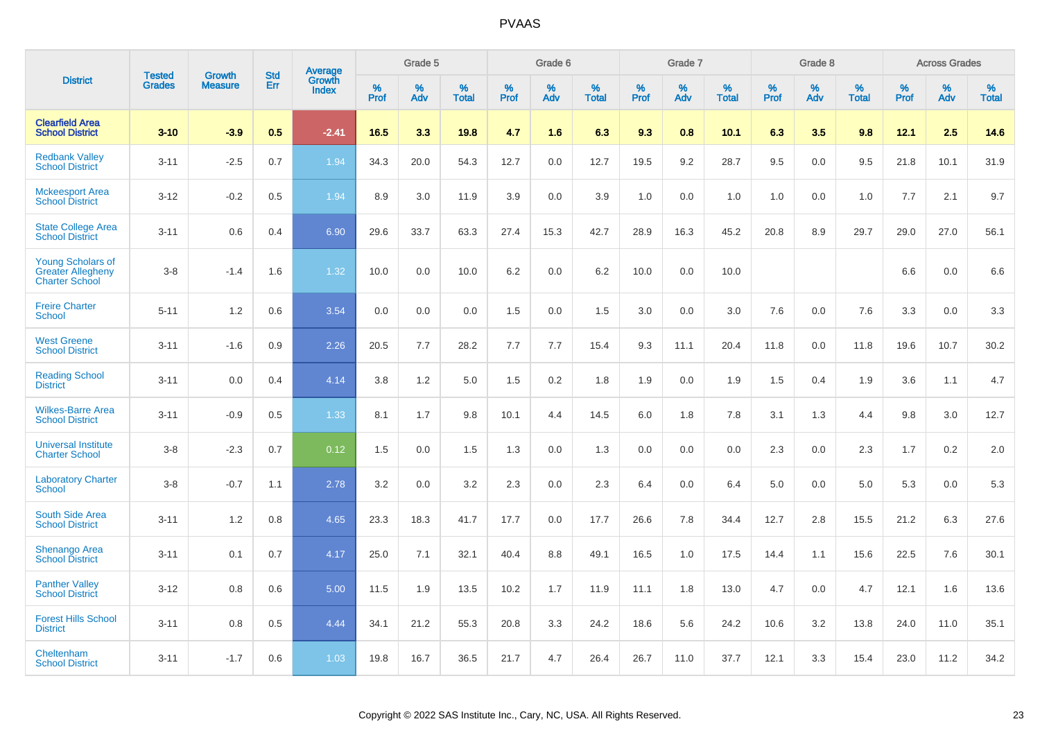|                                                                               | <b>Tested</b> | <b>Growth</b>  | <b>Std</b> | <b>Average</b><br>Growth |                     | Grade 5  |                      |                     | Grade 6  |                      |              | Grade 7  |                      |                     | Grade 8  |                      |                     | <b>Across Grades</b> |                      |
|-------------------------------------------------------------------------------|---------------|----------------|------------|--------------------------|---------------------|----------|----------------------|---------------------|----------|----------------------|--------------|----------|----------------------|---------------------|----------|----------------------|---------------------|----------------------|----------------------|
| <b>District</b>                                                               | <b>Grades</b> | <b>Measure</b> | Err        | Index                    | $\%$<br><b>Prof</b> | %<br>Adv | $\%$<br><b>Total</b> | $\%$<br><b>Prof</b> | %<br>Adv | $\%$<br><b>Total</b> | $\%$<br>Prof | %<br>Adv | $\%$<br><b>Total</b> | $\%$<br><b>Prof</b> | %<br>Adv | $\%$<br><b>Total</b> | $\%$<br><b>Prof</b> | $\%$<br>Adv          | $\%$<br><b>Total</b> |
| <b>Clearfield Area</b><br><b>School District</b>                              | $3 - 10$      | $-3.9$         | 0.5        | $-2.41$                  | 16.5                | 3.3      | 19.8                 | 4.7                 | 1.6      | 6.3                  | 9.3          | 0.8      | 10.1                 | 6.3                 | 3.5      | 9.8                  | 12.1                | 2.5                  | 14.6                 |
| <b>Redbank Valley</b><br><b>School District</b>                               | $3 - 11$      | $-2.5$         | 0.7        | 1.94                     | 34.3                | 20.0     | 54.3                 | 12.7                | 0.0      | 12.7                 | 19.5         | 9.2      | 28.7                 | 9.5                 | 0.0      | 9.5                  | 21.8                | 10.1                 | 31.9                 |
| <b>Mckeesport Area</b><br><b>School District</b>                              | $3 - 12$      | $-0.2$         | 0.5        | 1.94                     | 8.9                 | 3.0      | 11.9                 | 3.9                 | 0.0      | 3.9                  | 1.0          | 0.0      | 1.0                  | 1.0                 | 0.0      | 1.0                  | 7.7                 | 2.1                  | 9.7                  |
| <b>State College Area</b><br><b>School District</b>                           | $3 - 11$      | 0.6            | 0.4        | 6.90                     | 29.6                | 33.7     | 63.3                 | 27.4                | 15.3     | 42.7                 | 28.9         | 16.3     | 45.2                 | 20.8                | 8.9      | 29.7                 | 29.0                | 27.0                 | 56.1                 |
| <b>Young Scholars of</b><br><b>Greater Allegheny</b><br><b>Charter School</b> | $3 - 8$       | $-1.4$         | 1.6        | 1.32                     | 10.0                | 0.0      | 10.0                 | 6.2                 | 0.0      | 6.2                  | 10.0         | 0.0      | 10.0                 |                     |          |                      | 6.6                 | 0.0                  | 6.6                  |
| <b>Freire Charter</b><br><b>School</b>                                        | $5 - 11$      | 1.2            | 0.6        | 3.54                     | 0.0                 | 0.0      | 0.0                  | 1.5                 | 0.0      | 1.5                  | 3.0          | 0.0      | 3.0                  | 7.6                 | 0.0      | 7.6                  | 3.3                 | 0.0                  | 3.3                  |
| <b>West Greene</b><br><b>School District</b>                                  | $3 - 11$      | $-1.6$         | 0.9        | 2.26                     | 20.5                | 7.7      | 28.2                 | 7.7                 | 7.7      | 15.4                 | 9.3          | 11.1     | 20.4                 | 11.8                | 0.0      | 11.8                 | 19.6                | 10.7                 | 30.2                 |
| <b>Reading School</b><br><b>District</b>                                      | $3 - 11$      | 0.0            | 0.4        | 4.14                     | 3.8                 | 1.2      | 5.0                  | 1.5                 | 0.2      | 1.8                  | 1.9          | 0.0      | 1.9                  | 1.5                 | 0.4      | 1.9                  | 3.6                 | 1.1                  | 4.7                  |
| <b>Wilkes-Barre Area</b><br><b>School District</b>                            | $3 - 11$      | $-0.9$         | 0.5        | 1.33                     | 8.1                 | 1.7      | 9.8                  | 10.1                | 4.4      | 14.5                 | $6.0\,$      | 1.8      | 7.8                  | 3.1                 | 1.3      | 4.4                  | 9.8                 | 3.0                  | 12.7                 |
| <b>Universal Institute</b><br><b>Charter School</b>                           | $3 - 8$       | $-2.3$         | 0.7        | 0.12                     | 1.5                 | 0.0      | 1.5                  | 1.3                 | 0.0      | 1.3                  | 0.0          | 0.0      | 0.0                  | 2.3                 | 0.0      | 2.3                  | 1.7                 | $0.2\,$              | 2.0                  |
| <b>Laboratory Charter</b><br><b>School</b>                                    | $3 - 8$       | $-0.7$         | 1.1        | 2.78                     | 3.2                 | 0.0      | 3.2                  | 2.3                 | 0.0      | 2.3                  | 6.4          | 0.0      | 6.4                  | 5.0                 | 0.0      | 5.0                  | 5.3                 | 0.0                  | 5.3                  |
| <b>South Side Area</b><br><b>School District</b>                              | $3 - 11$      | 1.2            | 0.8        | 4.65                     | 23.3                | 18.3     | 41.7                 | 17.7                | 0.0      | 17.7                 | 26.6         | 7.8      | 34.4                 | 12.7                | 2.8      | 15.5                 | 21.2                | 6.3                  | 27.6                 |
| <b>Shenango Area</b><br><b>School District</b>                                | $3 - 11$      | 0.1            | 0.7        | 4.17                     | 25.0                | 7.1      | 32.1                 | 40.4                | 8.8      | 49.1                 | 16.5         | 1.0      | 17.5                 | 14.4                | 1.1      | 15.6                 | 22.5                | 7.6                  | 30.1                 |
| <b>Panther Valley</b><br><b>School District</b>                               | $3 - 12$      | 0.8            | 0.6        | 5.00                     | 11.5                | 1.9      | 13.5                 | 10.2                | 1.7      | 11.9                 | 11.1         | 1.8      | 13.0                 | 4.7                 | 0.0      | 4.7                  | 12.1                | 1.6                  | 13.6                 |
| <b>Forest Hills School</b><br><b>District</b>                                 | $3 - 11$      | 0.8            | 0.5        | 4.44                     | 34.1                | 21.2     | 55.3                 | 20.8                | 3.3      | 24.2                 | 18.6         | 5.6      | 24.2                 | 10.6                | 3.2      | 13.8                 | 24.0                | 11.0                 | 35.1                 |
| Cheltenham<br><b>School District</b>                                          | $3 - 11$      | $-1.7$         | 0.6        | 1.03                     | 19.8                | 16.7     | 36.5                 | 21.7                | 4.7      | 26.4                 | 26.7         | 11.0     | 37.7                 | 12.1                | 3.3      | 15.4                 | 23.0                | 11.2                 | 34.2                 |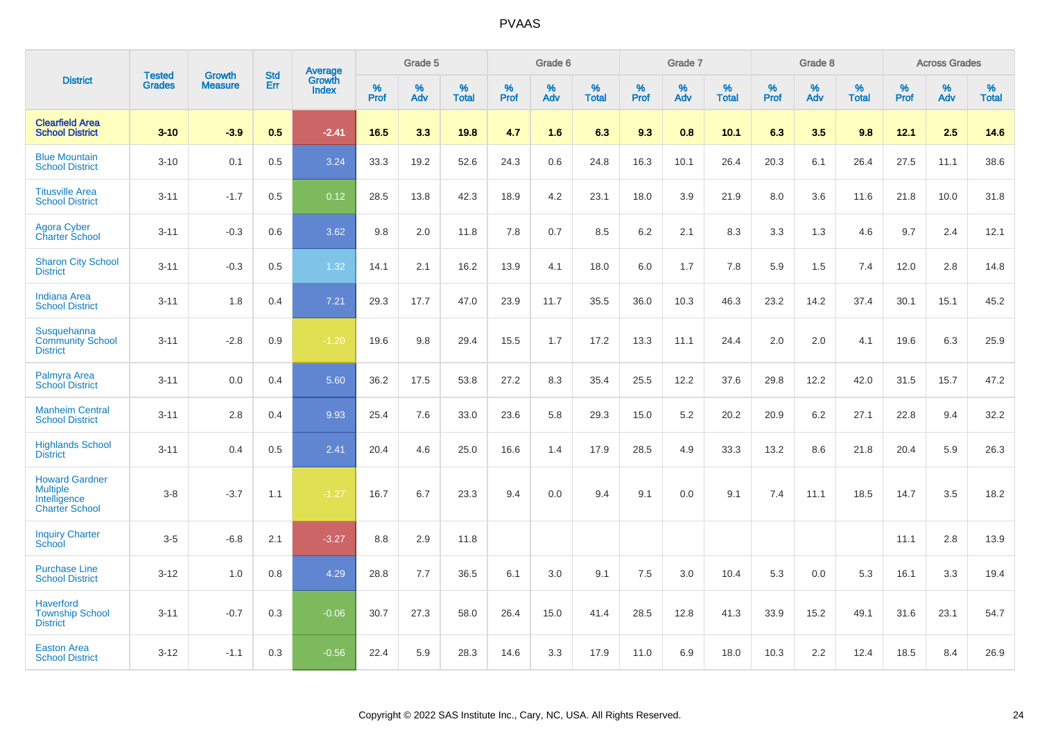|                                                                                   | <b>Tested</b> | <b>Growth</b>  | <b>Std</b> | <b>Average</b><br>Growth |           | Grade 5  |                   |              | Grade 6  |                   |           | Grade 7  |                   |                     | Grade 8  |                   |                     | <b>Across Grades</b> |                   |
|-----------------------------------------------------------------------------------|---------------|----------------|------------|--------------------------|-----------|----------|-------------------|--------------|----------|-------------------|-----------|----------|-------------------|---------------------|----------|-------------------|---------------------|----------------------|-------------------|
| <b>District</b>                                                                   | <b>Grades</b> | <b>Measure</b> | Err        | Index                    | %<br>Prof | %<br>Adv | %<br><b>Total</b> | $\%$<br>Prof | %<br>Adv | %<br><b>Total</b> | %<br>Prof | %<br>Adv | %<br><b>Total</b> | $\%$<br><b>Prof</b> | %<br>Adv | %<br><b>Total</b> | $\%$<br><b>Prof</b> | $\%$<br>Adv          | %<br><b>Total</b> |
| <b>Clearfield Area</b><br><b>School District</b>                                  | $3 - 10$      | $-3.9$         | 0.5        | $-2.41$                  | 16.5      | 3.3      | 19.8              | 4.7          | 1.6      | 6.3               | 9.3       | 0.8      | 10.1              | 6.3                 | 3.5      | 9.8               | 12.1                | 2.5                  | 14.6              |
| <b>Blue Mountain</b><br><b>School District</b>                                    | $3 - 10$      | 0.1            | 0.5        | 3.24                     | 33.3      | 19.2     | 52.6              | 24.3         | 0.6      | 24.8              | 16.3      | 10.1     | 26.4              | 20.3                | 6.1      | 26.4              | 27.5                | 11.1                 | 38.6              |
| <b>Titusville Area</b><br><b>School District</b>                                  | $3 - 11$      | $-1.7$         | 0.5        | 0.12                     | 28.5      | 13.8     | 42.3              | 18.9         | 4.2      | 23.1              | 18.0      | 3.9      | 21.9              | 8.0                 | 3.6      | 11.6              | 21.8                | 10.0                 | 31.8              |
| <b>Agora Cyber</b><br><b>Charter School</b>                                       | $3 - 11$      | $-0.3$         | 0.6        | 3.62                     | 9.8       | 2.0      | 11.8              | 7.8          | 0.7      | 8.5               | 6.2       | 2.1      | 8.3               | 3.3                 | 1.3      | 4.6               | 9.7                 | 2.4                  | 12.1              |
| <b>Sharon City School</b><br><b>District</b>                                      | $3 - 11$      | $-0.3$         | 0.5        | 1.32                     | 14.1      | 2.1      | 16.2              | 13.9         | 4.1      | 18.0              | 6.0       | 1.7      | 7.8               | 5.9                 | 1.5      | 7.4               | 12.0                | 2.8                  | 14.8              |
| <b>Indiana Area</b><br><b>School District</b>                                     | $3 - 11$      | 1.8            | 0.4        | 7.21                     | 29.3      | 17.7     | 47.0              | 23.9         | 11.7     | 35.5              | 36.0      | 10.3     | 46.3              | 23.2                | 14.2     | 37.4              | 30.1                | 15.1                 | 45.2              |
| Susquehanna<br><b>Community School</b><br><b>District</b>                         | $3 - 11$      | $-2.8$         | 0.9        | $-1.20$                  | 19.6      | 9.8      | 29.4              | 15.5         | 1.7      | 17.2              | 13.3      | 11.1     | 24.4              | 2.0                 | 2.0      | 4.1               | 19.6                | 6.3                  | 25.9              |
| Palmyra Area<br><b>School District</b>                                            | $3 - 11$      | 0.0            | 0.4        | 5.60                     | 36.2      | 17.5     | 53.8              | 27.2         | 8.3      | 35.4              | 25.5      | 12.2     | 37.6              | 29.8                | 12.2     | 42.0              | 31.5                | 15.7                 | 47.2              |
| <b>Manheim Central</b><br><b>School District</b>                                  | $3 - 11$      | 2.8            | 0.4        | 9.93                     | 25.4      | 7.6      | 33.0              | 23.6         | 5.8      | 29.3              | 15.0      | 5.2      | 20.2              | 20.9                | 6.2      | 27.1              | 22.8                | 9.4                  | 32.2              |
| <b>Highlands School</b><br><b>District</b>                                        | $3 - 11$      | 0.4            | 0.5        | 2.41                     | 20.4      | 4.6      | 25.0              | 16.6         | 1.4      | 17.9              | 28.5      | 4.9      | 33.3              | 13.2                | 8.6      | 21.8              | 20.4                | 5.9                  | 26.3              |
| <b>Howard Gardner</b><br><b>Multiple</b><br>Intelligence<br><b>Charter School</b> | $3-8$         | $-3.7$         | 1.1        | $-1.27$                  | 16.7      | 6.7      | 23.3              | 9.4          | 0.0      | 9.4               | 9.1       | 0.0      | 9.1               | 7.4                 | 11.1     | 18.5              | 14.7                | 3.5                  | 18.2              |
| <b>Inquiry Charter</b><br>School                                                  | $3 - 5$       | $-6.8$         | 2.1        | $-3.27$                  | 8.8       | 2.9      | 11.8              |              |          |                   |           |          |                   |                     |          |                   | 11.1                | 2.8                  | 13.9              |
| <b>Purchase Line</b><br><b>School District</b>                                    | $3 - 12$      | 1.0            | 0.8        | 4.29                     | 28.8      | 7.7      | 36.5              | 6.1          | 3.0      | 9.1               | 7.5       | 3.0      | 10.4              | 5.3                 | 0.0      | 5.3               | 16.1                | 3.3                  | 19.4              |
| <b>Haverford</b><br><b>Township School</b><br><b>District</b>                     | $3 - 11$      | $-0.7$         | 0.3        | $-0.06$                  | 30.7      | 27.3     | 58.0              | 26.4         | 15.0     | 41.4              | 28.5      | 12.8     | 41.3              | 33.9                | 15.2     | 49.1              | 31.6                | 23.1                 | 54.7              |
| <b>Easton Area</b><br><b>School District</b>                                      | $3 - 12$      | $-1.1$         | 0.3        | $-0.56$                  | 22.4      | 5.9      | 28.3              | 14.6         | 3.3      | 17.9              | 11.0      | 6.9      | 18.0              | 10.3                | 2.2      | 12.4              | 18.5                | 8.4                  | 26.9              |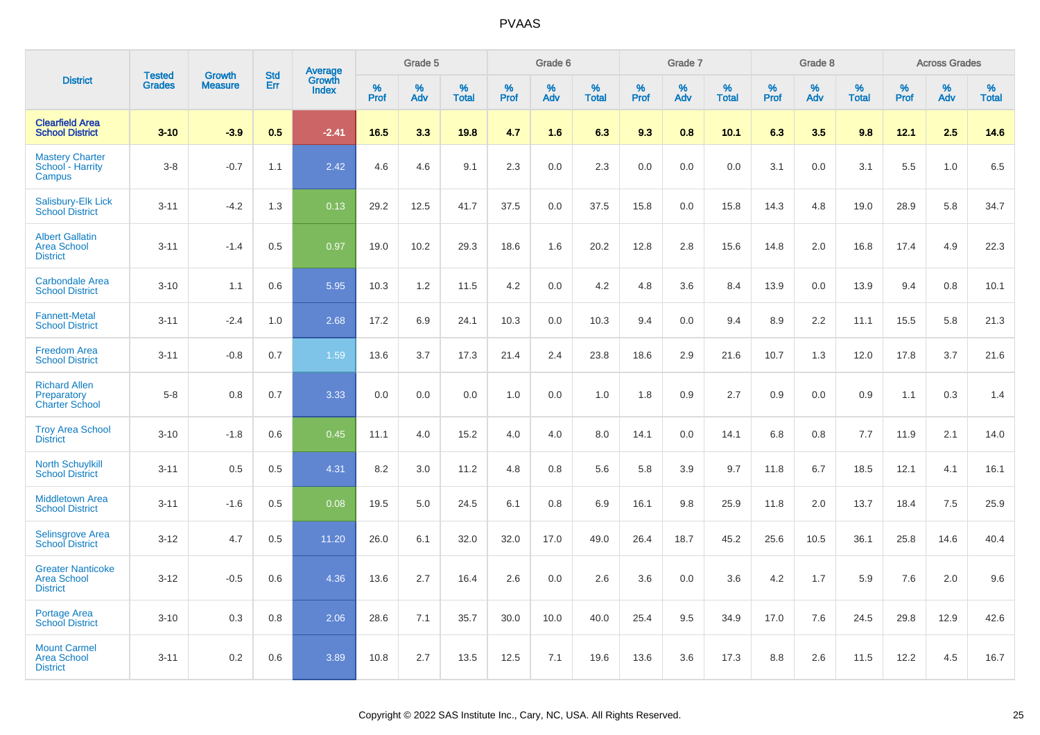|                                                                   |                                | <b>Growth</b>  |                          |                                   |           | Grade 5  |                   |                  | Grade 6  |                   |           | Grade 7  |                   |           | Grade 8  |                   |           | <b>Across Grades</b> |                   |
|-------------------------------------------------------------------|--------------------------------|----------------|--------------------------|-----------------------------------|-----------|----------|-------------------|------------------|----------|-------------------|-----------|----------|-------------------|-----------|----------|-------------------|-----------|----------------------|-------------------|
| <b>District</b>                                                   | <b>Tested</b><br><b>Grades</b> | <b>Measure</b> | <b>Std</b><br><b>Err</b> | Average<br>Growth<br><b>Index</b> | %<br>Prof | %<br>Adv | %<br><b>Total</b> | %<br><b>Prof</b> | %<br>Adv | %<br><b>Total</b> | %<br>Prof | %<br>Adv | %<br><b>Total</b> | %<br>Prof | %<br>Adv | %<br><b>Total</b> | %<br>Prof | %<br>Adv             | %<br><b>Total</b> |
| <b>Clearfield Area</b><br><b>School District</b>                  | $3 - 10$                       | $-3.9$         | 0.5                      | $-2.41$                           | 16.5      | 3.3      | 19.8              | 4.7              | 1.6      | 6.3               | 9.3       | 0.8      | 10.1              | 6.3       | 3.5      | 9.8               | 12.1      | 2.5                  | 14.6              |
| <b>Mastery Charter</b><br>School - Harrity<br>Campus              | $3 - 8$                        | $-0.7$         | 1.1                      | 2.42                              | 4.6       | 4.6      | 9.1               | 2.3              | 0.0      | 2.3               | 0.0       | 0.0      | 0.0               | 3.1       | 0.0      | 3.1               | 5.5       | 1.0                  | 6.5               |
| <b>Salisbury-Elk Lick</b><br><b>School District</b>               | $3 - 11$                       | $-4.2$         | 1.3                      | 0.13                              | 29.2      | 12.5     | 41.7              | 37.5             | 0.0      | 37.5              | 15.8      | 0.0      | 15.8              | 14.3      | 4.8      | 19.0              | 28.9      | 5.8                  | 34.7              |
| <b>Albert Gallatin</b><br><b>Area School</b><br><b>District</b>   | $3 - 11$                       | $-1.4$         | 0.5                      | 0.97                              | 19.0      | 10.2     | 29.3              | 18.6             | 1.6      | 20.2              | 12.8      | 2.8      | 15.6              | 14.8      | 2.0      | 16.8              | 17.4      | 4.9                  | 22.3              |
| <b>Carbondale Area</b><br><b>School District</b>                  | $3 - 10$                       | 1.1            | 0.6                      | 5.95                              | 10.3      | 1.2      | 11.5              | 4.2              | 0.0      | 4.2               | 4.8       | 3.6      | 8.4               | 13.9      | 0.0      | 13.9              | 9.4       | 0.8                  | 10.1              |
| <b>Fannett-Metal</b><br><b>School District</b>                    | $3 - 11$                       | $-2.4$         | 1.0                      | 2.68                              | 17.2      | 6.9      | 24.1              | 10.3             | 0.0      | 10.3              | 9.4       | 0.0      | 9.4               | 8.9       | 2.2      | 11.1              | 15.5      | 5.8                  | 21.3              |
| <b>Freedom Area</b><br><b>School District</b>                     | $3 - 11$                       | $-0.8$         | 0.7                      | 1.59                              | 13.6      | 3.7      | 17.3              | 21.4             | 2.4      | 23.8              | 18.6      | 2.9      | 21.6              | 10.7      | 1.3      | 12.0              | 17.8      | 3.7                  | 21.6              |
| <b>Richard Allen</b><br>Preparatory<br><b>Charter School</b>      | $5 - 8$                        | 0.8            | 0.7                      | 3.33                              | 0.0       | 0.0      | 0.0               | 1.0              | 0.0      | 1.0               | 1.8       | 0.9      | 2.7               | 0.9       | 0.0      | 0.9               | 1.1       | 0.3                  | 1.4               |
| <b>Troy Area School</b><br><b>District</b>                        | $3 - 10$                       | $-1.8$         | 0.6                      | 0.45                              | 11.1      | 4.0      | 15.2              | 4.0              | 4.0      | 8.0               | 14.1      | 0.0      | 14.1              | 6.8       | 0.8      | 7.7               | 11.9      | 2.1                  | 14.0              |
| <b>North Schuylkill</b><br><b>School District</b>                 | $3 - 11$                       | 0.5            | 0.5                      | 4.31                              | 8.2       | 3.0      | 11.2              | 4.8              | 0.8      | 5.6               | 5.8       | 3.9      | 9.7               | 11.8      | 6.7      | 18.5              | 12.1      | 4.1                  | 16.1              |
| <b>Middletown Area</b><br><b>School District</b>                  | $3 - 11$                       | $-1.6$         | 0.5                      | 0.08                              | 19.5      | 5.0      | 24.5              | 6.1              | 0.8      | 6.9               | 16.1      | 9.8      | 25.9              | 11.8      | 2.0      | 13.7              | 18.4      | 7.5                  | 25.9              |
| <b>Selinsgrove Area</b><br><b>School District</b>                 | $3 - 12$                       | 4.7            | 0.5                      | 11.20                             | 26.0      | 6.1      | 32.0              | 32.0             | 17.0     | 49.0              | 26.4      | 18.7     | 45.2              | 25.6      | 10.5     | 36.1              | 25.8      | 14.6                 | 40.4              |
| <b>Greater Nanticoke</b><br><b>Area School</b><br><b>District</b> | $3 - 12$                       | $-0.5$         | 0.6                      | 4.36                              | 13.6      | 2.7      | 16.4              | 2.6              | 0.0      | 2.6               | 3.6       | 0.0      | 3.6               | 4.2       | 1.7      | 5.9               | 7.6       | 2.0                  | 9.6               |
| Portage Area<br><b>School District</b>                            | $3 - 10$                       | 0.3            | 0.8                      | 2.06                              | 28.6      | 7.1      | 35.7              | 30.0             | 10.0     | 40.0              | 25.4      | 9.5      | 34.9              | 17.0      | 7.6      | 24.5              | 29.8      | 12.9                 | 42.6              |
| <b>Mount Carmel</b><br><b>Area School</b><br><b>District</b>      | $3 - 11$                       | 0.2            | 0.6                      | 3.89                              | 10.8      | 2.7      | 13.5              | 12.5             | 7.1      | 19.6              | 13.6      | 3.6      | 17.3              | 8.8       | 2.6      | 11.5              | 12.2      | 4.5                  | 16.7              |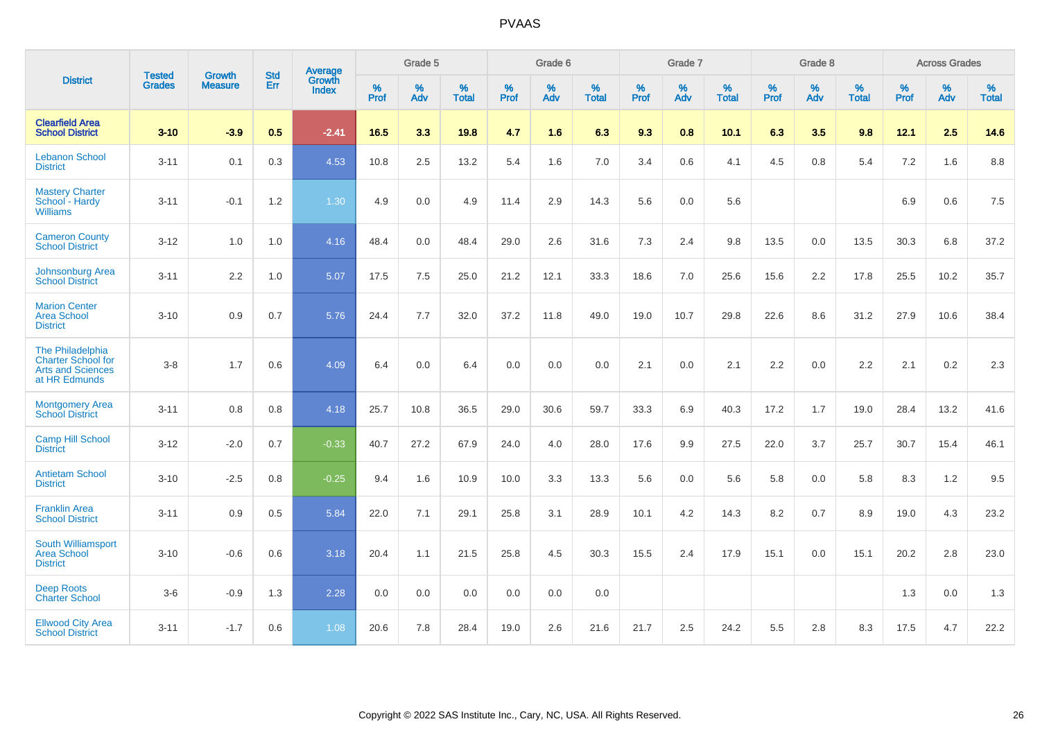|                                                                                            |                                |                                 | <b>Std</b> | Average                       |                     | Grade 5  |                   |              | Grade 6  |                   |              | Grade 7  |                   |                     | Grade 8  |                   |              | <b>Across Grades</b> |                   |
|--------------------------------------------------------------------------------------------|--------------------------------|---------------------------------|------------|-------------------------------|---------------------|----------|-------------------|--------------|----------|-------------------|--------------|----------|-------------------|---------------------|----------|-------------------|--------------|----------------------|-------------------|
| <b>District</b>                                                                            | <b>Tested</b><br><b>Grades</b> | <b>Growth</b><br><b>Measure</b> | Err        | <b>Growth</b><br><b>Index</b> | $\%$<br><b>Prof</b> | %<br>Adv | %<br><b>Total</b> | $\%$<br>Prof | %<br>Adv | %<br><b>Total</b> | $\%$<br>Prof | %<br>Adv | %<br><b>Total</b> | $\%$<br><b>Prof</b> | %<br>Adv | %<br><b>Total</b> | $\%$<br>Prof | %<br>Adv             | %<br><b>Total</b> |
| <b>Clearfield Area</b><br><b>School District</b>                                           | $3 - 10$                       | $-3.9$                          | 0.5        | $-2.41$                       | 16.5                | 3.3      | 19.8              | 4.7          | 1.6      | 6.3               | 9.3          | 0.8      | 10.1              | 6.3                 | 3.5      | 9.8               | 12.1         | 2.5                  | 14.6              |
| <b>Lebanon School</b><br><b>District</b>                                                   | $3 - 11$                       | 0.1                             | 0.3        | 4.53                          | 10.8                | 2.5      | 13.2              | 5.4          | 1.6      | 7.0               | 3.4          | 0.6      | 4.1               | 4.5                 | 0.8      | 5.4               | 7.2          | 1.6                  | 8.8               |
| <b>Mastery Charter</b><br>School - Hardy<br><b>Williams</b>                                | $3 - 11$                       | $-0.1$                          | 1.2        | 1.30                          | 4.9                 | 0.0      | 4.9               | 11.4         | 2.9      | 14.3              | 5.6          | 0.0      | 5.6               |                     |          |                   | 6.9          | 0.6                  | 7.5               |
| <b>Cameron County</b><br><b>School District</b>                                            | $3 - 12$                       | 1.0                             | 1.0        | 4.16                          | 48.4                | 0.0      | 48.4              | 29.0         | 2.6      | 31.6              | $7.3$        | 2.4      | 9.8               | 13.5                | 0.0      | 13.5              | 30.3         | 6.8                  | 37.2              |
| <b>Johnsonburg Area</b><br><b>School District</b>                                          | $3 - 11$                       | 2.2                             | 1.0        | 5.07                          | 17.5                | 7.5      | 25.0              | 21.2         | 12.1     | 33.3              | 18.6         | 7.0      | 25.6              | 15.6                | 2.2      | 17.8              | 25.5         | 10.2                 | 35.7              |
| <b>Marion Center</b><br><b>Area School</b><br><b>District</b>                              | $3 - 10$                       | 0.9                             | 0.7        | 5.76                          | 24.4                | 7.7      | 32.0              | 37.2         | 11.8     | 49.0              | 19.0         | 10.7     | 29.8              | 22.6                | 8.6      | 31.2              | 27.9         | 10.6                 | 38.4              |
| The Philadelphia<br><b>Charter School for</b><br><b>Arts and Sciences</b><br>at HR Edmunds | $3-8$                          | 1.7                             | 0.6        | 4.09                          | 6.4                 | 0.0      | 6.4               | 0.0          | 0.0      | 0.0               | 2.1          | 0.0      | 2.1               | 2.2                 | 0.0      | 2.2               | 2.1          | 0.2                  | 2.3               |
| <b>Montgomery Area</b><br><b>School District</b>                                           | $3 - 11$                       | 0.8                             | 0.8        | 4.18                          | 25.7                | 10.8     | 36.5              | 29.0         | 30.6     | 59.7              | 33.3         | 6.9      | 40.3              | 17.2                | 1.7      | 19.0              | 28.4         | 13.2                 | 41.6              |
| <b>Camp Hill School</b><br><b>District</b>                                                 | $3 - 12$                       | $-2.0$                          | 0.7        | $-0.33$                       | 40.7                | 27.2     | 67.9              | 24.0         | 4.0      | 28.0              | 17.6         | 9.9      | 27.5              | 22.0                | 3.7      | 25.7              | 30.7         | 15.4                 | 46.1              |
| <b>Antietam School</b><br><b>District</b>                                                  | $3 - 10$                       | $-2.5$                          | 0.8        | $-0.25$                       | 9.4                 | 1.6      | 10.9              | 10.0         | 3.3      | 13.3              | 5.6          | 0.0      | 5.6               | 5.8                 | 0.0      | 5.8               | 8.3          | 1.2                  | 9.5               |
| <b>Franklin Area</b><br><b>School District</b>                                             | $3 - 11$                       | 0.9                             | 0.5        | 5.84                          | 22.0                | 7.1      | 29.1              | 25.8         | 3.1      | 28.9              | 10.1         | 4.2      | 14.3              | 8.2                 | 0.7      | 8.9               | 19.0         | 4.3                  | 23.2              |
| South Williamsport<br><b>Area School</b><br><b>District</b>                                | $3 - 10$                       | $-0.6$                          | 0.6        | 3.18                          | 20.4                | 1.1      | 21.5              | 25.8         | 4.5      | 30.3              | 15.5         | 2.4      | 17.9              | 15.1                | 0.0      | 15.1              | 20.2         | 2.8                  | 23.0              |
| <b>Deep Roots</b><br><b>Charter School</b>                                                 | $3-6$                          | $-0.9$                          | 1.3        | 2.28                          | 0.0                 | 0.0      | 0.0               | 0.0          | 0.0      | 0.0               |              |          |                   |                     |          |                   | 1.3          | 0.0                  | 1.3               |
| <b>Ellwood City Area</b><br><b>School District</b>                                         | $3 - 11$                       | $-1.7$                          | 0.6        | 1.08                          | 20.6                | 7.8      | 28.4              | 19.0         | 2.6      | 21.6              | 21.7         | 2.5      | 24.2              | 5.5                 | 2.8      | 8.3               | 17.5         | 4.7                  | 22.2              |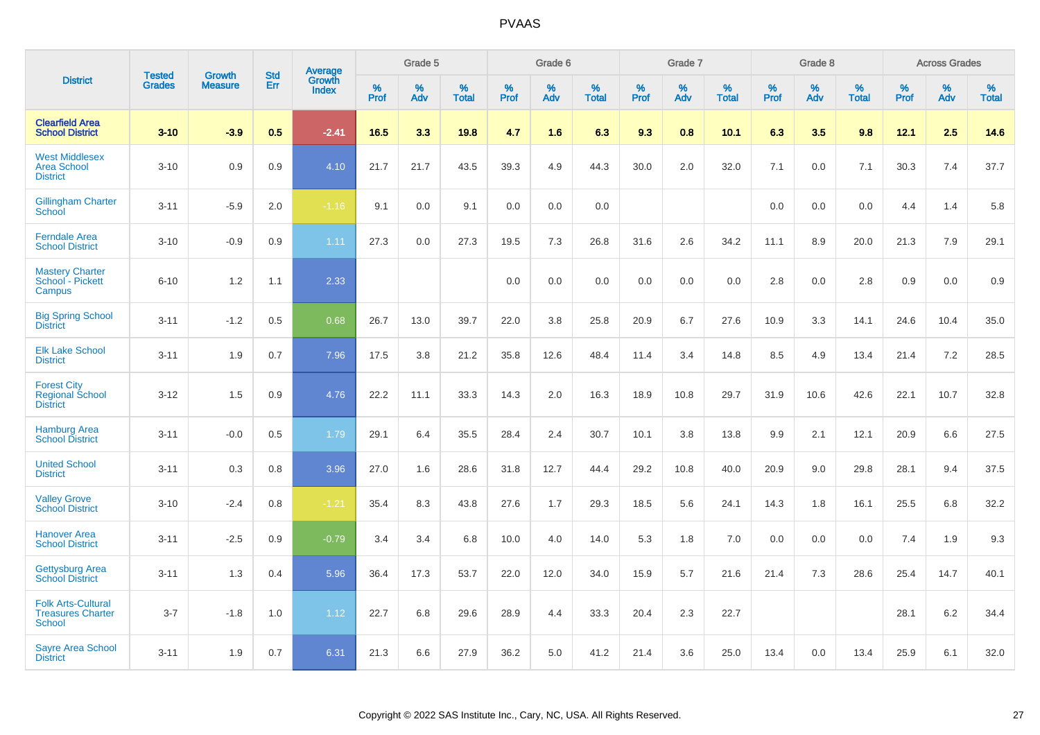|                                                                 |                                | <b>Growth</b>  | <b>Std</b> |                                   |              | Grade 5  |                   |              | Grade 6  |                   |              | Grade 7  |                   |              | Grade 8  |                   |              | <b>Across Grades</b> |                   |
|-----------------------------------------------------------------|--------------------------------|----------------|------------|-----------------------------------|--------------|----------|-------------------|--------------|----------|-------------------|--------------|----------|-------------------|--------------|----------|-------------------|--------------|----------------------|-------------------|
| <b>District</b>                                                 | <b>Tested</b><br><b>Grades</b> | <b>Measure</b> | <b>Err</b> | Average<br>Growth<br><b>Index</b> | $\%$<br>Prof | %<br>Adv | %<br><b>Total</b> | $\%$<br>Prof | %<br>Adv | %<br><b>Total</b> | $\%$<br>Prof | %<br>Adv | %<br><b>Total</b> | $\%$<br>Prof | %<br>Adv | %<br><b>Total</b> | $\%$<br>Prof | %<br>Adv             | %<br><b>Total</b> |
| <b>Clearfield Area</b><br><b>School District</b>                | $3 - 10$                       | $-3.9$         | 0.5        | $-2.41$                           | 16.5         | 3.3      | 19.8              | 4.7          | 1.6      | 6.3               | 9.3          | 0.8      | 10.1              | 6.3          | 3.5      | 9.8               | 12.1         | 2.5                  | 14.6              |
| <b>West Middlesex</b><br><b>Area School</b><br><b>District</b>  | $3 - 10$                       | 0.9            | 0.9        | 4.10                              | 21.7         | 21.7     | 43.5              | 39.3         | 4.9      | 44.3              | 30.0         | 2.0      | 32.0              | 7.1          | 0.0      | 7.1               | 30.3         | 7.4                  | 37.7              |
| <b>Gillingham Charter</b><br>School                             | $3 - 11$                       | $-5.9$         | 2.0        | $-1.16$                           | 9.1          | 0.0      | 9.1               | 0.0          | 0.0      | 0.0               |              |          |                   | 0.0          | 0.0      | 0.0               | 4.4          | 1.4                  | 5.8               |
| <b>Ferndale Area</b><br><b>School District</b>                  | $3 - 10$                       | $-0.9$         | 0.9        | 1.11                              | 27.3         | 0.0      | 27.3              | 19.5         | 7.3      | 26.8              | 31.6         | 2.6      | 34.2              | 11.1         | 8.9      | 20.0              | 21.3         | 7.9                  | 29.1              |
| <b>Mastery Charter</b><br>School - Pickett<br>Campus            | $6 - 10$                       | 1.2            | 1.1        | 2.33                              |              |          |                   | 0.0          | 0.0      | 0.0               | 0.0          | 0.0      | 0.0               | 2.8          | 0.0      | 2.8               | 0.9          | 0.0                  | 0.9               |
| <b>Big Spring School</b><br><b>District</b>                     | $3 - 11$                       | $-1.2$         | 0.5        | 0.68                              | 26.7         | 13.0     | 39.7              | 22.0         | 3.8      | 25.8              | 20.9         | 6.7      | 27.6              | 10.9         | 3.3      | 14.1              | 24.6         | 10.4                 | 35.0              |
| <b>Elk Lake School</b><br><b>District</b>                       | $3 - 11$                       | 1.9            | 0.7        | 7.96                              | 17.5         | 3.8      | 21.2              | 35.8         | 12.6     | 48.4              | 11.4         | 3.4      | 14.8              | 8.5          | 4.9      | 13.4              | 21.4         | 7.2                  | 28.5              |
| <b>Forest City</b><br><b>Regional School</b><br><b>District</b> | $3 - 12$                       | 1.5            | 0.9        | 4.76                              | 22.2         | 11.1     | 33.3              | 14.3         | 2.0      | 16.3              | 18.9         | 10.8     | 29.7              | 31.9         | 10.6     | 42.6              | 22.1         | 10.7                 | 32.8              |
| <b>Hamburg Area</b><br><b>School District</b>                   | $3 - 11$                       | $-0.0$         | 0.5        | 1.79                              | 29.1         | 6.4      | 35.5              | 28.4         | 2.4      | 30.7              | 10.1         | 3.8      | 13.8              | 9.9          | 2.1      | 12.1              | 20.9         | 6.6                  | 27.5              |
| <b>United School</b><br><b>District</b>                         | $3 - 11$                       | 0.3            | 0.8        | 3.96                              | 27.0         | 1.6      | 28.6              | 31.8         | 12.7     | 44.4              | 29.2         | 10.8     | 40.0              | 20.9         | 9.0      | 29.8              | 28.1         | 9.4                  | 37.5              |
| <b>Valley Grove</b><br><b>School District</b>                   | $3 - 10$                       | $-2.4$         | 0.8        | $-1.21$                           | 35.4         | 8.3      | 43.8              | 27.6         | 1.7      | 29.3              | 18.5         | 5.6      | 24.1              | 14.3         | 1.8      | 16.1              | 25.5         | 6.8                  | 32.2              |
| <b>Hanover Area</b><br><b>School District</b>                   | $3 - 11$                       | $-2.5$         | 0.9        | $-0.79$                           | 3.4          | 3.4      | 6.8               | 10.0         | 4.0      | 14.0              | 5.3          | 1.8      | 7.0               | 0.0          | 0.0      | 0.0               | 7.4          | 1.9                  | 9.3               |
| <b>Gettysburg Area</b><br><b>School District</b>                | $3 - 11$                       | 1.3            | 0.4        | 5.96                              | 36.4         | 17.3     | 53.7              | 22.0         | 12.0     | 34.0              | 15.9         | 5.7      | 21.6              | 21.4         | 7.3      | 28.6              | 25.4         | 14.7                 | 40.1              |
| <b>Folk Arts-Cultural</b><br><b>Treasures Charter</b><br>School | $3 - 7$                        | $-1.8$         | 1.0        | 1.12                              | 22.7         | 6.8      | 29.6              | 28.9         | 4.4      | 33.3              | 20.4         | 2.3      | 22.7              |              |          |                   | 28.1         | 6.2                  | 34.4              |
| <b>Sayre Area School</b><br><b>District</b>                     | $3 - 11$                       | 1.9            | 0.7        | 6.31                              | 21.3         | 6.6      | 27.9              | 36.2         | 5.0      | 41.2              | 21.4         | 3.6      | 25.0              | 13.4         | 0.0      | 13.4              | 25.9         | 6.1                  | 32.0              |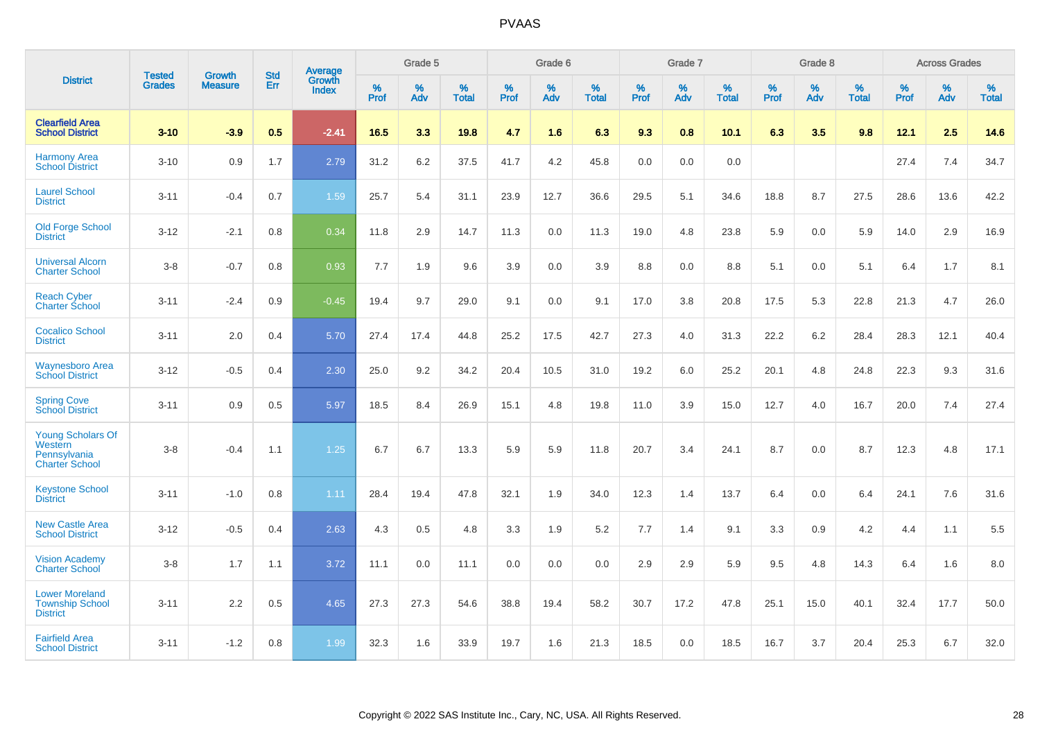|                                                                       |                                |                                 | <b>Std</b> | Average         |           | Grade 5  |                   |           | Grade 6  |                   |           | Grade 7  |                   |           | Grade 8  |                   |           | <b>Across Grades</b> |                   |
|-----------------------------------------------------------------------|--------------------------------|---------------------------------|------------|-----------------|-----------|----------|-------------------|-----------|----------|-------------------|-----------|----------|-------------------|-----------|----------|-------------------|-----------|----------------------|-------------------|
| <b>District</b>                                                       | <b>Tested</b><br><b>Grades</b> | <b>Growth</b><br><b>Measure</b> | Err        | Growth<br>Index | %<br>Prof | %<br>Adv | %<br><b>Total</b> | %<br>Prof | %<br>Adv | %<br><b>Total</b> | %<br>Prof | %<br>Adv | %<br><b>Total</b> | %<br>Prof | %<br>Adv | %<br><b>Total</b> | %<br>Prof | %<br>Adv             | %<br><b>Total</b> |
| <b>Clearfield Area</b><br><b>School District</b>                      | $3 - 10$                       | $-3.9$                          | 0.5        | $-2.41$         | 16.5      | 3.3      | 19.8              | 4.7       | 1.6      | 6.3               | 9.3       | 0.8      | 10.1              | 6.3       | 3.5      | 9.8               | 12.1      | 2.5                  | 14.6              |
| <b>Harmony Area</b><br><b>School District</b>                         | $3 - 10$                       | 0.9                             | 1.7        | 2.79            | 31.2      | 6.2      | 37.5              | 41.7      | 4.2      | 45.8              | 0.0       | 0.0      | 0.0               |           |          |                   | 27.4      | 7.4                  | 34.7              |
| <b>Laurel School</b><br><b>District</b>                               | $3 - 11$                       | $-0.4$                          | 0.7        | 1.59            | 25.7      | 5.4      | 31.1              | 23.9      | 12.7     | 36.6              | 29.5      | 5.1      | 34.6              | 18.8      | 8.7      | 27.5              | 28.6      | 13.6                 | 42.2              |
| <b>Old Forge School</b><br><b>District</b>                            | $3 - 12$                       | $-2.1$                          | 0.8        | 0.34            | 11.8      | 2.9      | 14.7              | 11.3      | 0.0      | 11.3              | 19.0      | 4.8      | 23.8              | 5.9       | 0.0      | 5.9               | 14.0      | 2.9                  | 16.9              |
| <b>Universal Alcorn</b><br><b>Charter School</b>                      | $3 - 8$                        | $-0.7$                          | 0.8        | 0.93            | 7.7       | 1.9      | 9.6               | 3.9       | 0.0      | 3.9               | 8.8       | 0.0      | 8.8               | 5.1       | 0.0      | 5.1               | 6.4       | 1.7                  | 8.1               |
| <b>Reach Cyber</b><br><b>Charter School</b>                           | $3 - 11$                       | $-2.4$                          | 0.9        | $-0.45$         | 19.4      | 9.7      | 29.0              | 9.1       | 0.0      | 9.1               | 17.0      | 3.8      | 20.8              | 17.5      | 5.3      | 22.8              | 21.3      | 4.7                  | 26.0              |
| <b>Cocalico School</b><br><b>District</b>                             | $3 - 11$                       | 2.0                             | 0.4        | 5.70            | 27.4      | 17.4     | 44.8              | 25.2      | 17.5     | 42.7              | 27.3      | 4.0      | 31.3              | 22.2      | $6.2\,$  | 28.4              | 28.3      | 12.1                 | 40.4              |
| <b>Waynesboro Area</b><br><b>School District</b>                      | $3 - 12$                       | $-0.5$                          | 0.4        | 2.30            | 25.0      | 9.2      | 34.2              | 20.4      | 10.5     | 31.0              | 19.2      | 6.0      | 25.2              | 20.1      | 4.8      | 24.8              | 22.3      | 9.3                  | 31.6              |
| <b>Spring Cove</b><br><b>School District</b>                          | $3 - 11$                       | 0.9                             | 0.5        | 5.97            | 18.5      | 8.4      | 26.9              | 15.1      | 4.8      | 19.8              | 11.0      | 3.9      | 15.0              | 12.7      | 4.0      | 16.7              | 20.0      | 7.4                  | 27.4              |
| Young Scholars Of<br>Western<br>Pennsylvania<br><b>Charter School</b> | $3 - 8$                        | $-0.4$                          | 1.1        | 1.25            | 6.7       | 6.7      | 13.3              | 5.9       | 5.9      | 11.8              | 20.7      | 3.4      | 24.1              | 8.7       | 0.0      | 8.7               | 12.3      | 4.8                  | 17.1              |
| <b>Keystone School</b><br><b>District</b>                             | $3 - 11$                       | $-1.0$                          | 0.8        | 1.11            | 28.4      | 19.4     | 47.8              | 32.1      | 1.9      | 34.0              | 12.3      | 1.4      | 13.7              | 6.4       | 0.0      | 6.4               | 24.1      | 7.6                  | 31.6              |
| <b>New Castle Area</b><br><b>School District</b>                      | $3 - 12$                       | $-0.5$                          | 0.4        | 2.63            | 4.3       | 0.5      | 4.8               | 3.3       | 1.9      | 5.2               | 7.7       | 1.4      | 9.1               | 3.3       | 0.9      | 4.2               | 4.4       | 1.1                  | 5.5               |
| <b>Vision Academy</b><br><b>Charter School</b>                        | $3 - 8$                        | 1.7                             | 1.1        | 3.72            | 11.1      | 0.0      | 11.1              | 0.0       | 0.0      | 0.0               | 2.9       | 2.9      | 5.9               | 9.5       | 4.8      | 14.3              | 6.4       | 1.6                  | 8.0               |
| <b>Lower Moreland</b><br><b>Township School</b><br><b>District</b>    | $3 - 11$                       | 2.2                             | 0.5        | 4.65            | 27.3      | 27.3     | 54.6              | 38.8      | 19.4     | 58.2              | 30.7      | 17.2     | 47.8              | 25.1      | 15.0     | 40.1              | 32.4      | 17.7                 | 50.0              |
| <b>Fairfield Area</b><br><b>School District</b>                       | $3 - 11$                       | $-1.2$                          | 0.8        | 1.99            | 32.3      | 1.6      | 33.9              | 19.7      | 1.6      | 21.3              | 18.5      | 0.0      | 18.5              | 16.7      | 3.7      | 20.4              | 25.3      | 6.7                  | 32.0              |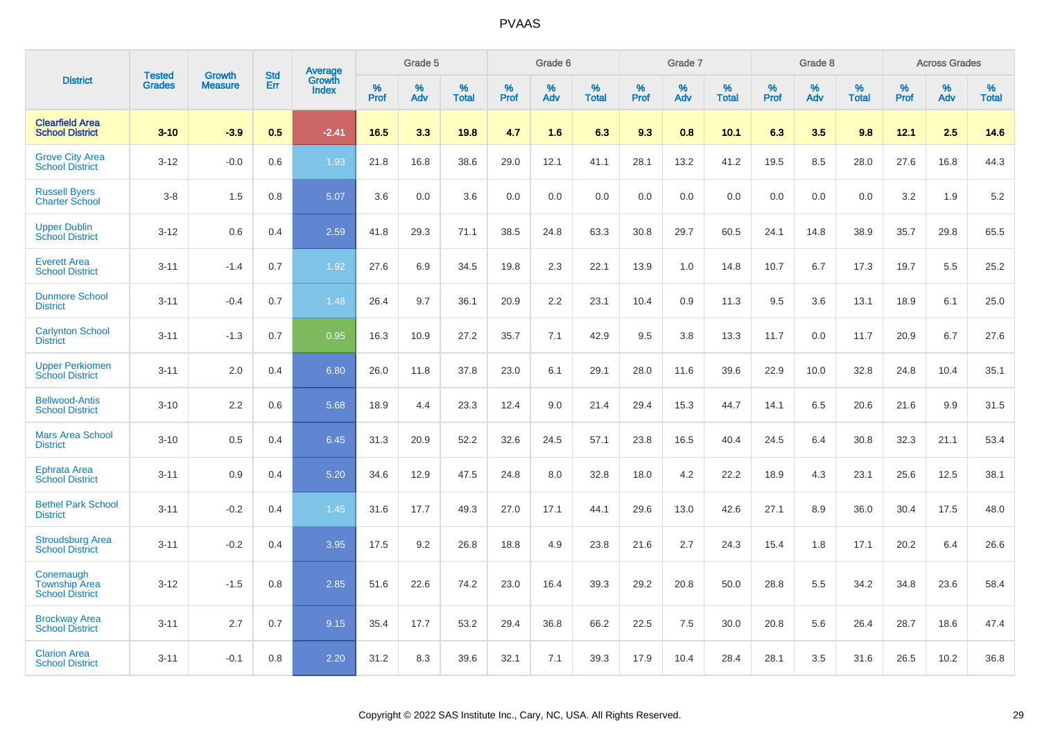|                                                             |                                |                          | <b>Std</b> |                                          |              | Grade 5  |                      |              | Grade 6     |                      |              | Grade 7  |                      |              | Grade 8     |                      |              | <b>Across Grades</b> |                      |
|-------------------------------------------------------------|--------------------------------|--------------------------|------------|------------------------------------------|--------------|----------|----------------------|--------------|-------------|----------------------|--------------|----------|----------------------|--------------|-------------|----------------------|--------------|----------------------|----------------------|
| <b>District</b>                                             | <b>Tested</b><br><b>Grades</b> | Growth<br><b>Measure</b> | Err        | <b>Average</b><br>Growth<br><b>Index</b> | $\%$<br>Prof | %<br>Adv | $\%$<br><b>Total</b> | $\%$<br>Prof | $\%$<br>Adv | $\%$<br><b>Total</b> | $\%$<br>Prof | %<br>Adv | $\%$<br><b>Total</b> | $\%$<br>Prof | $\%$<br>Adv | $\%$<br><b>Total</b> | $\%$<br>Prof | $\%$<br>Adv          | $\%$<br><b>Total</b> |
| <b>Clearfield Area</b><br><b>School District</b>            | $3 - 10$                       | $-3.9$                   | 0.5        | $-2.41$                                  | 16.5         | 3.3      | 19.8                 | 4.7          | 1.6         | 6.3                  | 9.3          | 0.8      | 10.1                 | 6.3          | 3.5         | 9.8                  | 12.1         | 2.5                  | 14.6                 |
| <b>Grove City Area</b><br><b>School District</b>            | $3 - 12$                       | $-0.0$                   | 0.6        | 1.93                                     | 21.8         | 16.8     | 38.6                 | 29.0         | 12.1        | 41.1                 | 28.1         | 13.2     | 41.2                 | 19.5         | 8.5         | 28.0                 | 27.6         | 16.8                 | 44.3                 |
| <b>Russell Byers</b><br><b>Charter School</b>               | $3 - 8$                        | 1.5                      | 0.8        | 5.07                                     | 3.6          | 0.0      | 3.6                  | 0.0          | 0.0         | 0.0                  | 0.0          | 0.0      | 0.0                  | 0.0          | 0.0         | 0.0                  | 3.2          | 1.9                  | 5.2                  |
| <b>Upper Dublin</b><br><b>School District</b>               | $3 - 12$                       | 0.6                      | 0.4        | 2.59                                     | 41.8         | 29.3     | 71.1                 | 38.5         | 24.8        | 63.3                 | 30.8         | 29.7     | 60.5                 | 24.1         | 14.8        | 38.9                 | 35.7         | 29.8                 | 65.5                 |
| <b>Everett Area</b><br><b>School District</b>               | $3 - 11$                       | $-1.4$                   | 0.7        | 1.92                                     | 27.6         | 6.9      | 34.5                 | 19.8         | 2.3         | 22.1                 | 13.9         | 1.0      | 14.8                 | 10.7         | 6.7         | 17.3                 | 19.7         | 5.5                  | 25.2                 |
| <b>Dunmore School</b><br><b>District</b>                    | $3 - 11$                       | $-0.4$                   | 0.7        | 1.48                                     | 26.4         | 9.7      | 36.1                 | 20.9         | 2.2         | 23.1                 | 10.4         | 0.9      | 11.3                 | 9.5          | 3.6         | 13.1                 | 18.9         | 6.1                  | 25.0                 |
| <b>Carlynton School</b><br><b>District</b>                  | $3 - 11$                       | $-1.3$                   | 0.7        | 0.95                                     | 16.3         | 10.9     | 27.2                 | 35.7         | 7.1         | 42.9                 | 9.5          | 3.8      | 13.3                 | 11.7         | 0.0         | 11.7                 | 20.9         | 6.7                  | 27.6                 |
| <b>Upper Perkiomen</b><br><b>School District</b>            | $3 - 11$                       | 2.0                      | 0.4        | 6.80                                     | 26.0         | 11.8     | 37.8                 | 23.0         | 6.1         | 29.1                 | 28.0         | 11.6     | 39.6                 | 22.9         | 10.0        | 32.8                 | 24.8         | 10.4                 | 35.1                 |
| <b>Bellwood-Antis</b><br><b>School District</b>             | $3 - 10$                       | 2.2                      | 0.6        | 5.68                                     | 18.9         | 4.4      | 23.3                 | 12.4         | 9.0         | 21.4                 | 29.4         | 15.3     | 44.7                 | 14.1         | 6.5         | 20.6                 | 21.6         | 9.9                  | 31.5                 |
| <b>Mars Area School</b><br><b>District</b>                  | $3 - 10$                       | 0.5                      | 0.4        | 6.45                                     | 31.3         | 20.9     | 52.2                 | 32.6         | 24.5        | 57.1                 | 23.8         | 16.5     | 40.4                 | 24.5         | 6.4         | 30.8                 | 32.3         | 21.1                 | 53.4                 |
| <b>Ephrata Area</b><br><b>School District</b>               | $3 - 11$                       | 0.9                      | 0.4        | 5.20                                     | 34.6         | 12.9     | 47.5                 | 24.8         | 8.0         | 32.8                 | 18.0         | 4.2      | 22.2                 | 18.9         | 4.3         | 23.1                 | 25.6         | 12.5                 | 38.1                 |
| <b>Bethel Park School</b><br><b>District</b>                | $3 - 11$                       | $-0.2$                   | 0.4        | 1.45                                     | 31.6         | 17.7     | 49.3                 | 27.0         | 17.1        | 44.1                 | 29.6         | 13.0     | 42.6                 | 27.1         | 8.9         | 36.0                 | 30.4         | 17.5                 | 48.0                 |
| <b>Stroudsburg Area</b><br><b>School District</b>           | $3 - 11$                       | $-0.2$                   | 0.4        | 3.95                                     | 17.5         | 9.2      | 26.8                 | 18.8         | 4.9         | 23.8                 | 21.6         | 2.7      | 24.3                 | 15.4         | 1.8         | 17.1                 | 20.2         | 6.4                  | 26.6                 |
| Conemaugh<br><b>Township Area</b><br><b>School District</b> | $3 - 12$                       | $-1.5$                   | 0.8        | 2.85                                     | 51.6         | 22.6     | 74.2                 | 23.0         | 16.4        | 39.3                 | 29.2         | 20.8     | 50.0                 | 28.8         | 5.5         | 34.2                 | 34.8         | 23.6                 | 58.4                 |
| <b>Brockway Area</b><br><b>School District</b>              | $3 - 11$                       | 2.7                      | 0.7        | 9.15                                     | 35.4         | 17.7     | 53.2                 | 29.4         | 36.8        | 66.2                 | 22.5         | 7.5      | 30.0                 | 20.8         | 5.6         | 26.4                 | 28.7         | 18.6                 | 47.4                 |
| <b>Clarion Area</b><br><b>School District</b>               | $3 - 11$                       | $-0.1$                   | 0.8        | 2.20                                     | 31.2         | 8.3      | 39.6                 | 32.1         | 7.1         | 39.3                 | 17.9         | 10.4     | 28.4                 | 28.1         | 3.5         | 31.6                 | 26.5         | 10.2                 | 36.8                 |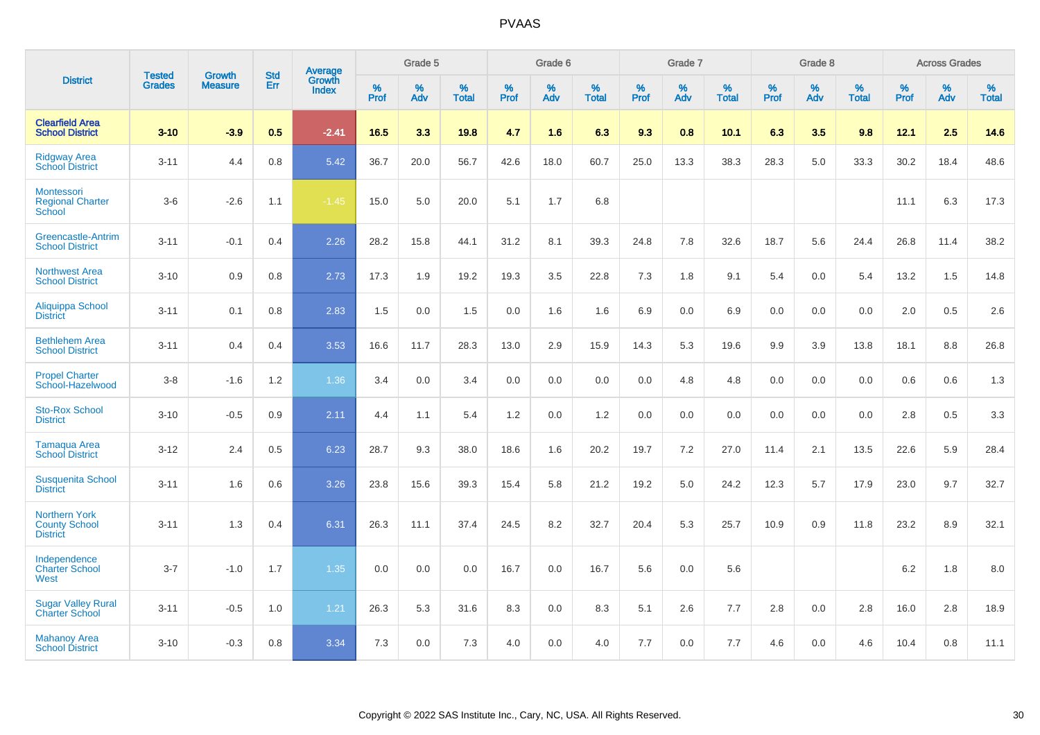|                                                                 | <b>Tested</b> | <b>Growth</b>  | <b>Std</b> | Average                |              | Grade 5  |                   |           | Grade 6  |                   |           | Grade 7  |                   |           | Grade 8  |                   |           | <b>Across Grades</b> |                   |
|-----------------------------------------------------------------|---------------|----------------|------------|------------------------|--------------|----------|-------------------|-----------|----------|-------------------|-----------|----------|-------------------|-----------|----------|-------------------|-----------|----------------------|-------------------|
| <b>District</b>                                                 | <b>Grades</b> | <b>Measure</b> | Err        | Growth<br><b>Index</b> | $\%$<br>Prof | %<br>Adv | %<br><b>Total</b> | %<br>Prof | %<br>Adv | %<br><b>Total</b> | %<br>Prof | %<br>Adv | %<br><b>Total</b> | %<br>Prof | %<br>Adv | %<br><b>Total</b> | %<br>Prof | %<br>Adv             | %<br><b>Total</b> |
| <b>Clearfield Area</b><br><b>School District</b>                | $3 - 10$      | $-3.9$         | 0.5        | $-2.41$                | 16.5         | 3.3      | 19.8              | 4.7       | 1.6      | 6.3               | 9.3       | 0.8      | 10.1              | 6.3       | 3.5      | 9.8               | 12.1      | 2.5                  | 14.6              |
| <b>Ridgway Area</b><br><b>School District</b>                   | $3 - 11$      | 4.4            | 0.8        | 5.42                   | 36.7         | 20.0     | 56.7              | 42.6      | 18.0     | 60.7              | 25.0      | 13.3     | 38.3              | 28.3      | 5.0      | 33.3              | 30.2      | 18.4                 | 48.6              |
| Montessori<br><b>Regional Charter</b><br>School                 | $3-6$         | $-2.6$         | 1.1        | $-1.45$                | 15.0         | 5.0      | 20.0              | 5.1       | 1.7      | 6.8               |           |          |                   |           |          |                   | 11.1      | 6.3                  | 17.3              |
| Greencastle-Antrim<br><b>School District</b>                    | $3 - 11$      | $-0.1$         | 0.4        | 2.26                   | 28.2         | 15.8     | 44.1              | 31.2      | 8.1      | 39.3              | 24.8      | 7.8      | 32.6              | 18.7      | 5.6      | 24.4              | 26.8      | 11.4                 | 38.2              |
| <b>Northwest Area</b><br><b>School District</b>                 | $3 - 10$      | 0.9            | 0.8        | 2.73                   | 17.3         | 1.9      | 19.2              | 19.3      | 3.5      | 22.8              | 7.3       | 1.8      | 9.1               | 5.4       | 0.0      | 5.4               | 13.2      | 1.5                  | 14.8              |
| Aliquippa School<br><b>District</b>                             | $3 - 11$      | 0.1            | 0.8        | 2.83                   | 1.5          | 0.0      | 1.5               | 0.0       | 1.6      | 1.6               | 6.9       | 0.0      | 6.9               | 0.0       | 0.0      | 0.0               | 2.0       | 0.5                  | 2.6               |
| <b>Bethlehem Area</b><br><b>School District</b>                 | $3 - 11$      | 0.4            | 0.4        | 3.53                   | 16.6         | 11.7     | 28.3              | 13.0      | 2.9      | 15.9              | 14.3      | 5.3      | 19.6              | 9.9       | 3.9      | 13.8              | 18.1      | 8.8                  | 26.8              |
| <b>Propel Charter</b><br>School-Hazelwood                       | $3 - 8$       | $-1.6$         | 1.2        | 1.36                   | 3.4          | 0.0      | 3.4               | 0.0       | 0.0      | 0.0               | 0.0       | 4.8      | 4.8               | 0.0       | 0.0      | 0.0               | 0.6       | 0.6                  | 1.3               |
| <b>Sto-Rox School</b><br><b>District</b>                        | $3 - 10$      | $-0.5$         | 0.9        | 2.11                   | 4.4          | 1.1      | 5.4               | 1.2       | 0.0      | 1.2               | 0.0       | 0.0      | 0.0               | 0.0       | 0.0      | 0.0               | 2.8       | 0.5                  | 3.3               |
| Tamaqua Area<br><b>School District</b>                          | $3 - 12$      | 2.4            | 0.5        | 6.23                   | 28.7         | 9.3      | 38.0              | 18.6      | 1.6      | 20.2              | 19.7      | $7.2\,$  | 27.0              | 11.4      | 2.1      | 13.5              | 22.6      | 5.9                  | 28.4              |
| <b>Susquenita School</b><br><b>District</b>                     | $3 - 11$      | 1.6            | 0.6        | 3.26                   | 23.8         | 15.6     | 39.3              | 15.4      | 5.8      | 21.2              | 19.2      | 5.0      | 24.2              | 12.3      | 5.7      | 17.9              | 23.0      | 9.7                  | 32.7              |
| <b>Northern York</b><br><b>County School</b><br><b>District</b> | $3 - 11$      | 1.3            | 0.4        | 6.31                   | 26.3         | 11.1     | 37.4              | 24.5      | 8.2      | 32.7              | 20.4      | 5.3      | 25.7              | 10.9      | 0.9      | 11.8              | 23.2      | 8.9                  | 32.1              |
| Independence<br><b>Charter School</b><br>West                   | $3 - 7$       | $-1.0$         | 1.7        | 1.35                   | 0.0          | 0.0      | 0.0               | 16.7      | 0.0      | 16.7              | 5.6       | 0.0      | 5.6               |           |          |                   | $6.2\,$   | 1.8                  | $8.0\,$           |
| <b>Sugar Valley Rural</b><br><b>Charter School</b>              | $3 - 11$      | $-0.5$         | 1.0        | 1.21                   | 26.3         | 5.3      | 31.6              | 8.3       | 0.0      | 8.3               | 5.1       | 2.6      | 7.7               | 2.8       | 0.0      | 2.8               | 16.0      | 2.8                  | 18.9              |
| <b>Mahanoy Area</b><br><b>School District</b>                   | $3 - 10$      | $-0.3$         | 0.8        | 3.34                   | 7.3          | 0.0      | 7.3               | 4.0       | 0.0      | 4.0               | 7.7       | 0.0      | 7.7               | 4.6       | 0.0      | 4.6               | 10.4      | 0.8                  | 11.1              |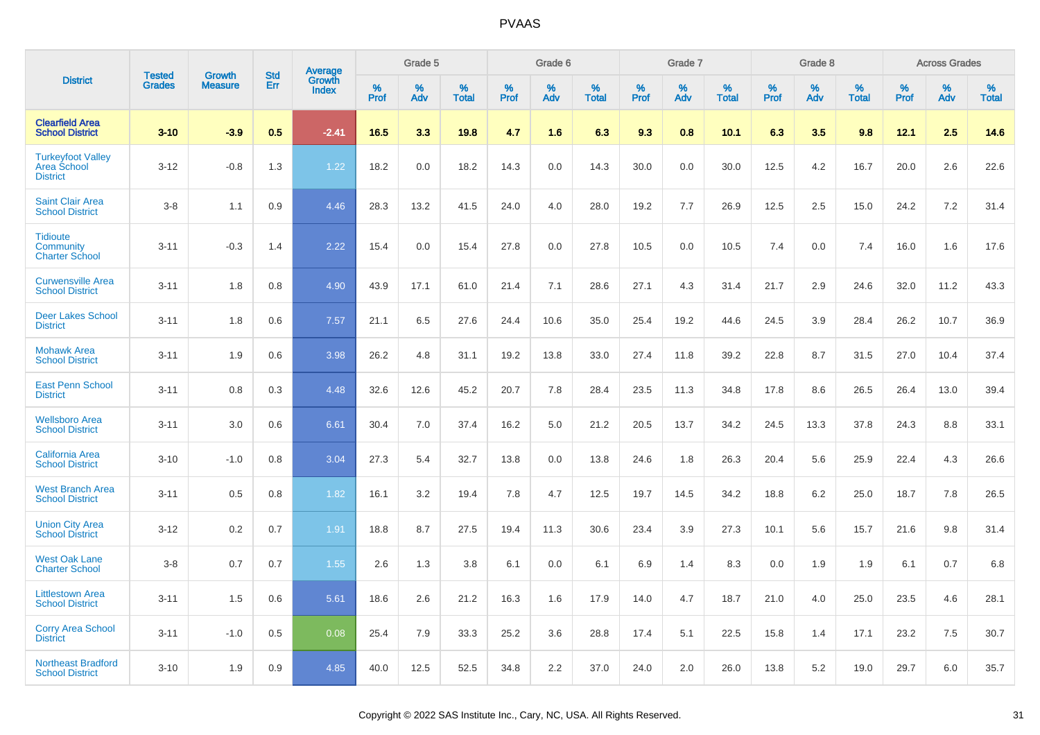|                                                                   |                                |                                 | <b>Std</b> |                                          |              | Grade 5  |                   |              | Grade 6  |                   |              | Grade 7  |                   |              | Grade 8  |                   |              | <b>Across Grades</b> |                   |
|-------------------------------------------------------------------|--------------------------------|---------------------------------|------------|------------------------------------------|--------------|----------|-------------------|--------------|----------|-------------------|--------------|----------|-------------------|--------------|----------|-------------------|--------------|----------------------|-------------------|
| <b>District</b>                                                   | <b>Tested</b><br><b>Grades</b> | <b>Growth</b><br><b>Measure</b> | Err        | <b>Average</b><br>Growth<br><b>Index</b> | $\%$<br>Prof | %<br>Adv | %<br><b>Total</b> | $\%$<br>Prof | %<br>Adv | %<br><b>Total</b> | $\%$<br>Prof | %<br>Adv | %<br><b>Total</b> | $\%$<br>Prof | %<br>Adv | %<br><b>Total</b> | $\%$<br>Prof | %<br>Adv             | %<br><b>Total</b> |
| <b>Clearfield Area</b><br><b>School District</b>                  | $3 - 10$                       | $-3.9$                          | 0.5        | $-2.41$                                  | 16.5         | 3.3      | 19.8              | 4.7          | 1.6      | 6.3               | 9.3          | 0.8      | 10.1              | 6.3          | 3.5      | 9.8               | 12.1         | 2.5                  | 14.6              |
| <b>Turkeyfoot Valley</b><br><b>Area School</b><br><b>District</b> | $3 - 12$                       | $-0.8$                          | 1.3        | 1.22                                     | 18.2         | 0.0      | 18.2              | 14.3         | 0.0      | 14.3              | 30.0         | 0.0      | 30.0              | 12.5         | 4.2      | 16.7              | 20.0         | 2.6                  | 22.6              |
| <b>Saint Clair Area</b><br><b>School District</b>                 | $3 - 8$                        | 1.1                             | 0.9        | 4.46                                     | 28.3         | 13.2     | 41.5              | 24.0         | 4.0      | 28.0              | 19.2         | 7.7      | 26.9              | 12.5         | 2.5      | 15.0              | 24.2         | 7.2                  | 31.4              |
| <b>Tidioute</b><br>Community<br><b>Charter School</b>             | $3 - 11$                       | $-0.3$                          | 1.4        | 2.22                                     | 15.4         | 0.0      | 15.4              | 27.8         | 0.0      | 27.8              | 10.5         | 0.0      | 10.5              | 7.4          | 0.0      | 7.4               | 16.0         | 1.6                  | 17.6              |
| <b>Curwensville Area</b><br><b>School District</b>                | $3 - 11$                       | 1.8                             | 0.8        | 4.90                                     | 43.9         | 17.1     | 61.0              | 21.4         | 7.1      | 28.6              | 27.1         | 4.3      | 31.4              | 21.7         | 2.9      | 24.6              | 32.0         | 11.2                 | 43.3              |
| <b>Deer Lakes School</b><br><b>District</b>                       | $3 - 11$                       | 1.8                             | 0.6        | 7.57                                     | 21.1         | 6.5      | 27.6              | 24.4         | 10.6     | 35.0              | 25.4         | 19.2     | 44.6              | 24.5         | 3.9      | 28.4              | 26.2         | 10.7                 | 36.9              |
| <b>Mohawk Area</b><br><b>School District</b>                      | $3 - 11$                       | 1.9                             | 0.6        | 3.98                                     | 26.2         | 4.8      | 31.1              | 19.2         | 13.8     | 33.0              | 27.4         | 11.8     | 39.2              | 22.8         | 8.7      | 31.5              | 27.0         | 10.4                 | 37.4              |
| <b>East Penn School</b><br><b>District</b>                        | $3 - 11$                       | 0.8                             | 0.3        | 4.48                                     | 32.6         | 12.6     | 45.2              | 20.7         | 7.8      | 28.4              | 23.5         | 11.3     | 34.8              | 17.8         | 8.6      | 26.5              | 26.4         | 13.0                 | 39.4              |
| <b>Wellsboro Area</b><br><b>School District</b>                   | $3 - 11$                       | 3.0                             | 0.6        | 6.61                                     | 30.4         | 7.0      | 37.4              | 16.2         | 5.0      | 21.2              | 20.5         | 13.7     | 34.2              | 24.5         | 13.3     | 37.8              | 24.3         | 8.8                  | 33.1              |
| <b>California Area</b><br><b>School District</b>                  | $3 - 10$                       | $-1.0$                          | 0.8        | 3.04                                     | 27.3         | 5.4      | 32.7              | 13.8         | 0.0      | 13.8              | 24.6         | 1.8      | 26.3              | 20.4         | 5.6      | 25.9              | 22.4         | 4.3                  | 26.6              |
| <b>West Branch Area</b><br><b>School District</b>                 | $3 - 11$                       | 0.5                             | 0.8        | 1.82                                     | 16.1         | 3.2      | 19.4              | 7.8          | 4.7      | 12.5              | 19.7         | 14.5     | 34.2              | 18.8         | 6.2      | 25.0              | 18.7         | 7.8                  | 26.5              |
| <b>Union City Area</b><br><b>School District</b>                  | $3 - 12$                       | 0.2                             | 0.7        | 1.91                                     | 18.8         | 8.7      | 27.5              | 19.4         | 11.3     | 30.6              | 23.4         | 3.9      | 27.3              | 10.1         | 5.6      | 15.7              | 21.6         | 9.8                  | 31.4              |
| <b>West Oak Lane</b><br><b>Charter School</b>                     | $3 - 8$                        | 0.7                             | 0.7        | 1.55                                     | 2.6          | 1.3      | 3.8               | 6.1          | 0.0      | 6.1               | 6.9          | 1.4      | 8.3               | 0.0          | 1.9      | 1.9               | 6.1          | 0.7                  | 6.8               |
| <b>Littlestown Area</b><br><b>School District</b>                 | $3 - 11$                       | 1.5                             | 0.6        | 5.61                                     | 18.6         | 2.6      | 21.2              | 16.3         | 1.6      | 17.9              | 14.0         | 4.7      | 18.7              | 21.0         | 4.0      | 25.0              | 23.5         | 4.6                  | 28.1              |
| <b>Corry Area School</b><br><b>District</b>                       | $3 - 11$                       | $-1.0$                          | 0.5        | 0.08                                     | 25.4         | 7.9      | 33.3              | 25.2         | 3.6      | 28.8              | 17.4         | 5.1      | 22.5              | 15.8         | 1.4      | 17.1              | 23.2         | 7.5                  | 30.7              |
| <b>Northeast Bradford</b><br><b>School District</b>               | $3 - 10$                       | 1.9                             | 0.9        | 4.85                                     | 40.0         | 12.5     | 52.5              | 34.8         | 2.2      | 37.0              | 24.0         | 2.0      | 26.0              | 13.8         | 5.2      | 19.0              | 29.7         | 6.0                  | 35.7              |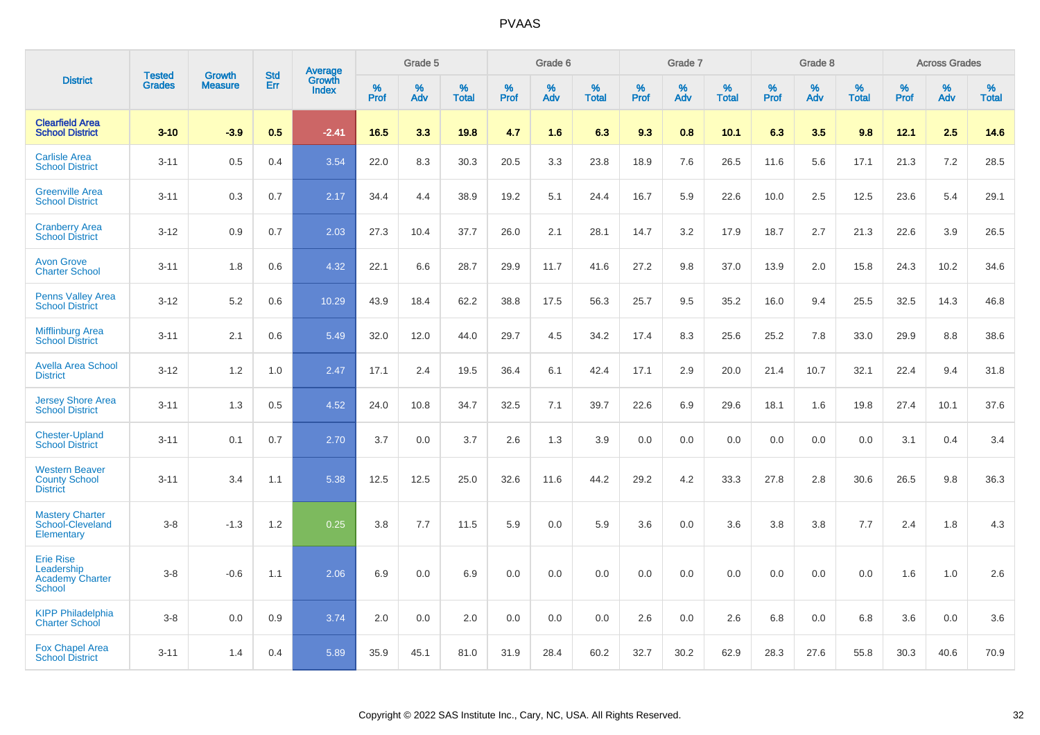|                                                                           | <b>Tested</b> | <b>Growth</b>  | <b>Std</b> | Average         |              | Grade 5  |                   |           | Grade 6  |                   |              | Grade 7  |                   |              | Grade 8  |                   |              | <b>Across Grades</b> |                   |
|---------------------------------------------------------------------------|---------------|----------------|------------|-----------------|--------------|----------|-------------------|-----------|----------|-------------------|--------------|----------|-------------------|--------------|----------|-------------------|--------------|----------------------|-------------------|
| <b>District</b>                                                           | <b>Grades</b> | <b>Measure</b> | Err        | Growth<br>Index | $\%$<br>Prof | %<br>Adv | %<br><b>Total</b> | %<br>Prof | %<br>Adv | %<br><b>Total</b> | $\%$<br>Prof | %<br>Adv | %<br><b>Total</b> | $\%$<br>Prof | %<br>Adv | %<br><b>Total</b> | $\%$<br>Prof | $\%$<br>Adv          | %<br><b>Total</b> |
| <b>Clearfield Area</b><br><b>School District</b>                          | $3 - 10$      | $-3.9$         | 0.5        | $-2.41$         | 16.5         | 3.3      | 19.8              | 4.7       | 1.6      | 6.3               | 9.3          | 0.8      | 10.1              | 6.3          | 3.5      | 9.8               | 12.1         | 2.5                  | 14.6              |
| <b>Carlisle Area</b><br><b>School District</b>                            | $3 - 11$      | 0.5            | 0.4        | 3.54            | 22.0         | 8.3      | 30.3              | 20.5      | 3.3      | 23.8              | 18.9         | 7.6      | 26.5              | 11.6         | 5.6      | 17.1              | 21.3         | 7.2                  | 28.5              |
| <b>Greenville Area</b><br><b>School District</b>                          | $3 - 11$      | 0.3            | 0.7        | 2.17            | 34.4         | 4.4      | 38.9              | 19.2      | 5.1      | 24.4              | 16.7         | 5.9      | 22.6              | 10.0         | 2.5      | 12.5              | 23.6         | 5.4                  | 29.1              |
| <b>Cranberry Area</b><br><b>School District</b>                           | $3 - 12$      | 0.9            | 0.7        | 2.03            | 27.3         | 10.4     | 37.7              | 26.0      | 2.1      | 28.1              | 14.7         | 3.2      | 17.9              | 18.7         | 2.7      | 21.3              | 22.6         | 3.9                  | 26.5              |
| <b>Avon Grove</b><br><b>Charter School</b>                                | $3 - 11$      | 1.8            | 0.6        | 4.32            | 22.1         | 6.6      | 28.7              | 29.9      | 11.7     | 41.6              | 27.2         | 9.8      | 37.0              | 13.9         | 2.0      | 15.8              | 24.3         | 10.2                 | 34.6              |
| <b>Penns Valley Area</b><br><b>School District</b>                        | $3 - 12$      | 5.2            | 0.6        | 10.29           | 43.9         | 18.4     | 62.2              | 38.8      | 17.5     | 56.3              | 25.7         | 9.5      | 35.2              | 16.0         | 9.4      | 25.5              | 32.5         | 14.3                 | 46.8              |
| <b>Mifflinburg Area</b><br><b>School District</b>                         | $3 - 11$      | 2.1            | 0.6        | 5.49            | 32.0         | 12.0     | 44.0              | 29.7      | 4.5      | 34.2              | 17.4         | 8.3      | 25.6              | 25.2         | 7.8      | 33.0              | 29.9         | 8.8                  | 38.6              |
| <b>Avella Area School</b><br><b>District</b>                              | $3 - 12$      | 1.2            | 1.0        | 2.47            | 17.1         | 2.4      | 19.5              | 36.4      | 6.1      | 42.4              | 17.1         | 2.9      | 20.0              | 21.4         | 10.7     | 32.1              | 22.4         | 9.4                  | 31.8              |
| <b>Jersey Shore Area</b><br><b>School District</b>                        | $3 - 11$      | 1.3            | 0.5        | 4.52            | 24.0         | 10.8     | 34.7              | 32.5      | 7.1      | 39.7              | 22.6         | 6.9      | 29.6              | 18.1         | 1.6      | 19.8              | 27.4         | 10.1                 | 37.6              |
| <b>Chester-Upland</b><br><b>School District</b>                           | $3 - 11$      | 0.1            | 0.7        | 2.70            | 3.7          | 0.0      | 3.7               | 2.6       | 1.3      | 3.9               | 0.0          | 0.0      | 0.0               | 0.0          | 0.0      | 0.0               | 3.1          | 0.4                  | 3.4               |
| <b>Western Beaver</b><br><b>County School</b><br><b>District</b>          | $3 - 11$      | 3.4            | 1.1        | 5.38            | 12.5         | 12.5     | 25.0              | 32.6      | 11.6     | 44.2              | 29.2         | 4.2      | 33.3              | 27.8         | 2.8      | 30.6              | 26.5         | 9.8                  | 36.3              |
| <b>Mastery Charter</b><br>School-Cleveland<br>Elementary                  | $3 - 8$       | $-1.3$         | 1.2        | 0.25            | 3.8          | 7.7      | 11.5              | 5.9       | 0.0      | 5.9               | 3.6          | 0.0      | 3.6               | 3.8          | 3.8      | 7.7               | 2.4          | 1.8                  | 4.3               |
| <b>Erie Rise</b><br>Leadership<br><b>Academy Charter</b><br><b>School</b> | $3 - 8$       | $-0.6$         | 1.1        | 2.06            | 6.9          | 0.0      | 6.9               | 0.0       | 0.0      | 0.0               | 0.0          | 0.0      | 0.0               | 0.0          | 0.0      | 0.0               | 1.6          | 1.0                  | 2.6               |
| <b>KIPP Philadelphia</b><br><b>Charter School</b>                         | $3 - 8$       | 0.0            | 0.9        | 3.74            | 2.0          | 0.0      | 2.0               | 0.0       | 0.0      | 0.0               | 2.6          | 0.0      | 2.6               | 6.8          | 0.0      | 6.8               | 3.6          | 0.0                  | 3.6               |
| <b>Fox Chapel Area</b><br><b>School District</b>                          | $3 - 11$      | 1.4            | 0.4        | 5.89            | 35.9         | 45.1     | 81.0              | 31.9      | 28.4     | 60.2              | 32.7         | 30.2     | 62.9              | 28.3         | 27.6     | 55.8              | 30.3         | 40.6                 | 70.9              |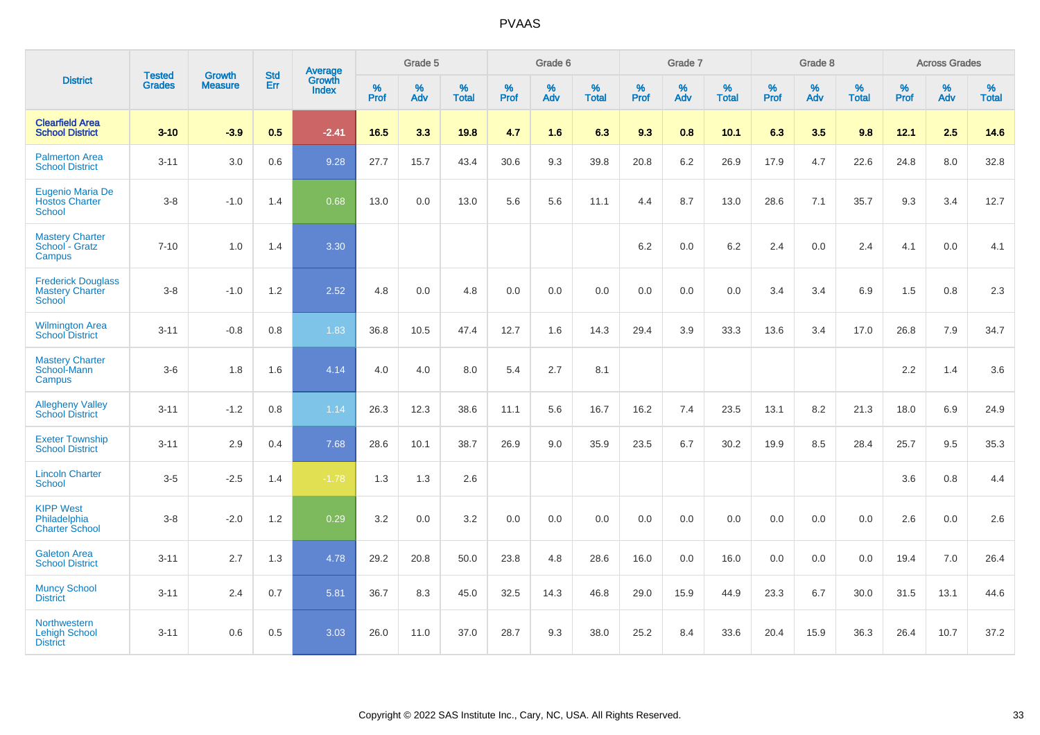|                                                               |                                | <b>Growth</b>  | <b>Std</b> | Average         |              | Grade 5  |                   |              | Grade 6  |                   |              | Grade 7  |                   |              | Grade 8  |                   |              | <b>Across Grades</b> |                   |
|---------------------------------------------------------------|--------------------------------|----------------|------------|-----------------|--------------|----------|-------------------|--------------|----------|-------------------|--------------|----------|-------------------|--------------|----------|-------------------|--------------|----------------------|-------------------|
| <b>District</b>                                               | <b>Tested</b><br><b>Grades</b> | <b>Measure</b> | Err        | Growth<br>Index | $\%$<br>Prof | %<br>Adv | %<br><b>Total</b> | $\%$<br>Prof | %<br>Adv | %<br><b>Total</b> | $\%$<br>Prof | %<br>Adv | %<br><b>Total</b> | $\%$<br>Prof | %<br>Adv | %<br><b>Total</b> | $\%$<br>Prof | $\%$<br>Adv          | %<br><b>Total</b> |
| <b>Clearfield Area</b><br><b>School District</b>              | $3 - 10$                       | $-3.9$         | 0.5        | $-2.41$         | 16.5         | 3.3      | 19.8              | 4.7          | 1.6      | 6.3               | 9.3          | 0.8      | 10.1              | 6.3          | 3.5      | 9.8               | 12.1         | 2.5                  | 14.6              |
| <b>Palmerton Area</b><br><b>School District</b>               | $3 - 11$                       | 3.0            | 0.6        | 9.28            | 27.7         | 15.7     | 43.4              | 30.6         | 9.3      | 39.8              | 20.8         | 6.2      | 26.9              | 17.9         | 4.7      | 22.6              | 24.8         | 8.0                  | 32.8              |
| Eugenio Maria De<br><b>Hostos Charter</b><br><b>School</b>    | $3 - 8$                        | $-1.0$         | 1.4        | 0.68            | 13.0         | 0.0      | 13.0              | 5.6          | 5.6      | 11.1              | 4.4          | 8.7      | 13.0              | 28.6         | 7.1      | 35.7              | 9.3          | 3.4                  | 12.7              |
| <b>Mastery Charter</b><br>School - Gratz<br>Campus            | $7 - 10$                       | 1.0            | 1.4        | 3.30            |              |          |                   |              |          |                   | 6.2          | 0.0      | 6.2               | 2.4          | 0.0      | 2.4               | 4.1          | 0.0                  | 4.1               |
| <b>Frederick Douglass</b><br><b>Mastery Charter</b><br>School | $3 - 8$                        | $-1.0$         | 1.2        | 2.52            | 4.8          | 0.0      | 4.8               | 0.0          | 0.0      | 0.0               | 0.0          | 0.0      | 0.0               | 3.4          | 3.4      | 6.9               | 1.5          | 0.8                  | $2.3\,$           |
| <b>Wilmington Area</b><br><b>School District</b>              | $3 - 11$                       | $-0.8$         | 0.8        | 1.83            | 36.8         | 10.5     | 47.4              | 12.7         | 1.6      | 14.3              | 29.4         | 3.9      | 33.3              | 13.6         | 3.4      | 17.0              | 26.8         | 7.9                  | 34.7              |
| <b>Mastery Charter</b><br>School-Mann<br>Campus               | $3-6$                          | 1.8            | 1.6        | 4.14            | 4.0          | 4.0      | 8.0               | 5.4          | 2.7      | 8.1               |              |          |                   |              |          |                   | $2.2\,$      | 1.4                  | 3.6               |
| <b>Allegheny Valley</b><br><b>School District</b>             | $3 - 11$                       | $-1.2$         | $0.8\,$    | 1.14            | 26.3         | 12.3     | 38.6              | 11.1         | 5.6      | 16.7              | 16.2         | 7.4      | 23.5              | 13.1         | 8.2      | 21.3              | 18.0         | 6.9                  | 24.9              |
| <b>Exeter Township</b><br><b>School District</b>              | $3 - 11$                       | 2.9            | 0.4        | 7.68            | 28.6         | 10.1     | 38.7              | 26.9         | 9.0      | 35.9              | 23.5         | 6.7      | 30.2              | 19.9         | 8.5      | 28.4              | 25.7         | 9.5                  | 35.3              |
| <b>Lincoln Charter</b><br><b>School</b>                       | $3 - 5$                        | $-2.5$         | 1.4        | $-1.78$         | 1.3          | 1.3      | 2.6               |              |          |                   |              |          |                   |              |          |                   | 3.6          | 0.8                  | 4.4               |
| <b>KIPP West</b><br>Philadelphia<br><b>Charter School</b>     | $3 - 8$                        | $-2.0$         | 1.2        | 0.29            | 3.2          | 0.0      | 3.2               | 0.0          | 0.0      | 0.0               | 0.0          | 0.0      | 0.0               | 0.0          | 0.0      | 0.0               | 2.6          | 0.0                  | 2.6               |
| <b>Galeton Area</b><br><b>School District</b>                 | $3 - 11$                       | 2.7            | 1.3        | 4.78            | 29.2         | 20.8     | 50.0              | 23.8         | 4.8      | 28.6              | 16.0         | 0.0      | 16.0              | 0.0          | 0.0      | 0.0               | 19.4         | 7.0                  | 26.4              |
| <b>Muncy School</b><br><b>District</b>                        | $3 - 11$                       | 2.4            | 0.7        | 5.81            | 36.7         | 8.3      | 45.0              | 32.5         | 14.3     | 46.8              | 29.0         | 15.9     | 44.9              | 23.3         | 6.7      | 30.0              | 31.5         | 13.1                 | 44.6              |
| Northwestern<br><b>Lehigh School</b><br><b>District</b>       | $3 - 11$                       | 0.6            | 0.5        | 3.03            | 26.0         | 11.0     | 37.0              | 28.7         | 9.3      | 38.0              | 25.2         | 8.4      | 33.6              | 20.4         | 15.9     | 36.3              | 26.4         | 10.7                 | 37.2              |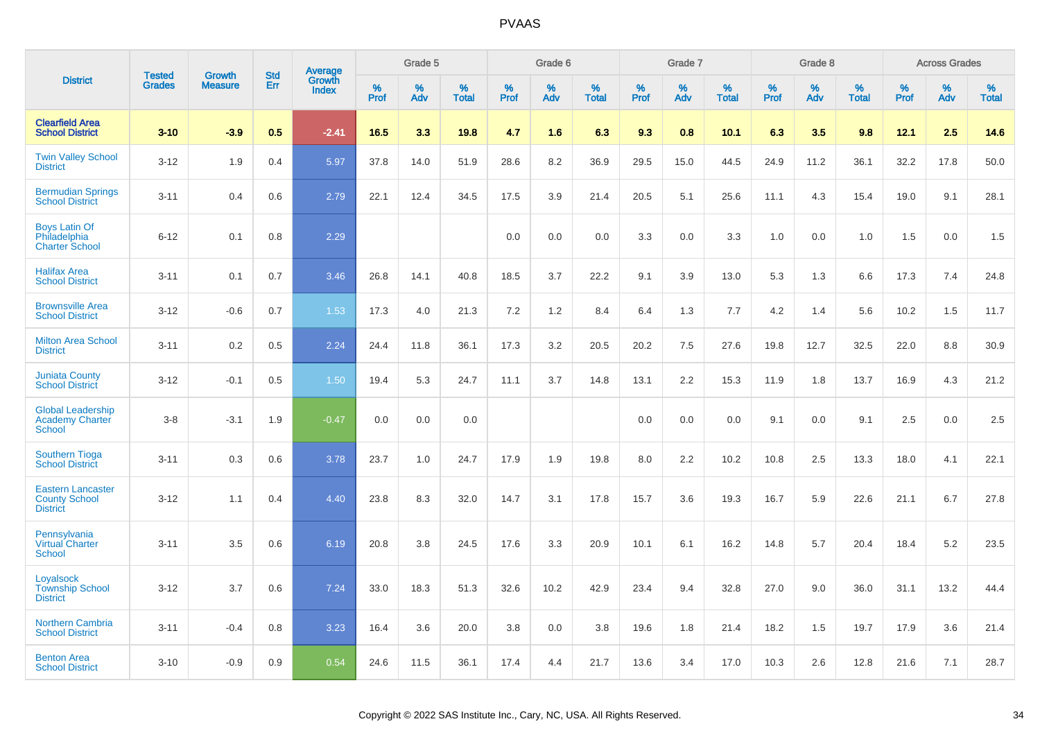|                                                                     | <b>Tested</b> | <b>Growth</b>  | <b>Std</b> |                                   |           | Grade 5  |                   |           | Grade 6  |                   |           | Grade 7  |                   |           | Grade 8  |                   |           | <b>Across Grades</b> |                   |
|---------------------------------------------------------------------|---------------|----------------|------------|-----------------------------------|-----------|----------|-------------------|-----------|----------|-------------------|-----------|----------|-------------------|-----------|----------|-------------------|-----------|----------------------|-------------------|
| <b>District</b>                                                     | <b>Grades</b> | <b>Measure</b> | Err        | <b>Average</b><br>Growth<br>Index | %<br>Prof | %<br>Adv | %<br><b>Total</b> | %<br>Prof | %<br>Adv | %<br><b>Total</b> | %<br>Prof | %<br>Adv | %<br><b>Total</b> | %<br>Prof | %<br>Adv | %<br><b>Total</b> | %<br>Prof | %<br>Adv             | %<br><b>Total</b> |
| <b>Clearfield Area</b><br><b>School District</b>                    | $3 - 10$      | $-3.9$         | 0.5        | $-2.41$                           | 16.5      | 3.3      | 19.8              | 4.7       | 1.6      | 6.3               | 9.3       | 0.8      | 10.1              | 6.3       | 3.5      | 9.8               | 12.1      | 2.5                  | 14.6              |
| <b>Twin Valley School</b><br><b>District</b>                        | $3 - 12$      | 1.9            | 0.4        | 5.97                              | 37.8      | 14.0     | 51.9              | 28.6      | 8.2      | 36.9              | 29.5      | 15.0     | 44.5              | 24.9      | 11.2     | 36.1              | 32.2      | 17.8                 | 50.0              |
| <b>Bermudian Springs</b><br><b>School District</b>                  | $3 - 11$      | 0.4            | 0.6        | 2.79                              | 22.1      | 12.4     | 34.5              | 17.5      | 3.9      | 21.4              | 20.5      | 5.1      | 25.6              | 11.1      | 4.3      | 15.4              | 19.0      | 9.1                  | 28.1              |
| <b>Boys Latin Of</b><br>Philadelphia<br><b>Charter School</b>       | $6 - 12$      | 0.1            | 0.8        | 2.29                              |           |          |                   | 0.0       | 0.0      | 0.0               | 3.3       | 0.0      | 3.3               | 1.0       | 0.0      | 1.0               | 1.5       | 0.0                  | 1.5               |
| <b>Halifax Area</b><br><b>School District</b>                       | $3 - 11$      | 0.1            | 0.7        | 3.46                              | 26.8      | 14.1     | 40.8              | 18.5      | 3.7      | 22.2              | 9.1       | 3.9      | 13.0              | 5.3       | 1.3      | 6.6               | 17.3      | 7.4                  | 24.8              |
| <b>Brownsville Area</b><br><b>School District</b>                   | $3 - 12$      | $-0.6$         | 0.7        | 1.53                              | 17.3      | 4.0      | 21.3              | 7.2       | 1.2      | 8.4               | 6.4       | 1.3      | 7.7               | 4.2       | 1.4      | 5.6               | 10.2      | 1.5                  | 11.7              |
| <b>Milton Area School</b><br><b>District</b>                        | $3 - 11$      | 0.2            | 0.5        | 2.24                              | 24.4      | 11.8     | 36.1              | 17.3      | 3.2      | 20.5              | 20.2      | 7.5      | 27.6              | 19.8      | 12.7     | 32.5              | 22.0      | 8.8                  | 30.9              |
| <b>Juniata County</b><br><b>School District</b>                     | $3 - 12$      | $-0.1$         | 0.5        | 1.50                              | 19.4      | 5.3      | 24.7              | 11.1      | 3.7      | 14.8              | 13.1      | 2.2      | 15.3              | 11.9      | 1.8      | 13.7              | 16.9      | 4.3                  | 21.2              |
| <b>Global Leadership</b><br><b>Academy Charter</b><br><b>School</b> | $3 - 8$       | $-3.1$         | 1.9        | $-0.47$                           | 0.0       | 0.0      | 0.0               |           |          |                   | 0.0       | 0.0      | 0.0               | 9.1       | 0.0      | 9.1               | 2.5       | 0.0                  | 2.5               |
| <b>Southern Tioga</b><br><b>School District</b>                     | $3 - 11$      | 0.3            | 0.6        | 3.78                              | 23.7      | 1.0      | 24.7              | 17.9      | 1.9      | 19.8              | 8.0       | 2.2      | 10.2              | 10.8      | 2.5      | 13.3              | 18.0      | 4.1                  | 22.1              |
| <b>Eastern Lancaster</b><br><b>County School</b><br><b>District</b> | $3 - 12$      | 1.1            | 0.4        | 4.40                              | 23.8      | 8.3      | 32.0              | 14.7      | 3.1      | 17.8              | 15.7      | 3.6      | 19.3              | 16.7      | 5.9      | 22.6              | 21.1      | 6.7                  | 27.8              |
| Pennsylvania<br><b>Virtual Charter</b><br><b>School</b>             | $3 - 11$      | 3.5            | 0.6        | 6.19                              | 20.8      | 3.8      | 24.5              | 17.6      | 3.3      | 20.9              | 10.1      | 6.1      | 16.2              | 14.8      | 5.7      | 20.4              | 18.4      | 5.2                  | 23.5              |
| Loyalsock<br><b>Township School</b><br><b>District</b>              | $3 - 12$      | 3.7            | 0.6        | 7.24                              | 33.0      | 18.3     | 51.3              | 32.6      | 10.2     | 42.9              | 23.4      | 9.4      | 32.8              | 27.0      | 9.0      | 36.0              | 31.1      | 13.2                 | 44.4              |
| <b>Northern Cambria</b><br><b>School District</b>                   | $3 - 11$      | $-0.4$         | 0.8        | 3.23                              | 16.4      | 3.6      | 20.0              | 3.8       | 0.0      | 3.8               | 19.6      | 1.8      | 21.4              | 18.2      | 1.5      | 19.7              | 17.9      | 3.6                  | 21.4              |
| <b>Benton Area</b><br><b>School District</b>                        | $3 - 10$      | $-0.9$         | 0.9        | 0.54                              | 24.6      | 11.5     | 36.1              | 17.4      | 4.4      | 21.7              | 13.6      | 3.4      | 17.0              | 10.3      | 2.6      | 12.8              | 21.6      | 7.1                  | 28.7              |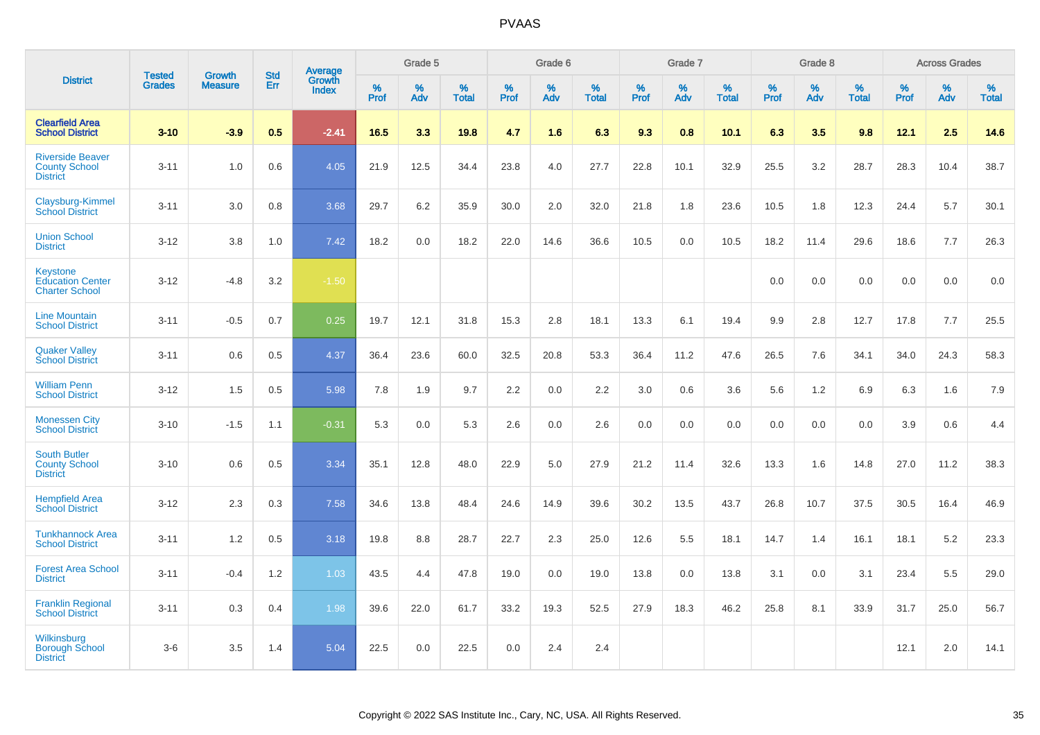|                                                                    |                                | <b>Growth</b>  | <b>Std</b> | Average                |              | Grade 5  |                   |           | Grade 6  |                   |           | Grade 7  |                   |           | Grade 8  |                   |           | <b>Across Grades</b> |                   |
|--------------------------------------------------------------------|--------------------------------|----------------|------------|------------------------|--------------|----------|-------------------|-----------|----------|-------------------|-----------|----------|-------------------|-----------|----------|-------------------|-----------|----------------------|-------------------|
| <b>District</b>                                                    | <b>Tested</b><br><b>Grades</b> | <b>Measure</b> | Err        | Growth<br><b>Index</b> | $\%$<br>Prof | %<br>Adv | %<br><b>Total</b> | %<br>Prof | %<br>Adv | %<br><b>Total</b> | %<br>Prof | %<br>Adv | %<br><b>Total</b> | %<br>Prof | %<br>Adv | %<br><b>Total</b> | %<br>Prof | %<br>Adv             | %<br><b>Total</b> |
| <b>Clearfield Area</b><br><b>School District</b>                   | $3 - 10$                       | $-3.9$         | 0.5        | $-2.41$                | 16.5         | 3.3      | 19.8              | 4.7       | 1.6      | 6.3               | 9.3       | 0.8      | 10.1              | 6.3       | 3.5      | 9.8               | 12.1      | 2.5                  | 14.6              |
| <b>Riverside Beaver</b><br><b>County School</b><br><b>District</b> | $3 - 11$                       | 1.0            | 0.6        | 4.05                   | 21.9         | 12.5     | 34.4              | 23.8      | 4.0      | 27.7              | 22.8      | 10.1     | 32.9              | 25.5      | 3.2      | 28.7              | 28.3      | 10.4                 | 38.7              |
| Claysburg-Kimmel<br><b>School District</b>                         | $3 - 11$                       | 3.0            | 0.8        | 3.68                   | 29.7         | 6.2      | 35.9              | 30.0      | 2.0      | 32.0              | 21.8      | 1.8      | 23.6              | 10.5      | 1.8      | 12.3              | 24.4      | 5.7                  | 30.1              |
| <b>Union School</b><br><b>District</b>                             | $3 - 12$                       | 3.8            | 1.0        | 7.42                   | 18.2         | 0.0      | 18.2              | 22.0      | 14.6     | 36.6              | 10.5      | 0.0      | 10.5              | 18.2      | 11.4     | 29.6              | 18.6      | 7.7                  | 26.3              |
| Keystone<br><b>Education Center</b><br><b>Charter School</b>       | $3 - 12$                       | $-4.8$         | $3.2\,$    | $-1.50$                |              |          |                   |           |          |                   |           |          |                   | 0.0       | 0.0      | 0.0               | 0.0       | 0.0                  | 0.0               |
| <b>Line Mountain</b><br><b>School District</b>                     | $3 - 11$                       | $-0.5$         | 0.7        | 0.25                   | 19.7         | 12.1     | 31.8              | 15.3      | 2.8      | 18.1              | 13.3      | 6.1      | 19.4              | 9.9       | 2.8      | 12.7              | 17.8      | 7.7                  | 25.5              |
| <b>Quaker Valley</b><br><b>School District</b>                     | $3 - 11$                       | 0.6            | 0.5        | 4.37                   | 36.4         | 23.6     | 60.0              | 32.5      | 20.8     | 53.3              | 36.4      | 11.2     | 47.6              | 26.5      | 7.6      | 34.1              | 34.0      | 24.3                 | 58.3              |
| <b>William Penn</b><br><b>School District</b>                      | $3 - 12$                       | 1.5            | 0.5        | 5.98                   | 7.8          | 1.9      | 9.7               | 2.2       | 0.0      | 2.2               | 3.0       | 0.6      | 3.6               | 5.6       | 1.2      | 6.9               | 6.3       | 1.6                  | 7.9               |
| <b>Monessen City</b><br><b>School District</b>                     | $3 - 10$                       | $-1.5$         | 1.1        | $-0.31$                | 5.3          | 0.0      | 5.3               | 2.6       | 0.0      | 2.6               | 0.0       | 0.0      | 0.0               | 0.0       | 0.0      | 0.0               | 3.9       | 0.6                  | 4.4               |
| <b>South Butler</b><br><b>County School</b><br><b>District</b>     | $3 - 10$                       | 0.6            | 0.5        | 3.34                   | 35.1         | 12.8     | 48.0              | 22.9      | 5.0      | 27.9              | 21.2      | 11.4     | 32.6              | 13.3      | 1.6      | 14.8              | 27.0      | 11.2                 | 38.3              |
| <b>Hempfield Area</b><br><b>School District</b>                    | $3 - 12$                       | 2.3            | 0.3        | 7.58                   | 34.6         | 13.8     | 48.4              | 24.6      | 14.9     | 39.6              | 30.2      | 13.5     | 43.7              | 26.8      | 10.7     | 37.5              | 30.5      | 16.4                 | 46.9              |
| <b>Tunkhannock Area</b><br><b>School District</b>                  | $3 - 11$                       | 1.2            | 0.5        | 3.18                   | 19.8         | 8.8      | 28.7              | 22.7      | 2.3      | 25.0              | 12.6      | 5.5      | 18.1              | 14.7      | 1.4      | 16.1              | 18.1      | 5.2                  | 23.3              |
| <b>Forest Area School</b><br><b>District</b>                       | $3 - 11$                       | $-0.4$         | 1.2        | 1.03                   | 43.5         | 4.4      | 47.8              | 19.0      | 0.0      | 19.0              | 13.8      | 0.0      | 13.8              | 3.1       | 0.0      | 3.1               | 23.4      | 5.5                  | 29.0              |
| <b>Franklin Regional</b><br><b>School District</b>                 | $3 - 11$                       | 0.3            | 0.4        | 1.98                   | 39.6         | 22.0     | 61.7              | 33.2      | 19.3     | 52.5              | 27.9      | 18.3     | 46.2              | 25.8      | 8.1      | 33.9              | 31.7      | 25.0                 | 56.7              |
| Wilkinsburg<br><b>Borough School</b><br><b>District</b>            | $3 - 6$                        | 3.5            | 1.4        | 5.04                   | 22.5         | 0.0      | 22.5              | 0.0       | 2.4      | 2.4               |           |          |                   |           |          |                   | 12.1      | 2.0                  | 14.1              |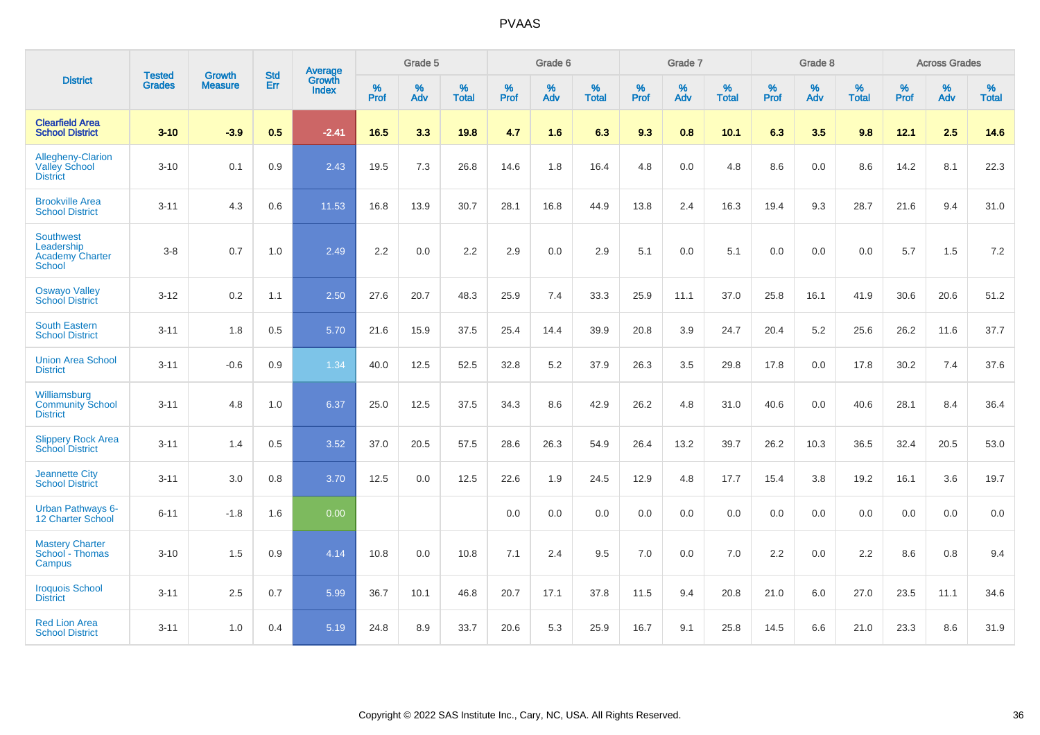|                                                                    | <b>Tested</b> | <b>Growth</b>  | <b>Std</b> | Average                |                     | Grade 5  |                   |                     | Grade 6  |                   |              | Grade 7  |                   |                     | Grade 8  |                   |                     | <b>Across Grades</b> |                   |
|--------------------------------------------------------------------|---------------|----------------|------------|------------------------|---------------------|----------|-------------------|---------------------|----------|-------------------|--------------|----------|-------------------|---------------------|----------|-------------------|---------------------|----------------------|-------------------|
| <b>District</b>                                                    | <b>Grades</b> | <b>Measure</b> | Err        | Growth<br><b>Index</b> | $\%$<br><b>Prof</b> | %<br>Adv | %<br><b>Total</b> | $\%$<br><b>Prof</b> | %<br>Adv | %<br><b>Total</b> | $\%$<br>Prof | %<br>Adv | %<br><b>Total</b> | $\%$<br><b>Prof</b> | %<br>Adv | %<br><b>Total</b> | $\%$<br><b>Prof</b> | %<br>Adv             | %<br><b>Total</b> |
| <b>Clearfield Area</b><br><b>School District</b>                   | $3 - 10$      | $-3.9$         | 0.5        | $-2.41$                | 16.5                | 3.3      | 19.8              | 4.7                 | 1.6      | 6.3               | 9.3          | 0.8      | 10.1              | 6.3                 | 3.5      | 9.8               | 12.1                | 2.5                  | 14.6              |
| Allegheny-Clarion<br><b>Valley School</b><br><b>District</b>       | $3 - 10$      | 0.1            | 0.9        | 2.43                   | 19.5                | 7.3      | 26.8              | 14.6                | 1.8      | 16.4              | 4.8          | 0.0      | 4.8               | 8.6                 | 0.0      | 8.6               | 14.2                | 8.1                  | 22.3              |
| <b>Brookville Area</b><br><b>School District</b>                   | $3 - 11$      | 4.3            | 0.6        | 11.53                  | 16.8                | 13.9     | 30.7              | 28.1                | 16.8     | 44.9              | 13.8         | 2.4      | 16.3              | 19.4                | 9.3      | 28.7              | 21.6                | 9.4                  | 31.0              |
| <b>Southwest</b><br>Leadership<br><b>Academy Charter</b><br>School | $3 - 8$       | 0.7            | 1.0        | 2.49                   | 2.2                 | 0.0      | 2.2               | 2.9                 | 0.0      | 2.9               | 5.1          | 0.0      | 5.1               | 0.0                 | 0.0      | 0.0               | 5.7                 | 1.5                  | 7.2               |
| <b>Oswayo Valley</b><br><b>School District</b>                     | $3 - 12$      | 0.2            | 1.1        | 2.50                   | 27.6                | 20.7     | 48.3              | 25.9                | 7.4      | 33.3              | 25.9         | 11.1     | 37.0              | 25.8                | 16.1     | 41.9              | 30.6                | 20.6                 | 51.2              |
| <b>South Eastern</b><br><b>School District</b>                     | $3 - 11$      | 1.8            | 0.5        | 5.70                   | 21.6                | 15.9     | 37.5              | 25.4                | 14.4     | 39.9              | 20.8         | 3.9      | 24.7              | 20.4                | 5.2      | 25.6              | 26.2                | 11.6                 | 37.7              |
| <b>Union Area School</b><br><b>District</b>                        | $3 - 11$      | $-0.6$         | 0.9        | 1.34                   | 40.0                | 12.5     | 52.5              | 32.8                | $5.2\,$  | 37.9              | 26.3         | 3.5      | 29.8              | 17.8                | 0.0      | 17.8              | 30.2                | 7.4                  | 37.6              |
| Williamsburg<br><b>Community School</b><br><b>District</b>         | $3 - 11$      | 4.8            | 1.0        | 6.37                   | 25.0                | 12.5     | 37.5              | 34.3                | 8.6      | 42.9              | 26.2         | 4.8      | 31.0              | 40.6                | 0.0      | 40.6              | 28.1                | 8.4                  | 36.4              |
| <b>Slippery Rock Area</b><br><b>School District</b>                | $3 - 11$      | 1.4            | 0.5        | 3.52                   | 37.0                | 20.5     | 57.5              | 28.6                | 26.3     | 54.9              | 26.4         | 13.2     | 39.7              | 26.2                | 10.3     | 36.5              | 32.4                | 20.5                 | 53.0              |
| <b>Jeannette City</b><br><b>School District</b>                    | $3 - 11$      | 3.0            | 0.8        | 3.70                   | 12.5                | 0.0      | 12.5              | 22.6                | 1.9      | 24.5              | 12.9         | 4.8      | 17.7              | 15.4                | 3.8      | 19.2              | 16.1                | 3.6                  | 19.7              |
| <b>Urban Pathways 6-</b><br>12 Charter School                      | $6 - 11$      | $-1.8$         | 1.6        | 0.00                   |                     |          |                   | 0.0                 | 0.0      | 0.0               | 0.0          | 0.0      | 0.0               | 0.0                 | 0.0      | 0.0               | 0.0                 | 0.0                  | 0.0               |
| <b>Mastery Charter</b><br>School - Thomas<br>Campus                | $3 - 10$      | 1.5            | 0.9        | 4.14                   | 10.8                | 0.0      | 10.8              | 7.1                 | 2.4      | 9.5               | 7.0          | 0.0      | 7.0               | 2.2                 | 0.0      | 2.2               | 8.6                 | 0.8                  | 9.4               |
| <b>Iroquois School</b><br><b>District</b>                          | $3 - 11$      | 2.5            | 0.7        | 5.99                   | 36.7                | 10.1     | 46.8              | 20.7                | 17.1     | 37.8              | 11.5         | 9.4      | 20.8              | 21.0                | 6.0      | 27.0              | 23.5                | 11.1                 | 34.6              |
| <b>Red Lion Area</b><br><b>School District</b>                     | $3 - 11$      | 1.0            | 0.4        | 5.19                   | 24.8                | 8.9      | 33.7              | 20.6                | 5.3      | 25.9              | 16.7         | 9.1      | 25.8              | 14.5                | 6.6      | 21.0              | 23.3                | 8.6                  | 31.9              |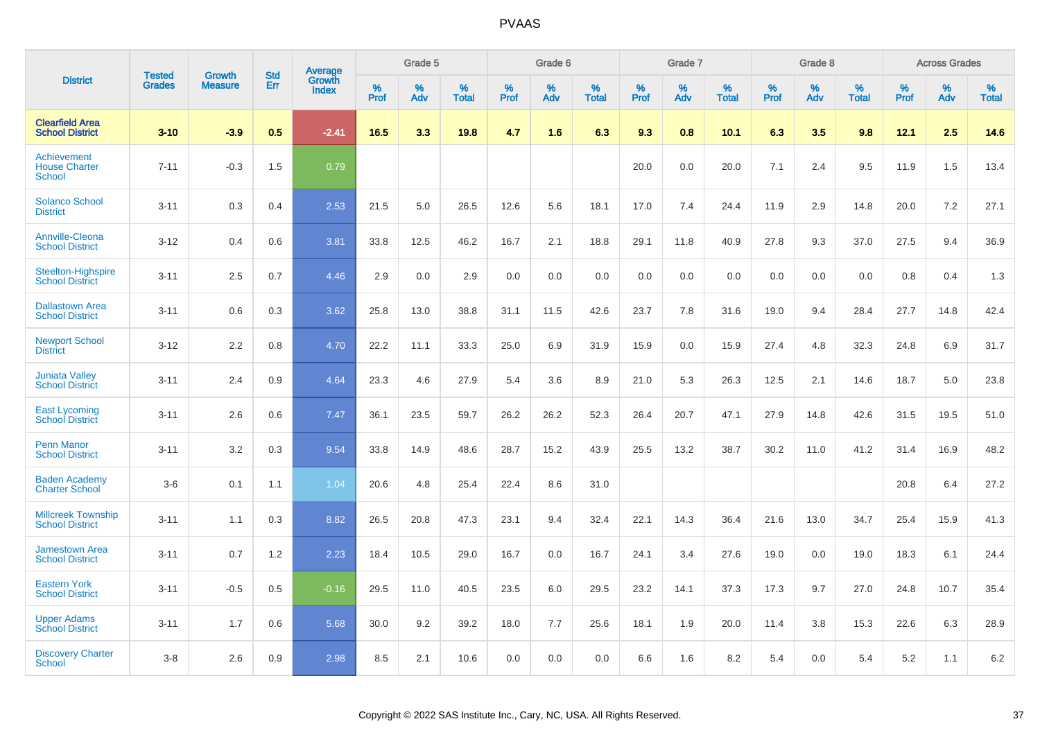|                                                      |                                |                                 | <b>Std</b> | Average                |           | Grade 5  |                      |                  | Grade 6  |                   |           | Grade 7  |                   |           | Grade 8  |                   |           | <b>Across Grades</b> |                   |
|------------------------------------------------------|--------------------------------|---------------------------------|------------|------------------------|-----------|----------|----------------------|------------------|----------|-------------------|-----------|----------|-------------------|-----------|----------|-------------------|-----------|----------------------|-------------------|
| <b>District</b>                                      | <b>Tested</b><br><b>Grades</b> | <b>Growth</b><br><b>Measure</b> | Err        | Growth<br><b>Index</b> | %<br>Prof | %<br>Adv | $\%$<br><b>Total</b> | %<br><b>Prof</b> | %<br>Adv | %<br><b>Total</b> | %<br>Prof | %<br>Adv | %<br><b>Total</b> | %<br>Prof | %<br>Adv | %<br><b>Total</b> | %<br>Prof | %<br>Adv             | %<br><b>Total</b> |
| <b>Clearfield Area</b><br><b>School District</b>     | $3 - 10$                       | $-3.9$                          | 0.5        | $-2.41$                | 16.5      | 3.3      | 19.8                 | 4.7              | 1.6      | 6.3               | 9.3       | 0.8      | 10.1              | 6.3       | 3.5      | 9.8               | 12.1      | 2.5                  | 14.6              |
| Achievement<br><b>House Charter</b><br><b>School</b> | $7 - 11$                       | $-0.3$                          | 1.5        | 0.79                   |           |          |                      |                  |          |                   | 20.0      | 0.0      | 20.0              | 7.1       | 2.4      | 9.5               | 11.9      | 1.5                  | 13.4              |
| <b>Solanco School</b><br><b>District</b>             | $3 - 11$                       | 0.3                             | 0.4        | 2.53                   | 21.5      | 5.0      | 26.5                 | 12.6             | 5.6      | 18.1              | 17.0      | 7.4      | 24.4              | 11.9      | 2.9      | 14.8              | 20.0      | 7.2                  | 27.1              |
| <b>Annville-Cleona</b><br><b>School District</b>     | $3 - 12$                       | 0.4                             | 0.6        | 3.81                   | 33.8      | 12.5     | 46.2                 | 16.7             | 2.1      | 18.8              | 29.1      | 11.8     | 40.9              | 27.8      | 9.3      | 37.0              | 27.5      | 9.4                  | 36.9              |
| <b>Steelton-Highspire</b><br><b>School District</b>  | $3 - 11$                       | 2.5                             | 0.7        | 4.46                   | 2.9       | 0.0      | 2.9                  | 0.0              | 0.0      | 0.0               | 0.0       | 0.0      | 0.0               | 0.0       | 0.0      | 0.0               | 0.8       | 0.4                  | 1.3               |
| <b>Dallastown Area</b><br><b>School District</b>     | $3 - 11$                       | 0.6                             | 0.3        | 3.62                   | 25.8      | 13.0     | 38.8                 | 31.1             | 11.5     | 42.6              | 23.7      | 7.8      | 31.6              | 19.0      | 9.4      | 28.4              | 27.7      | 14.8                 | 42.4              |
| <b>Newport School</b><br><b>District</b>             | $3 - 12$                       | 2.2                             | 0.8        | 4.70                   | 22.2      | 11.1     | 33.3                 | 25.0             | 6.9      | 31.9              | 15.9      | 0.0      | 15.9              | 27.4      | 4.8      | 32.3              | 24.8      | 6.9                  | 31.7              |
| <b>Juniata Valley</b><br><b>School District</b>      | $3 - 11$                       | 2.4                             | 0.9        | 4.64                   | 23.3      | 4.6      | 27.9                 | 5.4              | 3.6      | 8.9               | 21.0      | 5.3      | 26.3              | 12.5      | 2.1      | 14.6              | 18.7      | 5.0                  | 23.8              |
| <b>East Lycoming</b><br><b>School District</b>       | $3 - 11$                       | 2.6                             | 0.6        | 7.47                   | 36.1      | 23.5     | 59.7                 | 26.2             | 26.2     | 52.3              | 26.4      | 20.7     | 47.1              | 27.9      | 14.8     | 42.6              | 31.5      | 19.5                 | 51.0              |
| <b>Penn Manor</b><br><b>School District</b>          | $3 - 11$                       | 3.2                             | 0.3        | 9.54                   | 33.8      | 14.9     | 48.6                 | 28.7             | 15.2     | 43.9              | 25.5      | 13.2     | 38.7              | 30.2      | 11.0     | 41.2              | 31.4      | 16.9                 | 48.2              |
| <b>Baden Academy</b><br><b>Charter School</b>        | $3-6$                          | 0.1                             | 1.1        | 1.04                   | 20.6      | 4.8      | 25.4                 | 22.4             | 8.6      | 31.0              |           |          |                   |           |          |                   | 20.8      | 6.4                  | 27.2              |
| <b>Millcreek Township</b><br><b>School District</b>  | $3 - 11$                       | 1.1                             | 0.3        | 8.82                   | 26.5      | 20.8     | 47.3                 | 23.1             | 9.4      | 32.4              | 22.1      | 14.3     | 36.4              | 21.6      | 13.0     | 34.7              | 25.4      | 15.9                 | 41.3              |
| <b>Jamestown Area</b><br><b>School District</b>      | $3 - 11$                       | 0.7                             | 1.2        | 2.23                   | 18.4      | 10.5     | 29.0                 | 16.7             | 0.0      | 16.7              | 24.1      | 3.4      | 27.6              | 19.0      | 0.0      | 19.0              | 18.3      | 6.1                  | 24.4              |
| <b>Eastern York</b><br><b>School District</b>        | $3 - 11$                       | $-0.5$                          | 0.5        | $-0.16$                | 29.5      | 11.0     | 40.5                 | 23.5             | 6.0      | 29.5              | 23.2      | 14.1     | 37.3              | 17.3      | 9.7      | 27.0              | 24.8      | 10.7                 | 35.4              |
| <b>Upper Adams</b><br><b>School District</b>         | $3 - 11$                       | 1.7                             | 0.6        | 5.68                   | 30.0      | 9.2      | 39.2                 | 18.0             | 7.7      | 25.6              | 18.1      | 1.9      | 20.0              | 11.4      | 3.8      | 15.3              | 22.6      | 6.3                  | 28.9              |
| <b>Discovery Charter</b><br>School                   | $3 - 8$                        | 2.6                             | 0.9        | 2.98                   | 8.5       | 2.1      | 10.6                 | 0.0              | 0.0      | 0.0               | 6.6       | 1.6      | 8.2               | 5.4       | $0.0\,$  | 5.4               | 5.2       | 1.1                  | 6.2               |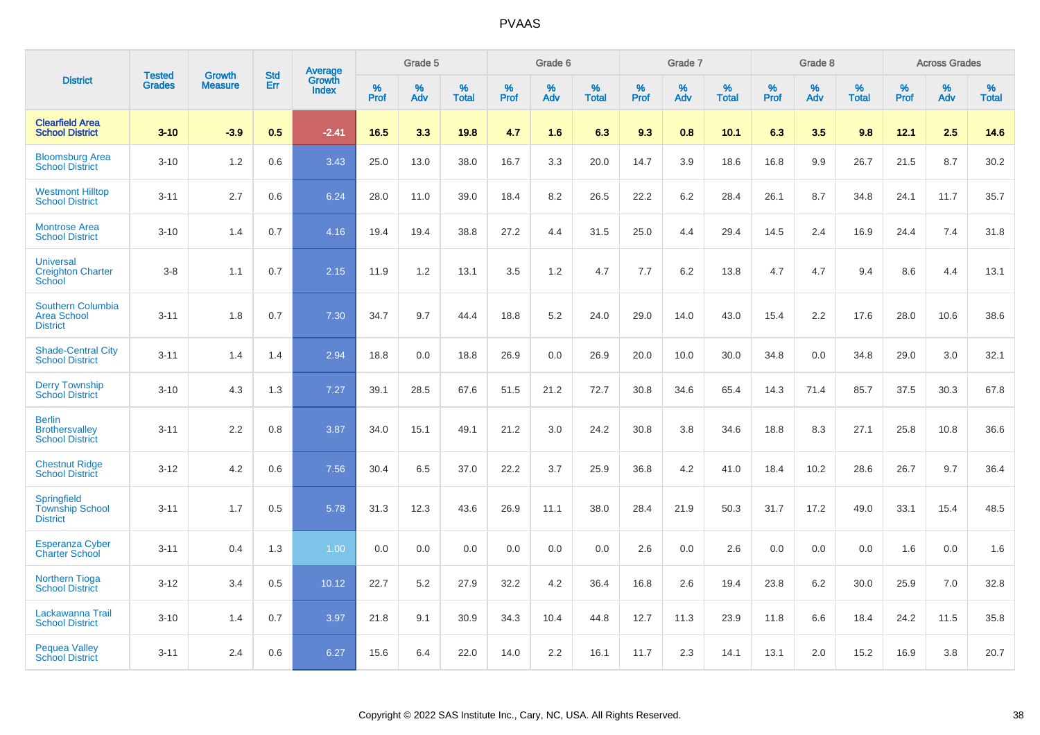|                                                                   | <b>Tested</b> | <b>Growth</b>  | <b>Std</b> | Average                |              | Grade 5  |                   |           | Grade 6  |                   |              | Grade 7  |                   |           | Grade 8  |                   |              | <b>Across Grades</b> |                   |
|-------------------------------------------------------------------|---------------|----------------|------------|------------------------|--------------|----------|-------------------|-----------|----------|-------------------|--------------|----------|-------------------|-----------|----------|-------------------|--------------|----------------------|-------------------|
| <b>District</b>                                                   | <b>Grades</b> | <b>Measure</b> | Err        | Growth<br><b>Index</b> | $\%$<br>Prof | %<br>Adv | %<br><b>Total</b> | %<br>Prof | %<br>Adv | %<br><b>Total</b> | $\%$<br>Prof | %<br>Adv | %<br><b>Total</b> | %<br>Prof | %<br>Adv | %<br><b>Total</b> | $\%$<br>Prof | %<br>Adv             | %<br><b>Total</b> |
| <b>Clearfield Area</b><br><b>School District</b>                  | $3 - 10$      | $-3.9$         | 0.5        | $-2.41$                | 16.5         | 3.3      | 19.8              | 4.7       | 1.6      | 6.3               | 9.3          | 0.8      | 10.1              | 6.3       | 3.5      | 9.8               | 12.1         | 2.5                  | 14.6              |
| <b>Bloomsburg Area</b><br><b>School District</b>                  | $3 - 10$      | 1.2            | 0.6        | 3.43                   | 25.0         | 13.0     | 38.0              | 16.7      | 3.3      | 20.0              | 14.7         | 3.9      | 18.6              | 16.8      | 9.9      | 26.7              | 21.5         | 8.7                  | 30.2              |
| <b>Westmont Hilltop</b><br><b>School District</b>                 | $3 - 11$      | 2.7            | 0.6        | 6.24                   | 28.0         | 11.0     | 39.0              | 18.4      | 8.2      | 26.5              | 22.2         | 6.2      | 28.4              | 26.1      | 8.7      | 34.8              | 24.1         | 11.7                 | 35.7              |
| <b>Montrose Area</b><br><b>School District</b>                    | $3 - 10$      | 1.4            | 0.7        | 4.16                   | 19.4         | 19.4     | 38.8              | 27.2      | 4.4      | 31.5              | 25.0         | 4.4      | 29.4              | 14.5      | 2.4      | 16.9              | 24.4         | 7.4                  | 31.8              |
| <b>Universal</b><br><b>Creighton Charter</b><br><b>School</b>     | $3 - 8$       | 1.1            | 0.7        | 2.15                   | 11.9         | 1.2      | 13.1              | 3.5       | 1.2      | 4.7               | 7.7          | 6.2      | 13.8              | 4.7       | 4.7      | 9.4               | 8.6          | 4.4                  | 13.1              |
| <b>Southern Columbia</b><br><b>Area School</b><br><b>District</b> | $3 - 11$      | 1.8            | 0.7        | 7.30                   | 34.7         | 9.7      | 44.4              | 18.8      | 5.2      | 24.0              | 29.0         | 14.0     | 43.0              | 15.4      | 2.2      | 17.6              | 28.0         | 10.6                 | 38.6              |
| <b>Shade-Central City</b><br><b>School District</b>               | $3 - 11$      | 1.4            | 1.4        | 2.94                   | 18.8         | 0.0      | 18.8              | 26.9      | 0.0      | 26.9              | 20.0         | 10.0     | 30.0              | 34.8      | 0.0      | 34.8              | 29.0         | 3.0                  | 32.1              |
| <b>Derry Township</b><br><b>School District</b>                   | $3 - 10$      | 4.3            | 1.3        | 7.27                   | 39.1         | 28.5     | 67.6              | 51.5      | 21.2     | 72.7              | 30.8         | 34.6     | 65.4              | 14.3      | 71.4     | 85.7              | 37.5         | 30.3                 | 67.8              |
| <b>Berlin</b><br><b>Brothersvalley</b><br><b>School District</b>  | $3 - 11$      | 2.2            | 0.8        | 3.87                   | 34.0         | 15.1     | 49.1              | 21.2      | 3.0      | 24.2              | 30.8         | 3.8      | 34.6              | 18.8      | 8.3      | 27.1              | 25.8         | 10.8                 | 36.6              |
| <b>Chestnut Ridge</b><br><b>School District</b>                   | $3 - 12$      | 4.2            | 0.6        | 7.56                   | 30.4         | 6.5      | 37.0              | 22.2      | 3.7      | 25.9              | 36.8         | 4.2      | 41.0              | 18.4      | 10.2     | 28.6              | 26.7         | 9.7                  | 36.4              |
| Springfield<br><b>Township School</b><br><b>District</b>          | $3 - 11$      | 1.7            | 0.5        | 5.78                   | 31.3         | 12.3     | 43.6              | 26.9      | 11.1     | 38.0              | 28.4         | 21.9     | 50.3              | 31.7      | 17.2     | 49.0              | 33.1         | 15.4                 | 48.5              |
| <b>Esperanza Cyber</b><br><b>Charter School</b>                   | $3 - 11$      | 0.4            | 1.3        | 1.00                   | 0.0          | 0.0      | 0.0               | 0.0       | 0.0      | 0.0               | 2.6          | 0.0      | 2.6               | 0.0       | 0.0      | 0.0               | 1.6          | 0.0                  | 1.6               |
| <b>Northern Tioga</b><br><b>School District</b>                   | $3 - 12$      | 3.4            | 0.5        | 10.12                  | 22.7         | 5.2      | 27.9              | 32.2      | 4.2      | 36.4              | 16.8         | 2.6      | 19.4              | 23.8      | 6.2      | 30.0              | 25.9         | 7.0                  | 32.8              |
| Lackawanna Trail<br><b>School District</b>                        | $3 - 10$      | 1.4            | 0.7        | 3.97                   | 21.8         | 9.1      | 30.9              | 34.3      | 10.4     | 44.8              | 12.7         | 11.3     | 23.9              | 11.8      | 6.6      | 18.4              | 24.2         | 11.5                 | 35.8              |
| <b>Pequea Valley</b><br><b>School District</b>                    | $3 - 11$      | 2.4            | 0.6        | 6.27                   | 15.6         | 6.4      | 22.0              | 14.0      | 2.2      | 16.1              | 11.7         | 2.3      | 14.1              | 13.1      | 2.0      | 15.2              | 16.9         | 3.8                  | 20.7              |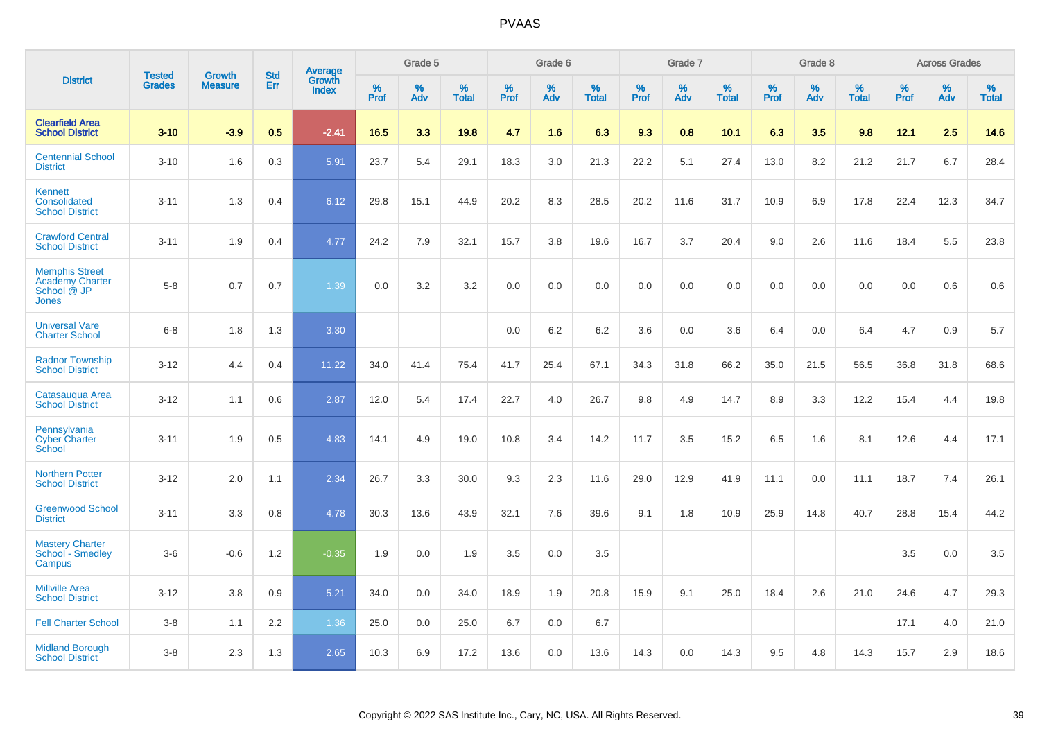|                                                                                |                                |                                 | <b>Std</b> | Average                |           | Grade 5  |                   |           | Grade 6  |                   |           | Grade 7  |                   |           | Grade 8  |                   |           | <b>Across Grades</b> |                   |
|--------------------------------------------------------------------------------|--------------------------------|---------------------------------|------------|------------------------|-----------|----------|-------------------|-----------|----------|-------------------|-----------|----------|-------------------|-----------|----------|-------------------|-----------|----------------------|-------------------|
| <b>District</b>                                                                | <b>Tested</b><br><b>Grades</b> | <b>Growth</b><br><b>Measure</b> | <b>Err</b> | Growth<br><b>Index</b> | %<br>Prof | %<br>Adv | %<br><b>Total</b> | %<br>Prof | %<br>Adv | %<br><b>Total</b> | %<br>Prof | %<br>Adv | %<br><b>Total</b> | %<br>Prof | %<br>Adv | %<br><b>Total</b> | %<br>Prof | %<br>Adv             | %<br><b>Total</b> |
| <b>Clearfield Area</b><br><b>School District</b>                               | $3 - 10$                       | $-3.9$                          | 0.5        | $-2.41$                | 16.5      | 3.3      | 19.8              | 4.7       | 1.6      | 6.3               | 9.3       | 0.8      | 10.1              | 6.3       | 3.5      | 9.8               | 12.1      | 2.5                  | 14.6              |
| <b>Centennial School</b><br><b>District</b>                                    | $3 - 10$                       | 1.6                             | 0.3        | 5.91                   | 23.7      | 5.4      | 29.1              | 18.3      | 3.0      | 21.3              | 22.2      | 5.1      | 27.4              | 13.0      | 8.2      | 21.2              | 21.7      | 6.7                  | 28.4              |
| <b>Kennett</b><br>Consolidated<br><b>School District</b>                       | $3 - 11$                       | 1.3                             | 0.4        | 6.12                   | 29.8      | 15.1     | 44.9              | 20.2      | 8.3      | 28.5              | 20.2      | 11.6     | 31.7              | 10.9      | 6.9      | 17.8              | 22.4      | 12.3                 | 34.7              |
| <b>Crawford Central</b><br><b>School District</b>                              | $3 - 11$                       | 1.9                             | 0.4        | 4.77                   | 24.2      | 7.9      | 32.1              | 15.7      | 3.8      | 19.6              | 16.7      | 3.7      | 20.4              | 9.0       | 2.6      | 11.6              | 18.4      | 5.5                  | 23.8              |
| <b>Memphis Street</b><br><b>Academy Charter</b><br>School @ JP<br><b>Jones</b> | $5 - 8$                        | 0.7                             | 0.7        | 1.39                   | 0.0       | 3.2      | 3.2               | 0.0       | 0.0      | 0.0               | 0.0       | 0.0      | 0.0               | 0.0       | 0.0      | 0.0               | 0.0       | 0.6                  | 0.6               |
| <b>Universal Vare</b><br><b>Charter School</b>                                 | $6 - 8$                        | 1.8                             | 1.3        | 3.30                   |           |          |                   | 0.0       | 6.2      | 6.2               | 3.6       | 0.0      | 3.6               | 6.4       | 0.0      | 6.4               | 4.7       | 0.9                  | 5.7               |
| <b>Radnor Township</b><br><b>School District</b>                               | $3 - 12$                       | 4.4                             | 0.4        | 11.22                  | 34.0      | 41.4     | 75.4              | 41.7      | 25.4     | 67.1              | 34.3      | 31.8     | 66.2              | 35.0      | 21.5     | 56.5              | 36.8      | 31.8                 | 68.6              |
| Catasaugua Area<br><b>School District</b>                                      | $3 - 12$                       | 1.1                             | 0.6        | 2.87                   | 12.0      | 5.4      | 17.4              | 22.7      | 4.0      | 26.7              | 9.8       | 4.9      | 14.7              | 8.9       | 3.3      | 12.2              | 15.4      | 4.4                  | 19.8              |
| Pennsylvania<br><b>Cyber Charter</b><br>School                                 | $3 - 11$                       | 1.9                             | 0.5        | 4.83                   | 14.1      | 4.9      | 19.0              | 10.8      | 3.4      | 14.2              | 11.7      | 3.5      | 15.2              | 6.5       | 1.6      | 8.1               | 12.6      | 4.4                  | 17.1              |
| <b>Northern Potter</b><br><b>School District</b>                               | $3 - 12$                       | 2.0                             | 1.1        | 2.34                   | 26.7      | 3.3      | 30.0              | 9.3       | 2.3      | 11.6              | 29.0      | 12.9     | 41.9              | 11.1      | 0.0      | 11.1              | 18.7      | 7.4                  | 26.1              |
| <b>Greenwood School</b><br><b>District</b>                                     | $3 - 11$                       | 3.3                             | 0.8        | 4.78                   | 30.3      | 13.6     | 43.9              | 32.1      | 7.6      | 39.6              | 9.1       | 1.8      | 10.9              | 25.9      | 14.8     | 40.7              | 28.8      | 15.4                 | 44.2              |
| <b>Mastery Charter</b><br>School - Smedley<br>Campus                           | $3-6$                          | $-0.6$                          | 1.2        | $-0.35$                | 1.9       | 0.0      | 1.9               | 3.5       | 0.0      | 3.5               |           |          |                   |           |          |                   | 3.5       | 0.0                  | 3.5               |
| <b>Millville Area</b><br><b>School District</b>                                | $3 - 12$                       | 3.8                             | 0.9        | 5.21                   | 34.0      | 0.0      | 34.0              | 18.9      | 1.9      | 20.8              | 15.9      | 9.1      | 25.0              | 18.4      | 2.6      | 21.0              | 24.6      | 4.7                  | 29.3              |
| <b>Fell Charter School</b>                                                     | $3 - 8$                        | 1.1                             | 2.2        | 1.36                   | 25.0      | 0.0      | 25.0              | 6.7       | 0.0      | 6.7               |           |          |                   |           |          |                   | 17.1      | 4.0                  | 21.0              |
| <b>Midland Borough</b><br><b>School District</b>                               | $3 - 8$                        | 2.3                             | 1.3        | 2.65                   | 10.3      | 6.9      | 17.2              | 13.6      | 0.0      | 13.6              | 14.3      | 0.0      | 14.3              | 9.5       | 4.8      | 14.3              | 15.7      | 2.9                  | 18.6              |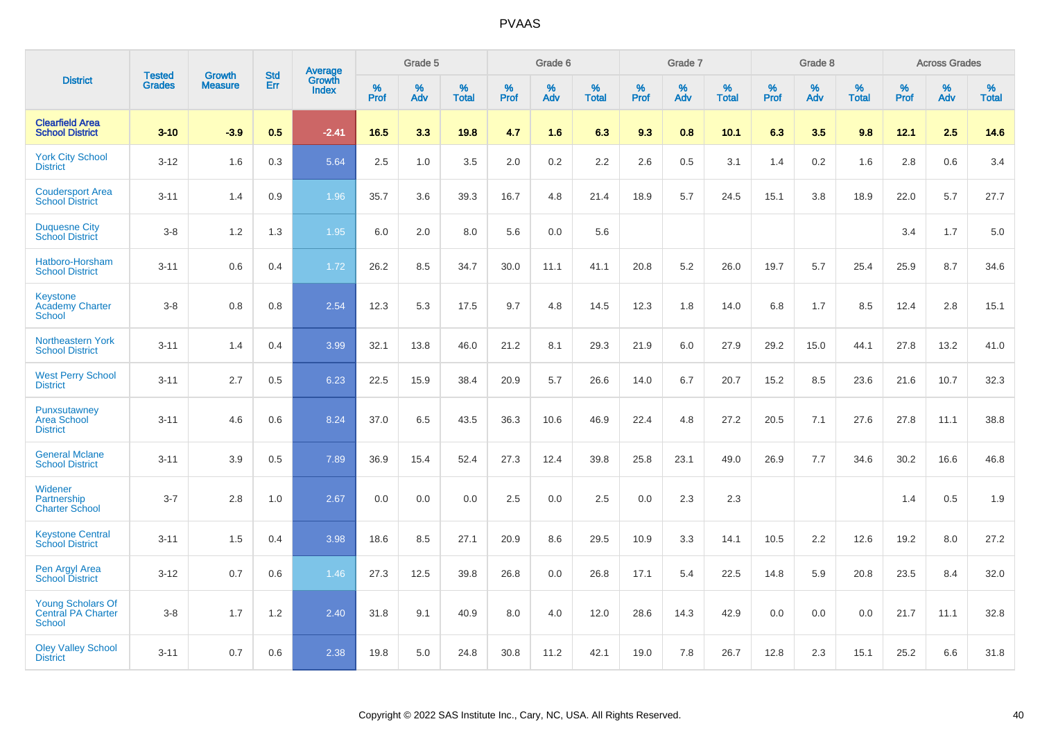|                                                                        |                                |                                 | <b>Std</b> | Average         |           | Grade 5  |                   |           | Grade 6  |                   |           | Grade 7  |                   |           | Grade 8  |                   |           | <b>Across Grades</b> |                   |
|------------------------------------------------------------------------|--------------------------------|---------------------------------|------------|-----------------|-----------|----------|-------------------|-----------|----------|-------------------|-----------|----------|-------------------|-----------|----------|-------------------|-----------|----------------------|-------------------|
| <b>District</b>                                                        | <b>Tested</b><br><b>Grades</b> | <b>Growth</b><br><b>Measure</b> | Err        | Growth<br>Index | %<br>Prof | %<br>Adv | %<br><b>Total</b> | %<br>Prof | %<br>Adv | %<br><b>Total</b> | %<br>Prof | %<br>Adv | %<br><b>Total</b> | %<br>Prof | %<br>Adv | %<br><b>Total</b> | %<br>Prof | %<br>Adv             | %<br><b>Total</b> |
| <b>Clearfield Area</b><br><b>School District</b>                       | $3 - 10$                       | $-3.9$                          | 0.5        | $-2.41$         | 16.5      | 3.3      | 19.8              | 4.7       | 1.6      | 6.3               | 9.3       | 0.8      | 10.1              | 6.3       | 3.5      | 9.8               | 12.1      | 2.5                  | 14.6              |
| <b>York City School</b><br><b>District</b>                             | $3 - 12$                       | 1.6                             | 0.3        | 5.64            | 2.5       | 1.0      | 3.5               | 2.0       | 0.2      | 2.2               | 2.6       | 0.5      | 3.1               | 1.4       | 0.2      | 1.6               | 2.8       | 0.6                  | 3.4               |
| <b>Coudersport Area</b><br><b>School District</b>                      | $3 - 11$                       | 1.4                             | 0.9        | 1.96            | 35.7      | 3.6      | 39.3              | 16.7      | 4.8      | 21.4              | 18.9      | 5.7      | 24.5              | 15.1      | 3.8      | 18.9              | 22.0      | 5.7                  | 27.7              |
| <b>Duquesne City</b><br><b>School District</b>                         | $3 - 8$                        | 1.2                             | 1.3        | 1.95            | 6.0       | 2.0      | 8.0               | 5.6       | 0.0      | 5.6               |           |          |                   |           |          |                   | 3.4       | 1.7                  | 5.0               |
| Hatboro-Horsham<br><b>School District</b>                              | $3 - 11$                       | 0.6                             | 0.4        | 1.72            | 26.2      | 8.5      | 34.7              | 30.0      | 11.1     | 41.1              | 20.8      | 5.2      | 26.0              | 19.7      | 5.7      | 25.4              | 25.9      | 8.7                  | 34.6              |
| Keystone<br><b>Academy Charter</b><br><b>School</b>                    | $3 - 8$                        | 0.8                             | 0.8        | 2.54            | 12.3      | 5.3      | 17.5              | 9.7       | 4.8      | 14.5              | 12.3      | 1.8      | 14.0              | 6.8       | 1.7      | 8.5               | 12.4      | 2.8                  | 15.1              |
| Northeastern York<br><b>School District</b>                            | $3 - 11$                       | 1.4                             | 0.4        | 3.99            | 32.1      | 13.8     | 46.0              | 21.2      | 8.1      | 29.3              | 21.9      | 6.0      | 27.9              | 29.2      | 15.0     | 44.1              | 27.8      | 13.2                 | 41.0              |
| <b>West Perry School</b><br><b>District</b>                            | $3 - 11$                       | 2.7                             | 0.5        | 6.23            | 22.5      | 15.9     | 38.4              | 20.9      | 5.7      | 26.6              | 14.0      | 6.7      | 20.7              | 15.2      | 8.5      | 23.6              | 21.6      | 10.7                 | 32.3              |
| Punxsutawney<br><b>Area School</b><br><b>District</b>                  | $3 - 11$                       | 4.6                             | 0.6        | 8.24            | 37.0      | 6.5      | 43.5              | 36.3      | 10.6     | 46.9              | 22.4      | 4.8      | 27.2              | 20.5      | 7.1      | 27.6              | 27.8      | 11.1                 | 38.8              |
| <b>General Mclane</b><br><b>School District</b>                        | $3 - 11$                       | 3.9                             | 0.5        | 7.89            | 36.9      | 15.4     | 52.4              | 27.3      | 12.4     | 39.8              | 25.8      | 23.1     | 49.0              | 26.9      | 7.7      | 34.6              | 30.2      | 16.6                 | 46.8              |
| Widener<br>Partnership<br><b>Charter School</b>                        | $3 - 7$                        | 2.8                             | 1.0        | 2.67            | 0.0       | 0.0      | 0.0               | 2.5       | 0.0      | 2.5               | 0.0       | 2.3      | 2.3               |           |          |                   | 1.4       | 0.5                  | 1.9               |
| <b>Keystone Central</b><br><b>School District</b>                      | $3 - 11$                       | 1.5                             | 0.4        | 3.98            | 18.6      | 8.5      | 27.1              | 20.9      | 8.6      | 29.5              | 10.9      | 3.3      | 14.1              | 10.5      | 2.2      | 12.6              | 19.2      | 8.0                  | 27.2              |
| Pen Argyl Area<br><b>School District</b>                               | $3 - 12$                       | 0.7                             | 0.6        | 1.46            | 27.3      | 12.5     | 39.8              | 26.8      | 0.0      | 26.8              | 17.1      | 5.4      | 22.5              | 14.8      | 5.9      | 20.8              | 23.5      | 8.4                  | 32.0              |
| <b>Young Scholars Of</b><br><b>Central PA Charter</b><br><b>School</b> | $3-8$                          | 1.7                             | 1.2        | 2.40            | 31.8      | 9.1      | 40.9              | 8.0       | 4.0      | 12.0              | 28.6      | 14.3     | 42.9              | 0.0       | 0.0      | 0.0               | 21.7      | 11.1                 | 32.8              |
| <b>Oley Valley School</b><br><b>District</b>                           | $3 - 11$                       | 0.7                             | 0.6        | 2.38            | 19.8      | 5.0      | 24.8              | 30.8      | 11.2     | 42.1              | 19.0      | 7.8      | 26.7              | 12.8      | 2.3      | 15.1              | 25.2      | 6.6                  | 31.8              |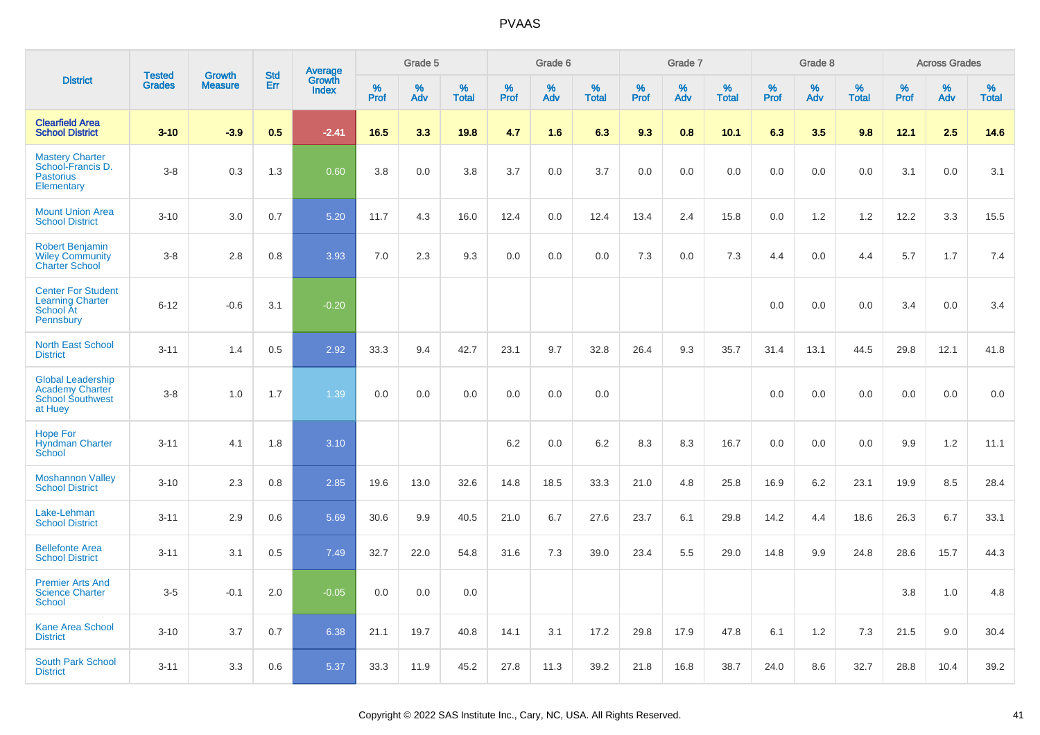|                                                                                          | <b>Tested</b> | <b>Growth</b>  | <b>Std</b> |                                          |              | Grade 5  |                   |              | Grade 6  |                   |              | Grade 7  |                   |              | Grade 8  |                   |              | <b>Across Grades</b> |                   |
|------------------------------------------------------------------------------------------|---------------|----------------|------------|------------------------------------------|--------------|----------|-------------------|--------------|----------|-------------------|--------------|----------|-------------------|--------------|----------|-------------------|--------------|----------------------|-------------------|
| <b>District</b>                                                                          | <b>Grades</b> | <b>Measure</b> | Err        | <b>Average</b><br>Growth<br><b>Index</b> | $\%$<br>Prof | %<br>Adv | %<br><b>Total</b> | $\%$<br>Prof | %<br>Adv | %<br><b>Total</b> | $\%$<br>Prof | %<br>Adv | %<br><b>Total</b> | $\%$<br>Prof | %<br>Adv | %<br><b>Total</b> | $\%$<br>Prof | %<br>Adv             | %<br><b>Total</b> |
| <b>Clearfield Area</b><br><b>School District</b>                                         | $3 - 10$      | $-3.9$         | 0.5        | $-2.41$                                  | 16.5         | 3.3      | 19.8              | 4.7          | 1.6      | 6.3               | 9.3          | 0.8      | 10.1              | 6.3          | 3.5      | 9.8               | 12.1         | 2.5                  | 14.6              |
| <b>Mastery Charter</b><br>School-Francis D.<br><b>Pastorius</b><br>Elementary            | $3 - 8$       | 0.3            | 1.3        | 0.60                                     | 3.8          | 0.0      | 3.8               | 3.7          | 0.0      | 3.7               | 0.0          | 0.0      | 0.0               | 0.0          | 0.0      | 0.0               | 3.1          | 0.0                  | 3.1               |
| <b>Mount Union Area</b><br><b>School District</b>                                        | $3 - 10$      | 3.0            | 0.7        | 5.20                                     | 11.7         | 4.3      | 16.0              | 12.4         | 0.0      | 12.4              | 13.4         | 2.4      | 15.8              | 0.0          | 1.2      | 1.2               | 12.2         | 3.3                  | 15.5              |
| <b>Robert Benjamin</b><br><b>Wiley Community</b><br><b>Charter School</b>                | $3 - 8$       | 2.8            | 0.8        | 3.93                                     | 7.0          | 2.3      | 9.3               | 0.0          | 0.0      | 0.0               | 7.3          | 0.0      | 7.3               | 4.4          | 0.0      | 4.4               | 5.7          | 1.7                  | 7.4               |
| <b>Center For Student</b><br><b>Learning Charter</b><br>School At<br>Pennsbury           | $6 - 12$      | $-0.6$         | 3.1        | $-0.20$                                  |              |          |                   |              |          |                   |              |          |                   | 0.0          | 0.0      | 0.0               | 3.4          | 0.0                  | 3.4               |
| <b>North East School</b><br><b>District</b>                                              | $3 - 11$      | 1.4            | 0.5        | 2.92                                     | 33.3         | 9.4      | 42.7              | 23.1         | 9.7      | 32.8              | 26.4         | 9.3      | 35.7              | 31.4         | 13.1     | 44.5              | 29.8         | 12.1                 | 41.8              |
| <b>Global Leadership</b><br><b>Academy Charter</b><br><b>School Southwest</b><br>at Huey | $3 - 8$       | 1.0            | 1.7        | 1.39                                     | 0.0          | 0.0      | 0.0               | 0.0          | 0.0      | 0.0               |              |          |                   | 0.0          | 0.0      | 0.0               | 0.0          | 0.0                  | 0.0               |
| <b>Hope For</b><br><b>Hyndman Charter</b><br>School                                      | $3 - 11$      | 4.1            | 1.8        | 3.10                                     |              |          |                   | 6.2          | 0.0      | 6.2               | 8.3          | 8.3      | 16.7              | 0.0          | 0.0      | 0.0               | 9.9          | $1.2$                | 11.1              |
| <b>Moshannon Valley</b><br><b>School District</b>                                        | $3 - 10$      | 2.3            | 0.8        | 2.85                                     | 19.6         | 13.0     | 32.6              | 14.8         | 18.5     | 33.3              | 21.0         | 4.8      | 25.8              | 16.9         | 6.2      | 23.1              | 19.9         | 8.5                  | 28.4              |
| Lake-Lehman<br><b>School District</b>                                                    | $3 - 11$      | 2.9            | 0.6        | 5.69                                     | 30.6         | 9.9      | 40.5              | 21.0         | 6.7      | 27.6              | 23.7         | 6.1      | 29.8              | 14.2         | 4.4      | 18.6              | 26.3         | 6.7                  | 33.1              |
| <b>Bellefonte Area</b><br><b>School District</b>                                         | $3 - 11$      | 3.1            | 0.5        | 7.49                                     | 32.7         | 22.0     | 54.8              | 31.6         | 7.3      | 39.0              | 23.4         | 5.5      | 29.0              | 14.8         | 9.9      | 24.8              | 28.6         | 15.7                 | 44.3              |
| <b>Premier Arts And</b><br><b>Science Charter</b><br>School                              | $3-5$         | $-0.1$         | 2.0        | $-0.05$                                  | 0.0          | 0.0      | 0.0               |              |          |                   |              |          |                   |              |          |                   | 3.8          | 1.0                  | 4.8               |
| Kane Area School<br><b>District</b>                                                      | $3 - 10$      | 3.7            | 0.7        | 6.38                                     | 21.1         | 19.7     | 40.8              | 14.1         | 3.1      | 17.2              | 29.8         | 17.9     | 47.8              | 6.1          | 1.2      | 7.3               | 21.5         | 9.0                  | 30.4              |
| <b>South Park School</b><br><b>District</b>                                              | $3 - 11$      | 3.3            | 0.6        | 5.37                                     | 33.3         | 11.9     | 45.2              | 27.8         | 11.3     | 39.2              | 21.8         | 16.8     | 38.7              | 24.0         | 8.6      | 32.7              | 28.8         | 10.4                 | 39.2              |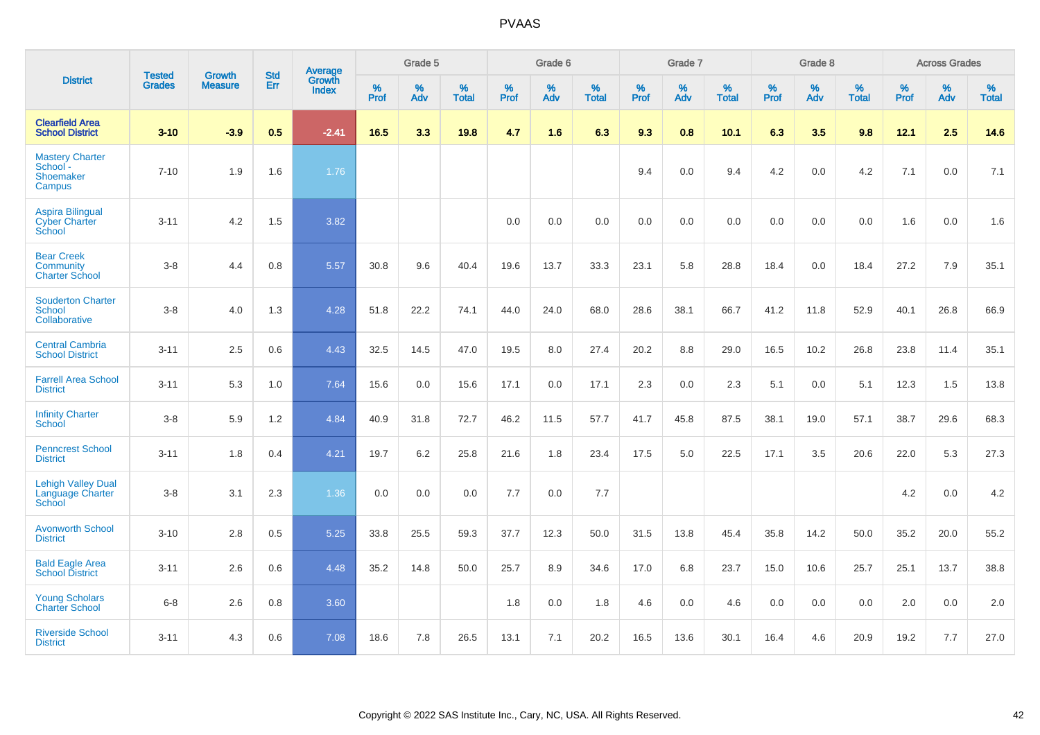|                                                                  | <b>Tested</b> | <b>Growth</b>  | <b>Std</b> | Average                       |           | Grade 5  |                   |           | Grade 6  |                   |           | Grade 7  |                   |           | Grade 8  |                   |           | <b>Across Grades</b> |                   |
|------------------------------------------------------------------|---------------|----------------|------------|-------------------------------|-----------|----------|-------------------|-----------|----------|-------------------|-----------|----------|-------------------|-----------|----------|-------------------|-----------|----------------------|-------------------|
| <b>District</b>                                                  | <b>Grades</b> | <b>Measure</b> | Err        | <b>Growth</b><br><b>Index</b> | %<br>Prof | %<br>Adv | %<br><b>Total</b> | %<br>Prof | %<br>Adv | %<br><b>Total</b> | %<br>Prof | %<br>Adv | %<br><b>Total</b> | %<br>Prof | %<br>Adv | %<br><b>Total</b> | %<br>Prof | %<br>Adv             | %<br><b>Total</b> |
| <b>Clearfield Area</b><br><b>School District</b>                 | $3 - 10$      | $-3.9$         | 0.5        | $-2.41$                       | 16.5      | 3.3      | 19.8              | 4.7       | 1.6      | 6.3               | 9.3       | 0.8      | 10.1              | 6.3       | 3.5      | 9.8               | 12.1      | 2.5                  | 14.6              |
| <b>Mastery Charter</b><br>School -<br><b>Shoemaker</b><br>Campus | $7 - 10$      | 1.9            | 1.6        | 1.76                          |           |          |                   |           |          |                   | 9.4       | 0.0      | 9.4               | 4.2       | 0.0      | 4.2               | 7.1       | 0.0                  | 7.1               |
| <b>Aspira Bilingual</b><br><b>Cyber Charter</b><br>School        | $3 - 11$      | 4.2            | 1.5        | 3.82                          |           |          |                   | 0.0       | 0.0      | 0.0               | 0.0       | 0.0      | 0.0               | 0.0       | 0.0      | 0.0               | 1.6       | 0.0                  | 1.6               |
| <b>Bear Creek</b><br><b>Community</b><br><b>Charter School</b>   | $3 - 8$       | 4.4            | 0.8        | 5.57                          | 30.8      | 9.6      | 40.4              | 19.6      | 13.7     | 33.3              | 23.1      | 5.8      | 28.8              | 18.4      | 0.0      | 18.4              | 27.2      | 7.9                  | 35.1              |
| <b>Souderton Charter</b><br><b>School</b><br>Collaborative       | $3 - 8$       | 4.0            | 1.3        | 4.28                          | 51.8      | 22.2     | 74.1              | 44.0      | 24.0     | 68.0              | 28.6      | 38.1     | 66.7              | 41.2      | 11.8     | 52.9              | 40.1      | 26.8                 | 66.9              |
| <b>Central Cambria</b><br><b>School District</b>                 | $3 - 11$      | 2.5            | 0.6        | 4.43                          | 32.5      | 14.5     | 47.0              | 19.5      | 8.0      | 27.4              | 20.2      | 8.8      | 29.0              | 16.5      | 10.2     | 26.8              | 23.8      | 11.4                 | 35.1              |
| <b>Farrell Area School</b><br><b>District</b>                    | $3 - 11$      | 5.3            | 1.0        | 7.64                          | 15.6      | 0.0      | 15.6              | 17.1      | 0.0      | 17.1              | 2.3       | 0.0      | 2.3               | 5.1       | 0.0      | 5.1               | 12.3      | 1.5                  | 13.8              |
| <b>Infinity Charter</b><br>School                                | $3 - 8$       | 5.9            | 1.2        | 4.84                          | 40.9      | 31.8     | 72.7              | 46.2      | 11.5     | 57.7              | 41.7      | 45.8     | 87.5              | 38.1      | 19.0     | 57.1              | 38.7      | 29.6                 | 68.3              |
| <b>Penncrest School</b><br><b>District</b>                       | $3 - 11$      | 1.8            | 0.4        | 4.21                          | 19.7      | 6.2      | 25.8              | 21.6      | 1.8      | 23.4              | 17.5      | 5.0      | 22.5              | 17.1      | 3.5      | 20.6              | 22.0      | 5.3                  | 27.3              |
| <b>Lehigh Valley Dual</b><br>Language Charter<br>School          | $3 - 8$       | 3.1            | 2.3        | 1.36                          | 0.0       | 0.0      | 0.0               | 7.7       | 0.0      | 7.7               |           |          |                   |           |          |                   | 4.2       | 0.0                  | 4.2               |
| <b>Avonworth School</b><br><b>District</b>                       | $3 - 10$      | 2.8            | 0.5        | 5.25                          | 33.8      | 25.5     | 59.3              | 37.7      | 12.3     | 50.0              | 31.5      | 13.8     | 45.4              | 35.8      | 14.2     | 50.0              | 35.2      | 20.0                 | 55.2              |
| <b>Bald Eagle Area</b><br><b>School District</b>                 | $3 - 11$      | 2.6            | 0.6        | 4.48                          | 35.2      | 14.8     | 50.0              | 25.7      | 8.9      | 34.6              | 17.0      | 6.8      | 23.7              | 15.0      | 10.6     | 25.7              | 25.1      | 13.7                 | 38.8              |
| <b>Young Scholars</b><br><b>Charter School</b>                   | $6 - 8$       | 2.6            | 0.8        | 3.60                          |           |          |                   | 1.8       | 0.0      | 1.8               | 4.6       | 0.0      | 4.6               | 0.0       | 0.0      | 0.0               | 2.0       | 0.0                  | 2.0               |
| <b>Riverside School</b><br><b>District</b>                       | $3 - 11$      | 4.3            | 0.6        | 7.08                          | 18.6      | 7.8      | 26.5              | 13.1      | 7.1      | 20.2              | 16.5      | 13.6     | 30.1              | 16.4      | 4.6      | 20.9              | 19.2      | 7.7                  | 27.0              |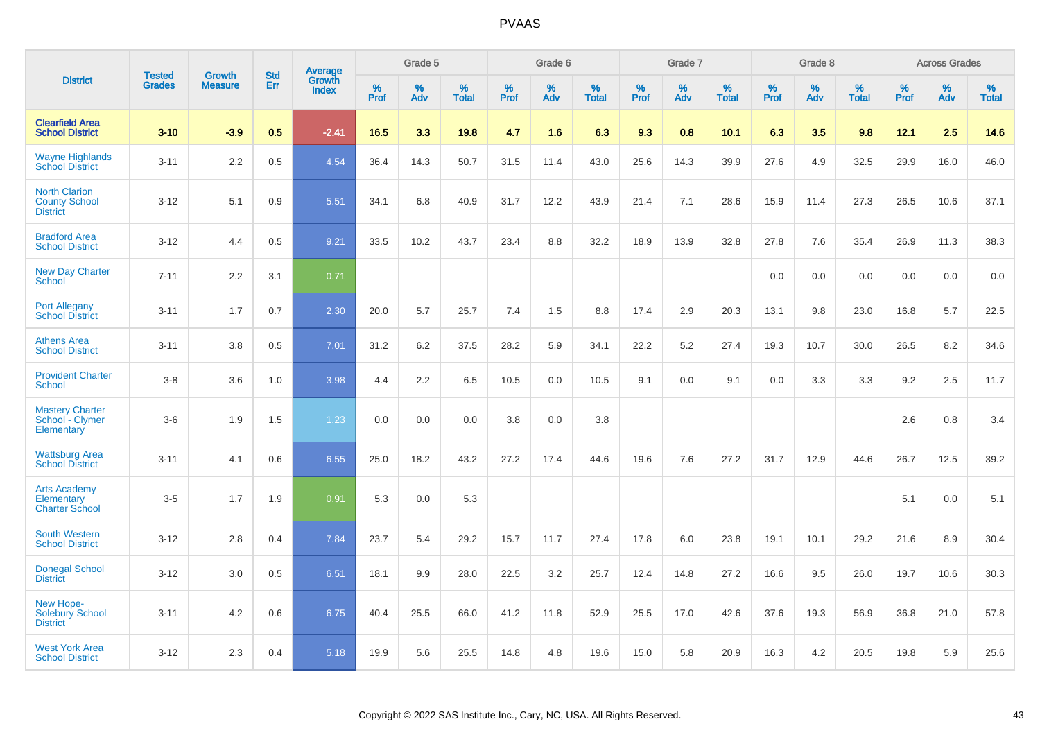|                                                                 |                                | <b>Growth</b>  | <b>Std</b> | <b>Average</b>         |              | Grade 5  |                   |           | Grade 6  |                   |           | Grade 7  |                   |           | Grade 8  |                   |           | <b>Across Grades</b> |                   |
|-----------------------------------------------------------------|--------------------------------|----------------|------------|------------------------|--------------|----------|-------------------|-----------|----------|-------------------|-----------|----------|-------------------|-----------|----------|-------------------|-----------|----------------------|-------------------|
| <b>District</b>                                                 | <b>Tested</b><br><b>Grades</b> | <b>Measure</b> | <b>Err</b> | Growth<br><b>Index</b> | $\%$<br>Prof | %<br>Adv | %<br><b>Total</b> | %<br>Prof | %<br>Adv | %<br><b>Total</b> | %<br>Prof | %<br>Adv | %<br><b>Total</b> | %<br>Prof | %<br>Adv | %<br><b>Total</b> | %<br>Prof | %<br>Adv             | %<br><b>Total</b> |
| <b>Clearfield Area</b><br><b>School District</b>                | $3 - 10$                       | $-3.9$         | 0.5        | $-2.41$                | 16.5         | 3.3      | 19.8              | 4.7       | 1.6      | 6.3               | 9.3       | 0.8      | 10.1              | 6.3       | 3.5      | 9.8               | 12.1      | 2.5                  | 14.6              |
| <b>Wayne Highlands</b><br><b>School District</b>                | $3 - 11$                       | 2.2            | 0.5        | 4.54                   | 36.4         | 14.3     | 50.7              | 31.5      | 11.4     | 43.0              | 25.6      | 14.3     | 39.9              | 27.6      | 4.9      | 32.5              | 29.9      | 16.0                 | 46.0              |
| <b>North Clarion</b><br><b>County School</b><br><b>District</b> | $3 - 12$                       | 5.1            | 0.9        | 5.51                   | 34.1         | 6.8      | 40.9              | 31.7      | 12.2     | 43.9              | 21.4      | 7.1      | 28.6              | 15.9      | 11.4     | 27.3              | 26.5      | 10.6                 | 37.1              |
| <b>Bradford Area</b><br><b>School District</b>                  | $3 - 12$                       | 4.4            | 0.5        | 9.21                   | 33.5         | 10.2     | 43.7              | 23.4      | 8.8      | 32.2              | 18.9      | 13.9     | 32.8              | 27.8      | 7.6      | 35.4              | 26.9      | 11.3                 | 38.3              |
| <b>New Day Charter</b><br><b>School</b>                         | $7 - 11$                       | 2.2            | 3.1        | 0.71                   |              |          |                   |           |          |                   |           |          |                   | 0.0       | 0.0      | 0.0               | 0.0       | 0.0                  | 0.0               |
| <b>Port Allegany</b><br><b>School District</b>                  | $3 - 11$                       | 1.7            | 0.7        | 2.30                   | 20.0         | 5.7      | 25.7              | 7.4       | 1.5      | 8.8               | 17.4      | 2.9      | 20.3              | 13.1      | 9.8      | 23.0              | 16.8      | 5.7                  | 22.5              |
| <b>Athens Area</b><br><b>School District</b>                    | $3 - 11$                       | 3.8            | 0.5        | 7.01                   | 31.2         | 6.2      | 37.5              | 28.2      | 5.9      | 34.1              | 22.2      | 5.2      | 27.4              | 19.3      | 10.7     | 30.0              | 26.5      | 8.2                  | 34.6              |
| <b>Provident Charter</b><br>School                              | $3 - 8$                        | 3.6            | 1.0        | 3.98                   | 4.4          | 2.2      | 6.5               | 10.5      | 0.0      | 10.5              | 9.1       | 0.0      | 9.1               | 0.0       | 3.3      | 3.3               | 9.2       | 2.5                  | 11.7              |
| <b>Mastery Charter</b><br>School - Clymer<br>Elementary         | $3-6$                          | 1.9            | 1.5        | 1.23                   | 0.0          | 0.0      | 0.0               | 3.8       | 0.0      | 3.8               |           |          |                   |           |          |                   | 2.6       | 0.8                  | 3.4               |
| <b>Wattsburg Area</b><br><b>School District</b>                 | $3 - 11$                       | 4.1            | 0.6        | 6.55                   | 25.0         | 18.2     | 43.2              | 27.2      | 17.4     | 44.6              | 19.6      | 7.6      | 27.2              | 31.7      | 12.9     | 44.6              | 26.7      | 12.5                 | 39.2              |
| <b>Arts Academy</b><br>Elementary<br><b>Charter School</b>      | $3-5$                          | 1.7            | 1.9        | 0.91                   | 5.3          | 0.0      | 5.3               |           |          |                   |           |          |                   |           |          |                   | 5.1       | 0.0                  | 5.1               |
| <b>South Western</b><br><b>School District</b>                  | $3 - 12$                       | 2.8            | 0.4        | 7.84                   | 23.7         | 5.4      | 29.2              | 15.7      | 11.7     | 27.4              | 17.8      | 6.0      | 23.8              | 19.1      | 10.1     | 29.2              | 21.6      | 8.9                  | 30.4              |
| <b>Donegal School</b><br><b>District</b>                        | $3 - 12$                       | 3.0            | 0.5        | 6.51                   | 18.1         | 9.9      | 28.0              | 22.5      | 3.2      | 25.7              | 12.4      | 14.8     | 27.2              | 16.6      | 9.5      | 26.0              | 19.7      | 10.6                 | 30.3              |
| New Hope-<br><b>Solebury School</b><br><b>District</b>          | $3 - 11$                       | 4.2            | 0.6        | 6.75                   | 40.4         | 25.5     | 66.0              | 41.2      | 11.8     | 52.9              | 25.5      | 17.0     | 42.6              | 37.6      | 19.3     | 56.9              | 36.8      | 21.0                 | 57.8              |
| <b>West York Area</b><br><b>School District</b>                 | $3 - 12$                       | 2.3            | 0.4        | 5.18                   | 19.9         | 5.6      | 25.5              | 14.8      | 4.8      | 19.6              | 15.0      | 5.8      | 20.9              | 16.3      | 4.2      | 20.5              | 19.8      | 5.9                  | 25.6              |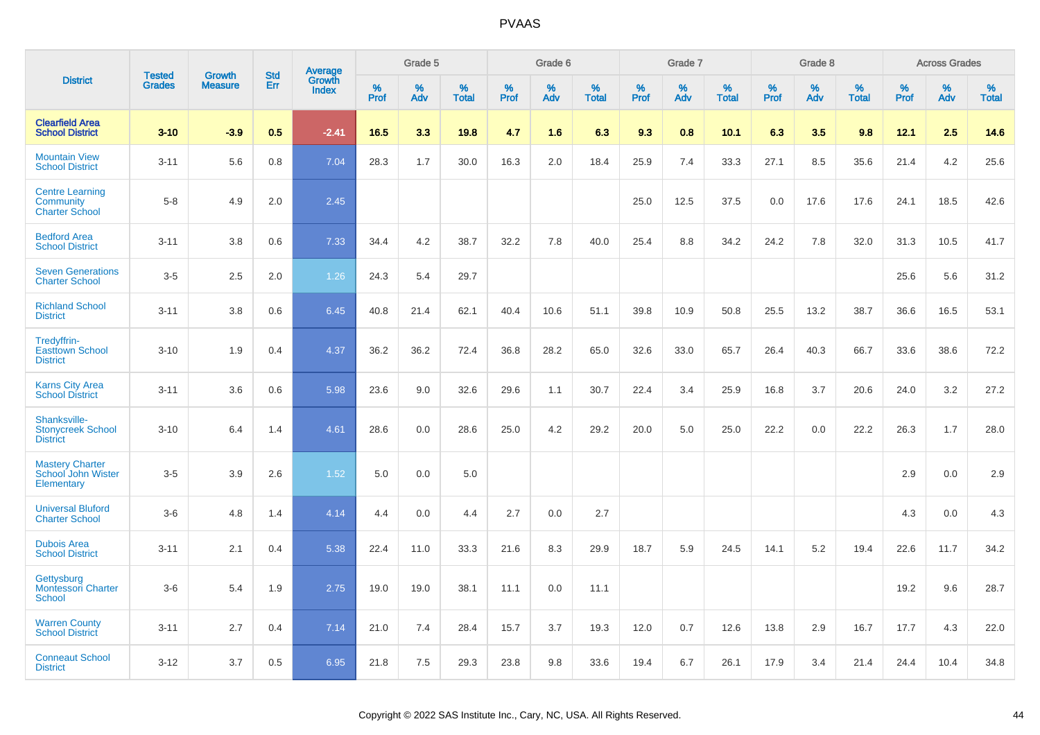|                                                              |                                |                                 | <b>Std</b> |                            |                     | Grade 5  |                      |                     | Grade 6  |                   |                     | Grade 7  |                   |              | Grade 8  |                   |              | <b>Across Grades</b> |                   |
|--------------------------------------------------------------|--------------------------------|---------------------------------|------------|----------------------------|---------------------|----------|----------------------|---------------------|----------|-------------------|---------------------|----------|-------------------|--------------|----------|-------------------|--------------|----------------------|-------------------|
| <b>District</b>                                              | <b>Tested</b><br><b>Grades</b> | <b>Growth</b><br><b>Measure</b> | Err        | Average<br>Growth<br>Index | $\%$<br><b>Prof</b> | %<br>Adv | $\%$<br><b>Total</b> | $\%$<br><b>Prof</b> | %<br>Adv | %<br><b>Total</b> | $\%$<br><b>Prof</b> | %<br>Adv | %<br><b>Total</b> | $\%$<br>Prof | %<br>Adv | %<br><b>Total</b> | $\%$<br>Prof | %<br>Adv             | %<br><b>Total</b> |
| <b>Clearfield Area</b><br><b>School District</b>             | $3 - 10$                       | $-3.9$                          | 0.5        | $-2.41$                    | 16.5                | 3.3      | 19.8                 | 4.7                 | 1.6      | 6.3               | 9.3                 | 0.8      | 10.1              | 6.3          | 3.5      | 9.8               | 12.1         | 2.5                  | 14.6              |
| <b>Mountain View</b><br><b>School District</b>               | $3 - 11$                       | 5.6                             | 0.8        | 7.04                       | 28.3                | 1.7      | 30.0                 | 16.3                | 2.0      | 18.4              | 25.9                | 7.4      | 33.3              | 27.1         | 8.5      | 35.6              | 21.4         | 4.2                  | 25.6              |
| <b>Centre Learning</b><br>Community<br><b>Charter School</b> | $5 - 8$                        | 4.9                             | 2.0        | 2.45                       |                     |          |                      |                     |          |                   | 25.0                | 12.5     | 37.5              | 0.0          | 17.6     | 17.6              | 24.1         | 18.5                 | 42.6              |
| <b>Bedford Area</b><br><b>School District</b>                | $3 - 11$                       | 3.8                             | 0.6        | 7.33                       | 34.4                | 4.2      | 38.7                 | 32.2                | 7.8      | 40.0              | 25.4                | 8.8      | 34.2              | 24.2         | 7.8      | 32.0              | 31.3         | 10.5                 | 41.7              |
| <b>Seven Generations</b><br><b>Charter School</b>            | $3-5$                          | 2.5                             | 2.0        | 1.26                       | 24.3                | 5.4      | 29.7                 |                     |          |                   |                     |          |                   |              |          |                   | 25.6         | 5.6                  | 31.2              |
| <b>Richland School</b><br><b>District</b>                    | $3 - 11$                       | 3.8                             | 0.6        | 6.45                       | 40.8                | 21.4     | 62.1                 | 40.4                | 10.6     | 51.1              | 39.8                | 10.9     | 50.8              | 25.5         | 13.2     | 38.7              | 36.6         | 16.5                 | 53.1              |
| Tredyffrin-<br><b>Easttown School</b><br><b>District</b>     | $3 - 10$                       | 1.9                             | 0.4        | 4.37                       | 36.2                | 36.2     | 72.4                 | 36.8                | 28.2     | 65.0              | 32.6                | 33.0     | 65.7              | 26.4         | 40.3     | 66.7              | 33.6         | 38.6                 | 72.2              |
| <b>Karns City Area</b><br><b>School District</b>             | $3 - 11$                       | 3.6                             | 0.6        | 5.98                       | 23.6                | 9.0      | 32.6                 | 29.6                | 1.1      | 30.7              | 22.4                | 3.4      | 25.9              | 16.8         | 3.7      | 20.6              | 24.0         | 3.2                  | 27.2              |
| Shanksville-<br><b>Stonycreek School</b><br><b>District</b>  | $3 - 10$                       | 6.4                             | 1.4        | 4.61                       | 28.6                | 0.0      | 28.6                 | 25.0                | 4.2      | 29.2              | 20.0                | 5.0      | 25.0              | 22.2         | 0.0      | 22.2              | 26.3         | 1.7                  | 28.0              |
| <b>Mastery Charter</b><br>School John Wister<br>Elementary   | $3-5$                          | 3.9                             | 2.6        | 1.52                       | 5.0                 | 0.0      | 5.0                  |                     |          |                   |                     |          |                   |              |          |                   | 2.9          | 0.0                  | 2.9               |
| <b>Universal Bluford</b><br><b>Charter School</b>            | $3-6$                          | 4.8                             | 1.4        | 4.14                       | 4.4                 | 0.0      | 4.4                  | 2.7                 | 0.0      | 2.7               |                     |          |                   |              |          |                   | 4.3          | 0.0                  | 4.3               |
| <b>Dubois Area</b><br><b>School District</b>                 | $3 - 11$                       | 2.1                             | 0.4        | 5.38                       | 22.4                | 11.0     | 33.3                 | 21.6                | 8.3      | 29.9              | 18.7                | 5.9      | 24.5              | 14.1         | 5.2      | 19.4              | 22.6         | 11.7                 | 34.2              |
| Gettysburg<br><b>Montessori Charter</b><br><b>School</b>     | $3-6$                          | 5.4                             | 1.9        | 2.75                       | 19.0                | 19.0     | 38.1                 | 11.1                | 0.0      | 11.1              |                     |          |                   |              |          |                   | 19.2         | 9.6                  | 28.7              |
| <b>Warren County</b><br><b>School District</b>               | $3 - 11$                       | 2.7                             | 0.4        | 7.14                       | 21.0                | 7.4      | 28.4                 | 15.7                | 3.7      | 19.3              | 12.0                | 0.7      | 12.6              | 13.8         | 2.9      | 16.7              | 17.7         | 4.3                  | 22.0              |
| <b>Conneaut School</b><br><b>District</b>                    | $3 - 12$                       | 3.7                             | 0.5        | 6.95                       | 21.8                | 7.5      | 29.3                 | 23.8                | 9.8      | 33.6              | 19.4                | 6.7      | 26.1              | 17.9         | 3.4      | 21.4              | 24.4         | 10.4                 | 34.8              |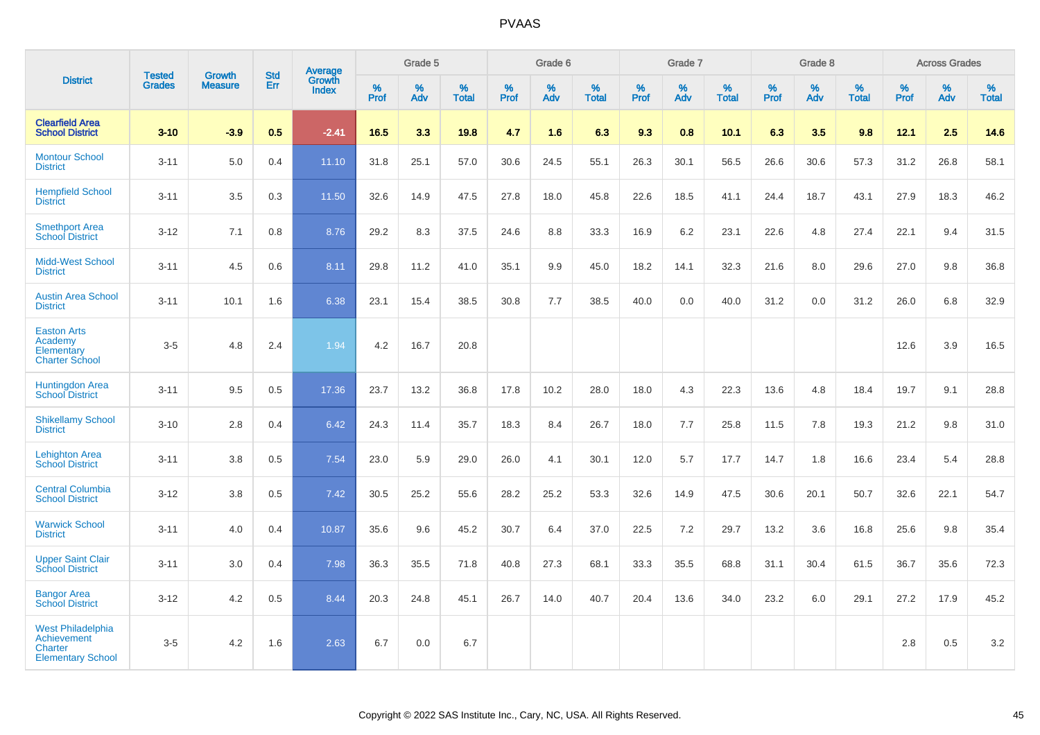|                                                                                              |                                |                                 | <b>Std</b> | Average                |              | Grade 5  |                   |           | Grade 6  |                   |           | Grade 7  |                   |           | Grade 8  |                   |           | <b>Across Grades</b> |                   |
|----------------------------------------------------------------------------------------------|--------------------------------|---------------------------------|------------|------------------------|--------------|----------|-------------------|-----------|----------|-------------------|-----------|----------|-------------------|-----------|----------|-------------------|-----------|----------------------|-------------------|
| <b>District</b>                                                                              | <b>Tested</b><br><b>Grades</b> | <b>Growth</b><br><b>Measure</b> | Err        | Growth<br><b>Index</b> | $\%$<br>Prof | %<br>Adv | %<br><b>Total</b> | %<br>Prof | %<br>Adv | %<br><b>Total</b> | %<br>Prof | %<br>Adv | %<br><b>Total</b> | %<br>Prof | %<br>Adv | %<br><b>Total</b> | %<br>Prof | %<br>Adv             | %<br><b>Total</b> |
| <b>Clearfield Area</b><br><b>School District</b>                                             | $3 - 10$                       | $-3.9$                          | 0.5        | $-2.41$                | 16.5         | 3.3      | 19.8              | 4.7       | 1.6      | 6.3               | 9.3       | 0.8      | 10.1              | 6.3       | 3.5      | 9.8               | 12.1      | 2.5                  | 14.6              |
| <b>Montour School</b><br><b>District</b>                                                     | $3 - 11$                       | 5.0                             | 0.4        | 11.10                  | 31.8         | 25.1     | 57.0              | 30.6      | 24.5     | 55.1              | 26.3      | 30.1     | 56.5              | 26.6      | 30.6     | 57.3              | 31.2      | 26.8                 | 58.1              |
| <b>Hempfield School</b><br><b>District</b>                                                   | $3 - 11$                       | 3.5                             | 0.3        | 11.50                  | 32.6         | 14.9     | 47.5              | 27.8      | 18.0     | 45.8              | 22.6      | 18.5     | 41.1              | 24.4      | 18.7     | 43.1              | 27.9      | 18.3                 | 46.2              |
| <b>Smethport Area</b><br><b>School District</b>                                              | $3 - 12$                       | 7.1                             | 0.8        | 8.76                   | 29.2         | 8.3      | 37.5              | 24.6      | 8.8      | 33.3              | 16.9      | 6.2      | 23.1              | 22.6      | 4.8      | 27.4              | 22.1      | 9.4                  | 31.5              |
| <b>Midd-West School</b><br><b>District</b>                                                   | $3 - 11$                       | 4.5                             | 0.6        | 8.11                   | 29.8         | 11.2     | 41.0              | 35.1      | 9.9      | 45.0              | 18.2      | 14.1     | 32.3              | 21.6      | 8.0      | 29.6              | 27.0      | 9.8                  | 36.8              |
| <b>Austin Area School</b><br><b>District</b>                                                 | $3 - 11$                       | 10.1                            | 1.6        | 6.38                   | 23.1         | 15.4     | 38.5              | 30.8      | 7.7      | 38.5              | 40.0      | 0.0      | 40.0              | 31.2      | 0.0      | 31.2              | 26.0      | 6.8                  | 32.9              |
| <b>Easton Arts</b><br>Academy<br>Elementary<br><b>Charter School</b>                         | $3-5$                          | 4.8                             | 2.4        | 1.94                   | 4.2          | 16.7     | 20.8              |           |          |                   |           |          |                   |           |          |                   | 12.6      | 3.9                  | 16.5              |
| <b>Huntingdon Area</b><br><b>School District</b>                                             | $3 - 11$                       | 9.5                             | 0.5        | 17.36                  | 23.7         | 13.2     | 36.8              | 17.8      | 10.2     | 28.0              | 18.0      | 4.3      | 22.3              | 13.6      | 4.8      | 18.4              | 19.7      | 9.1                  | 28.8              |
| <b>Shikellamy School</b><br><b>District</b>                                                  | $3 - 10$                       | 2.8                             | 0.4        | 6.42                   | 24.3         | 11.4     | 35.7              | 18.3      | 8.4      | 26.7              | 18.0      | 7.7      | 25.8              | 11.5      | 7.8      | 19.3              | 21.2      | 9.8                  | 31.0              |
| <b>Lehighton Area</b><br><b>School District</b>                                              | $3 - 11$                       | 3.8                             | 0.5        | 7.54                   | 23.0         | 5.9      | 29.0              | 26.0      | 4.1      | 30.1              | 12.0      | 5.7      | 17.7              | 14.7      | 1.8      | 16.6              | 23.4      | 5.4                  | 28.8              |
| <b>Central Columbia</b><br><b>School District</b>                                            | $3 - 12$                       | 3.8                             | 0.5        | 7.42                   | 30.5         | 25.2     | 55.6              | 28.2      | 25.2     | 53.3              | 32.6      | 14.9     | 47.5              | 30.6      | 20.1     | 50.7              | 32.6      | 22.1                 | 54.7              |
| <b>Warwick School</b><br><b>District</b>                                                     | $3 - 11$                       | 4.0                             | 0.4        | 10.87                  | 35.6         | 9.6      | 45.2              | 30.7      | 6.4      | 37.0              | 22.5      | 7.2      | 29.7              | 13.2      | 3.6      | 16.8              | 25.6      | 9.8                  | 35.4              |
| <b>Upper Saint Clair</b><br><b>School District</b>                                           | $3 - 11$                       | 3.0                             | 0.4        | 7.98                   | 36.3         | 35.5     | 71.8              | 40.8      | 27.3     | 68.1              | 33.3      | 35.5     | 68.8              | 31.1      | 30.4     | 61.5              | 36.7      | 35.6                 | 72.3              |
| <b>Bangor Area</b><br><b>School District</b>                                                 | $3 - 12$                       | 4.2                             | 0.5        | 8.44                   | 20.3         | 24.8     | 45.1              | 26.7      | 14.0     | 40.7              | 20.4      | 13.6     | 34.0              | 23.2      | 6.0      | 29.1              | 27.2      | 17.9                 | 45.2              |
| <b>West Philadelphia</b><br><b>Achievement</b><br><b>Charter</b><br><b>Elementary School</b> | $3-5$                          | 4.2                             | 1.6        | 2.63                   | 6.7          | 0.0      | 6.7               |           |          |                   |           |          |                   |           |          |                   | 2.8       | 0.5                  | $3.2\,$           |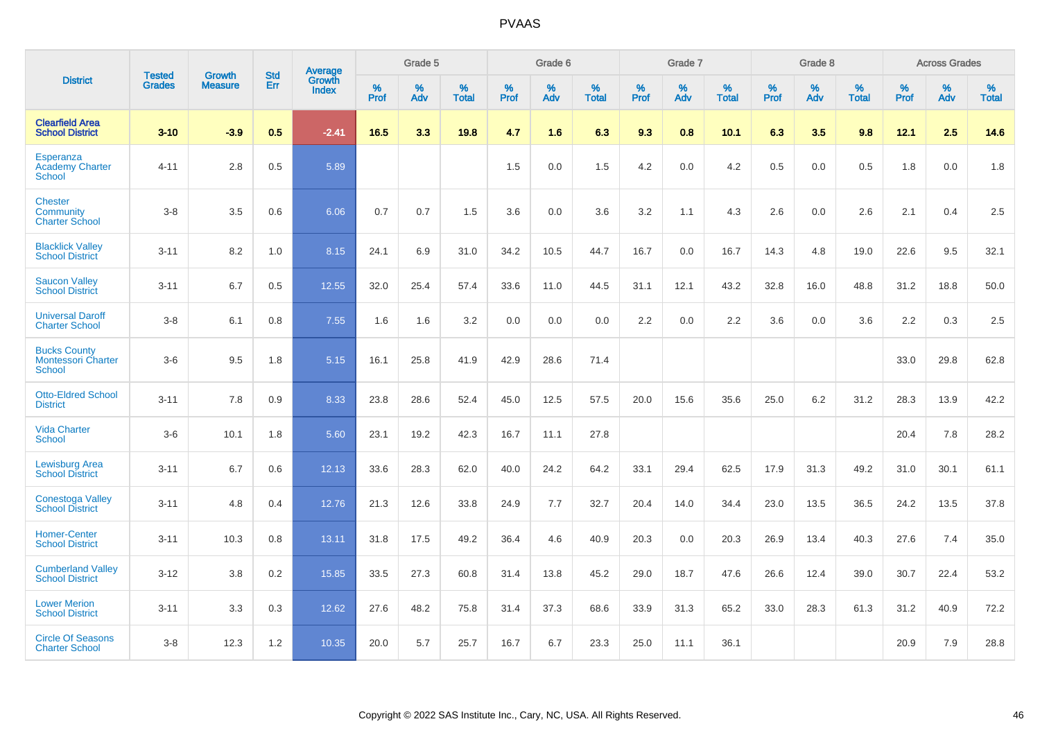|                                                                   | <b>Tested</b> | <b>Growth</b>  | <b>Std</b> | Average                       |           | Grade 5  |                   |           | Grade 6  |                   |           | Grade 7  |                   |           | Grade 8  |                   |           | <b>Across Grades</b> |                   |
|-------------------------------------------------------------------|---------------|----------------|------------|-------------------------------|-----------|----------|-------------------|-----------|----------|-------------------|-----------|----------|-------------------|-----------|----------|-------------------|-----------|----------------------|-------------------|
| <b>District</b>                                                   | <b>Grades</b> | <b>Measure</b> | <b>Err</b> | <b>Growth</b><br><b>Index</b> | %<br>Prof | %<br>Adv | %<br><b>Total</b> | %<br>Prof | %<br>Adv | %<br><b>Total</b> | %<br>Prof | %<br>Adv | %<br><b>Total</b> | %<br>Prof | %<br>Adv | %<br><b>Total</b> | %<br>Prof | %<br>Adv             | %<br><b>Total</b> |
| <b>Clearfield Area</b><br><b>School District</b>                  | $3 - 10$      | $-3.9$         | 0.5        | $-2.41$                       | 16.5      | 3.3      | 19.8              | 4.7       | 1.6      | 6.3               | 9.3       | 0.8      | 10.1              | 6.3       | 3.5      | 9.8               | 12.1      | 2.5                  | 14.6              |
| Esperanza<br><b>Academy Charter</b><br><b>School</b>              | $4 - 11$      | 2.8            | 0.5        | 5.89                          |           |          |                   | 1.5       | 0.0      | 1.5               | 4.2       | 0.0      | 4.2               | 0.5       | 0.0      | 0.5               | 1.8       | 0.0                  | 1.8               |
| <b>Chester</b><br><b>Community</b><br><b>Charter School</b>       | $3-8$         | 3.5            | 0.6        | 6.06                          | 0.7       | 0.7      | 1.5               | 3.6       | 0.0      | 3.6               | 3.2       | 1.1      | 4.3               | 2.6       | 0.0      | 2.6               | 2.1       | 0.4                  | 2.5               |
| <b>Blacklick Valley</b><br><b>School District</b>                 | $3 - 11$      | 8.2            | 1.0        | 8.15                          | 24.1      | 6.9      | 31.0              | 34.2      | 10.5     | 44.7              | 16.7      | 0.0      | 16.7              | 14.3      | 4.8      | 19.0              | 22.6      | 9.5                  | 32.1              |
| <b>Saucon Valley</b><br><b>School District</b>                    | $3 - 11$      | 6.7            | 0.5        | 12.55                         | 32.0      | 25.4     | 57.4              | 33.6      | 11.0     | 44.5              | 31.1      | 12.1     | 43.2              | 32.8      | 16.0     | 48.8              | 31.2      | 18.8                 | 50.0              |
| <b>Universal Daroff</b><br><b>Charter School</b>                  | $3-8$         | 6.1            | 0.8        | 7.55                          | 1.6       | 1.6      | 3.2               | 0.0       | 0.0      | 0.0               | 2.2       | 0.0      | 2.2               | 3.6       | 0.0      | 3.6               | 2.2       | 0.3                  | 2.5               |
| <b>Bucks County</b><br><b>Montessori Charter</b><br><b>School</b> | $3-6$         | 9.5            | 1.8        | 5.15                          | 16.1      | 25.8     | 41.9              | 42.9      | 28.6     | 71.4              |           |          |                   |           |          |                   | 33.0      | 29.8                 | 62.8              |
| <b>Otto-Eldred School</b><br><b>District</b>                      | $3 - 11$      | 7.8            | 0.9        | 8.33                          | 23.8      | 28.6     | 52.4              | 45.0      | 12.5     | 57.5              | 20.0      | 15.6     | 35.6              | 25.0      | 6.2      | 31.2              | 28.3      | 13.9                 | 42.2              |
| <b>Vida Charter</b><br><b>School</b>                              | $3-6$         | 10.1           | 1.8        | 5.60                          | 23.1      | 19.2     | 42.3              | 16.7      | 11.1     | 27.8              |           |          |                   |           |          |                   | 20.4      | 7.8                  | 28.2              |
| Lewisburg Area<br><b>School District</b>                          | $3 - 11$      | 6.7            | 0.6        | 12.13                         | 33.6      | 28.3     | 62.0              | 40.0      | 24.2     | 64.2              | 33.1      | 29.4     | 62.5              | 17.9      | 31.3     | 49.2              | 31.0      | 30.1                 | 61.1              |
| <b>Conestoga Valley</b><br><b>School District</b>                 | $3 - 11$      | 4.8            | 0.4        | 12.76                         | 21.3      | 12.6     | 33.8              | 24.9      | 7.7      | 32.7              | 20.4      | 14.0     | 34.4              | 23.0      | 13.5     | 36.5              | 24.2      | 13.5                 | 37.8              |
| <b>Homer-Center</b><br><b>School District</b>                     | $3 - 11$      | 10.3           | 0.8        | 13.11                         | 31.8      | 17.5     | 49.2              | 36.4      | 4.6      | 40.9              | 20.3      | 0.0      | 20.3              | 26.9      | 13.4     | 40.3              | 27.6      | 7.4                  | 35.0              |
| <b>Cumberland Valley</b><br><b>School District</b>                | $3 - 12$      | 3.8            | 0.2        | 15.85                         | 33.5      | 27.3     | 60.8              | 31.4      | 13.8     | 45.2              | 29.0      | 18.7     | 47.6              | 26.6      | 12.4     | 39.0              | 30.7      | 22.4                 | 53.2              |
| <b>Lower Merion</b><br><b>School District</b>                     | $3 - 11$      | 3.3            | 0.3        | 12.62                         | 27.6      | 48.2     | 75.8              | 31.4      | 37.3     | 68.6              | 33.9      | 31.3     | 65.2              | 33.0      | 28.3     | 61.3              | 31.2      | 40.9                 | 72.2              |
| <b>Circle Of Seasons</b><br><b>Charter School</b>                 | $3 - 8$       | 12.3           | 1.2        | 10.35                         | 20.0      | 5.7      | 25.7              | 16.7      | 6.7      | 23.3              | 25.0      | 11.1     | 36.1              |           |          |                   | 20.9      | 7.9                  | 28.8              |